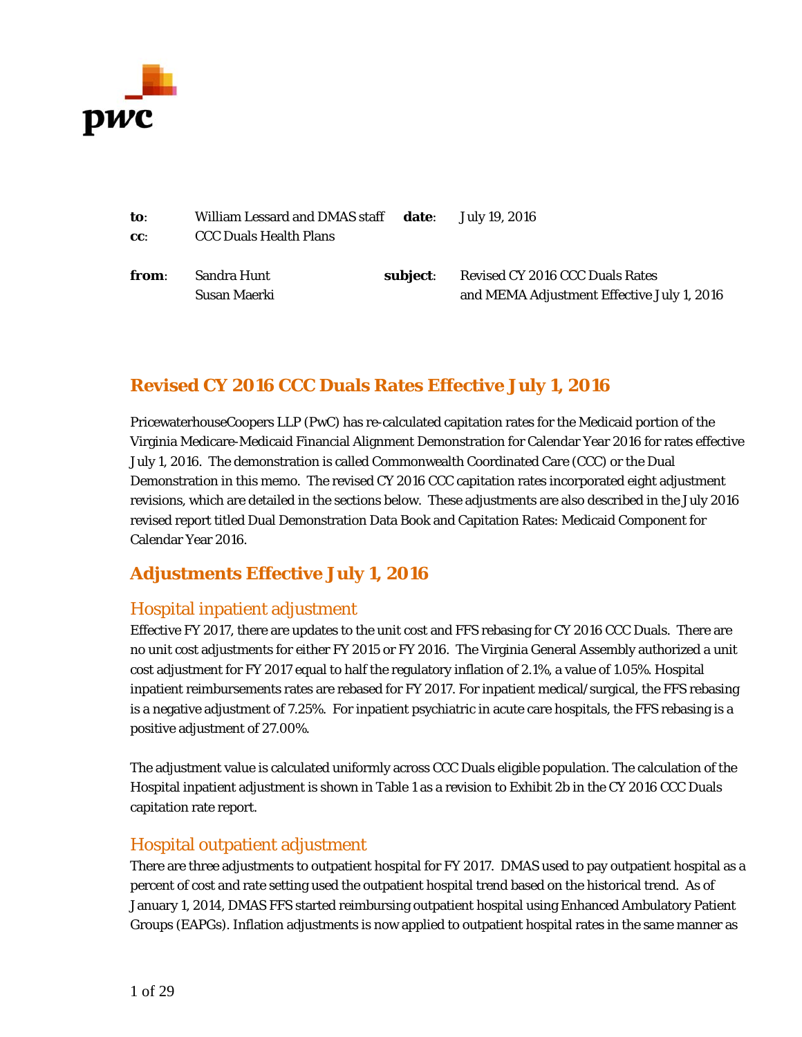

| to:    | William Lessard and DMAS staff date: |          | July 19. 2016                              |
|--------|--------------------------------------|----------|--------------------------------------------|
| $cc$ : | <b>CCC Duals Health Plans</b>        |          |                                            |
| from:  | Sandra Hunt                          | subiect: | Revised CY 2016 CCC Duals Rates            |
|        | Susan Maerki                         |          | and MEMA Adjustment Effective July 1, 2016 |

## **Revised CY 2016 CCC Duals Rates Effective July 1, 2016**

PricewaterhouseCoopers LLP (PwC) has re-calculated capitation rates for the Medicaid portion of the Virginia Medicare-Medicaid Financial Alignment Demonstration for Calendar Year 2016 for rates effective July 1, 2016. The demonstration is called Commonwealth Coordinated Care (CCC) or the Dual Demonstration in this memo. The revised CY 2016 CCC capitation rates incorporated eight adjustment revisions, which are detailed in the sections below. These adjustments are also described in the July 2016 revised report titled Dual Demonstration Data Book and Capitation Rates: Medicaid Component for Calendar Year 2016.

## **Adjustments Effective July 1, 2016**

#### Hospital inpatient adjustment

Effective FY 2017, there are updates to the unit cost and FFS rebasing for CY 2016 CCC Duals. There are no unit cost adjustments for either FY 2015 or FY 2016. The Virginia General Assembly authorized a unit cost adjustment for FY 2017 equal to half the regulatory inflation of 2.1%, a value of 1.05%. Hospital inpatient reimbursements rates are rebased for FY 2017. For inpatient medical/surgical, the FFS rebasing is a negative adjustment of 7.25%. For inpatient psychiatric in acute care hospitals, the FFS rebasing is a positive adjustment of 27.00%.

The adjustment value is calculated uniformly across CCC Duals eligible population. The calculation of the Hospital inpatient adjustment is shown in Table 1 as a revision to Exhibit 2b in the CY 2016 CCC Duals capitation rate report.

#### Hospital outpatient adjustment

There are three adjustments to outpatient hospital for FY 2017. DMAS used to pay outpatient hospital as a percent of cost and rate setting used the outpatient hospital trend based on the historical trend. As of January 1, 2014, DMAS FFS started reimbursing outpatient hospital using Enhanced Ambulatory Patient Groups (EAPGs). Inflation adjustments is now applied to outpatient hospital rates in the same manner as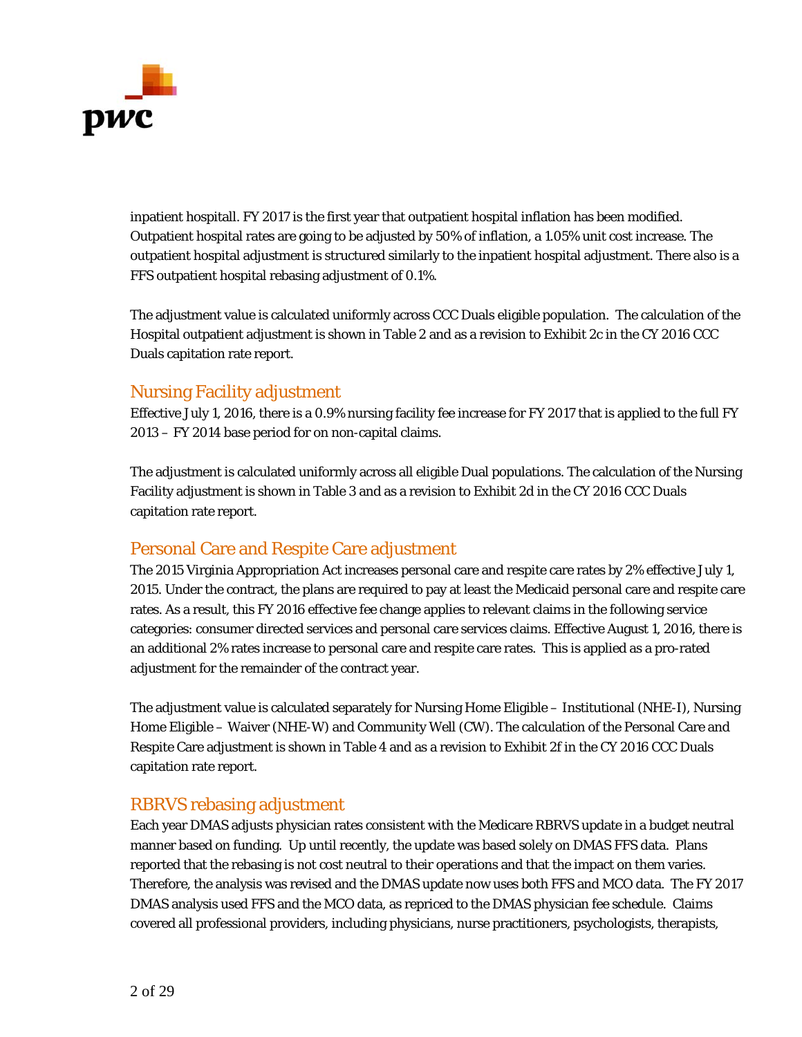

inpatient hospitall. FY 2017 is the first year that outpatient hospital inflation has been modified. Outpatient hospital rates are going to be adjusted by 50% of inflation, a 1.05% unit cost increase. The outpatient hospital adjustment is structured similarly to the inpatient hospital adjustment. There also is a FFS outpatient hospital rebasing adjustment of 0.1%.

The adjustment value is calculated uniformly across CCC Duals eligible population. The calculation of the Hospital outpatient adjustment is shown in Table 2 and as a revision to Exhibit 2c in the CY 2016 CCC Duals capitation rate report.

#### Nursing Facility adjustment

Effective July 1, 2016, there is a 0.9% nursing facility fee increase for FY 2017 that is applied to the full FY 2013 – FY 2014 base period for on non-capital claims.

The adjustment is calculated uniformly across all eligible Dual populations. The calculation of the Nursing Facility adjustment is shown in Table 3 and as a revision to Exhibit 2d in the CY 2016 CCC Duals capitation rate report.

## Personal Care and Respite Care adjustment

The 2015 Virginia Appropriation Act increases personal care and respite care rates by 2% effective July 1, 2015. Under the contract, the plans are required to pay at least the Medicaid personal care and respite care rates. As a result, this FY 2016 effective fee change applies to relevant claims in the following service categories: consumer directed services and personal care services claims. Effective August 1, 2016, there is an additional 2% rates increase to personal care and respite care rates. This is applied as a pro-rated adjustment for the remainder of the contract year.

The adjustment value is calculated separately for Nursing Home Eligible – Institutional (NHE-I), Nursing Home Eligible – Waiver (NHE-W) and Community Well (CW). The calculation of the Personal Care and Respite Care adjustment is shown in Table 4 and as a revision to Exhibit 2f in the CY 2016 CCC Duals capitation rate report.

#### RBRVS rebasing adjustment

Each year DMAS adjusts physician rates consistent with the Medicare RBRVS update in a budget neutral manner based on funding. Up until recently, the update was based solely on DMAS FFS data. Plans reported that the rebasing is not cost neutral to their operations and that the impact on them varies. Therefore, the analysis was revised and the DMAS update now uses both FFS and MCO data. The FY 2017 DMAS analysis used FFS and the MCO data, as repriced to the DMAS physician fee schedule. Claims covered all professional providers, including physicians, nurse practitioners, psychologists, therapists,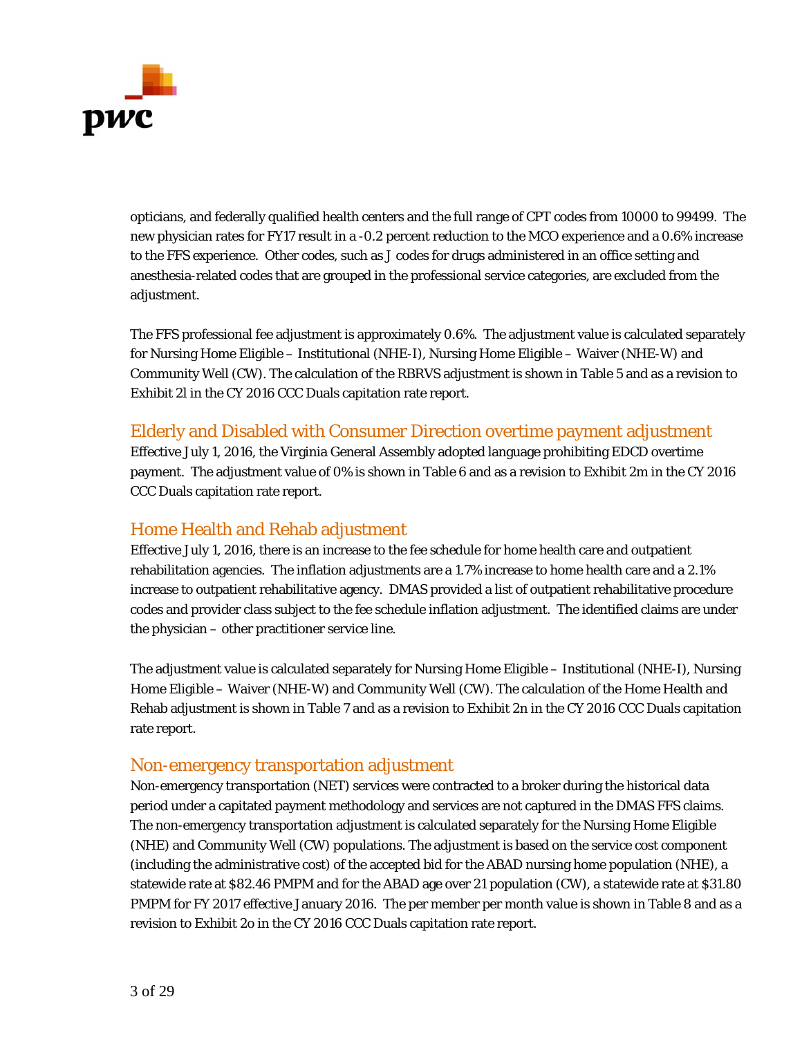

opticians, and federally qualified health centers and the full range of CPT codes from 10000 to 99499. The new physician rates for FY17 result in a -0.2 percent reduction to the MCO experience and a 0.6% increase to the FFS experience. Other codes, such as J codes for drugs administered in an office setting and anesthesia-related codes that are grouped in the professional service categories, are excluded from the adjustment.

The FFS professional fee adjustment is approximately 0.6%. The adjustment value is calculated separately for Nursing Home Eligible – Institutional (NHE-I), Nursing Home Eligible – Waiver (NHE-W) and Community Well (CW). The calculation of the RBRVS adjustment is shown in Table 5 and as a revision to Exhibit 2l in the CY 2016 CCC Duals capitation rate report.

#### Elderly and Disabled with Consumer Direction overtime payment adjustment

Effective July 1, 2016, the Virginia General Assembly adopted language prohibiting EDCD overtime payment. The adjustment value of 0% is shown in Table 6 and as a revision to Exhibit 2m in the CY 2016 CCC Duals capitation rate report.

#### Home Health and Rehab adjustment

Effective July 1, 2016, there is an increase to the fee schedule for home health care and outpatient rehabilitation agencies. The inflation adjustments are a 1.7% increase to home health care and a 2.1% increase to outpatient rehabilitative agency. DMAS provided a list of outpatient rehabilitative procedure codes and provider class subject to the fee schedule inflation adjustment. The identified claims are under the physician – other practitioner service line.

The adjustment value is calculated separately for Nursing Home Eligible – Institutional (NHE-I), Nursing Home Eligible – Waiver (NHE-W) and Community Well (CW). The calculation of the Home Health and Rehab adjustment is shown in Table 7 and as a revision to Exhibit 2n in the CY 2016 CCC Duals capitation rate report.

#### Non-emergency transportation adjustment

Non-emergency transportation (NET) services were contracted to a broker during the historical data period under a capitated payment methodology and services are not captured in the DMAS FFS claims. The non-emergency transportation adjustment is calculated separately for the Nursing Home Eligible (NHE) and Community Well (CW) populations. The adjustment is based on the service cost component (including the administrative cost) of the accepted bid for the ABAD nursing home population (NHE), a statewide rate at \$82.46 PMPM and for the ABAD age over 21 population (CW), a statewide rate at \$31.80 PMPM for FY 2017 effective January 2016. The per member per month value is shown in Table 8 and as a revision to Exhibit 2o in the CY 2016 CCC Duals capitation rate report.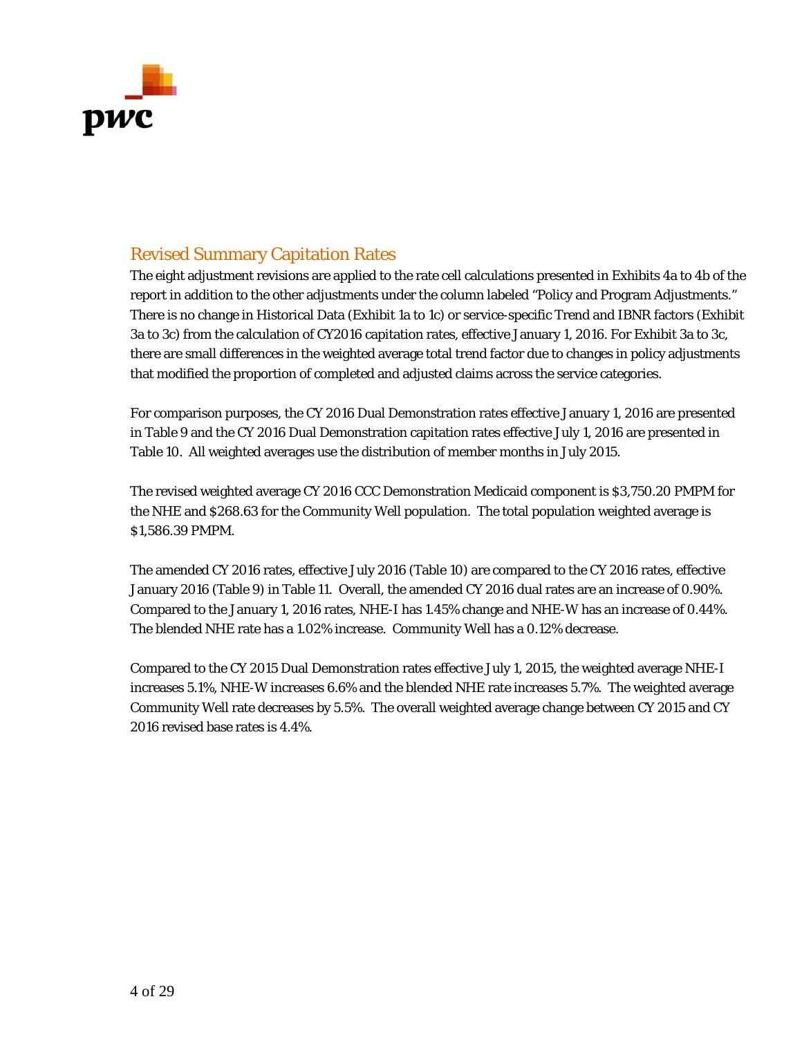

## Revised Summary Capitation Rates

The eight adjustment revisions are applied to the rate cell calculations presented in Exhibits 4a to 4b of the report in addition to the other adjustments under the column labeled "Policy and Program Adjustments." There is no change in Historical Data (Exhibit 1a to 1c) or service-specific Trend and IBNR factors (Exhibit 3a to 3c) from the calculation of CY2016 capitation rates, effective January 1, 2016. For Exhibit 3a to 3c, there are small differences in the weighted average total trend factor due to changes in policy adjustments that modified the proportion of completed and adjusted claims across the service categories.

For comparison purposes, the CY 2016 Dual Demonstration rates effective January 1, 2016 are presented in Table 9 and the CY 2016 Dual Demonstration capitation rates effective July 1, 2016 are presented in Table 10. All weighted averages use the distribution of member months in July 2015.

The revised weighted average CY 2016 CCC Demonstration Medicaid component is \$3,750.20 PMPM for the NHE and \$268.63 for the Community Well population. The total population weighted average is \$1,586.39 PMPM.

The amended CY 2016 rates, effective July 2016 (Table 10) are compared to the CY 2016 rates, effective January 2016 (Table 9) in Table 11. Overall, the amended CY 2016 dual rates are an increase of 0.90%. Compared to the January 1, 2016 rates, NHE-I has 1.45% change and NHE-W has an increase of 0.44%. The blended NHE rate has a 1.02% increase. Community Well has a 0.12% decrease.

Compared to the CY 2015 Dual Demonstration rates effective July 1, 2015, the weighted average NHE-I increases 5.1%, NHE-W increases 6.6% and the blended NHE rate increases 5.7%. The weighted average Community Well rate decreases by 5.5%. The overall weighted average change between CY 2015 and CY 2016 revised base rates is 4.4%.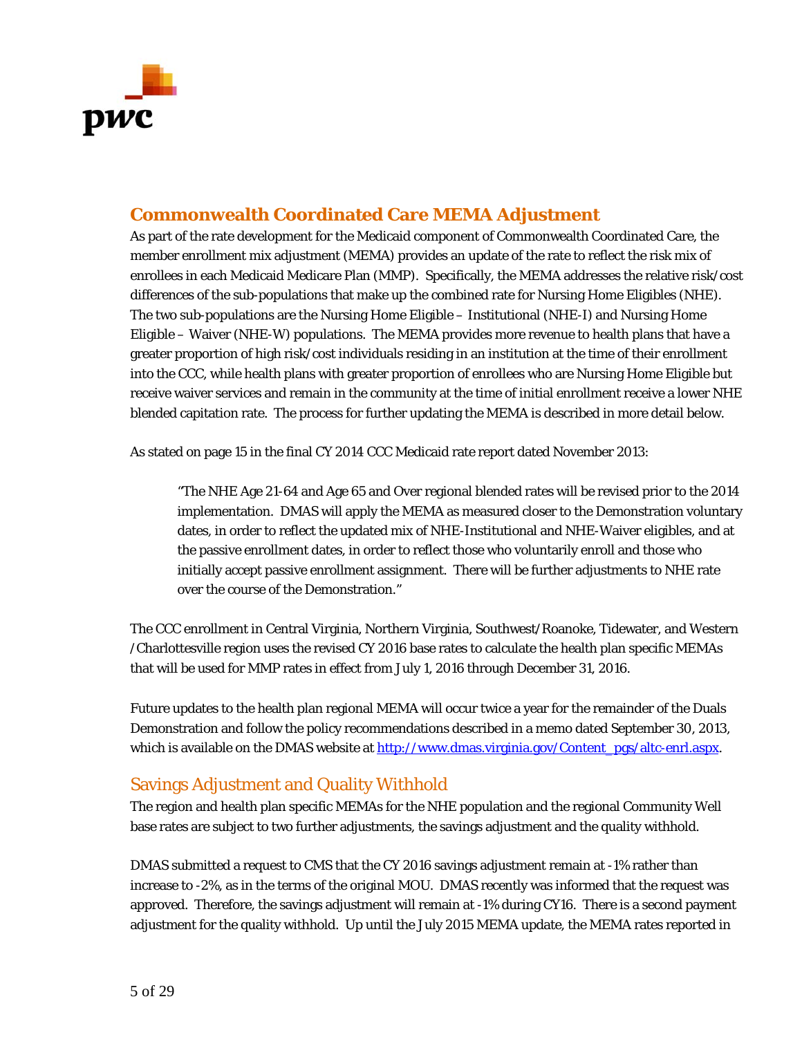

## **Commonwealth Coordinated Care MEMA Adjustment**

As part of the rate development for the Medicaid component of Commonwealth Coordinated Care, the member enrollment mix adjustment (MEMA) provides an update of the rate to reflect the risk mix of enrollees in each Medicaid Medicare Plan (MMP). Specifically, the MEMA addresses the relative risk/cost differences of the sub-populations that make up the combined rate for Nursing Home Eligibles (NHE). The two sub-populations are the Nursing Home Eligible – Institutional (NHE-I) and Nursing Home Eligible – Waiver (NHE-W) populations. The MEMA provides more revenue to health plans that have a greater proportion of high risk/cost individuals residing in an institution at the time of their enrollment into the CCC, while health plans with greater proportion of enrollees who are Nursing Home Eligible but receive waiver services and remain in the community at the time of initial enrollment receive a lower NHE blended capitation rate. The process for further updating the MEMA is described in more detail below.

As stated on page 15 in the final CY 2014 CCC Medicaid rate report dated November 2013:

"The NHE Age 21-64 and Age 65 and Over regional blended rates will be revised prior to the 2014 implementation. DMAS will apply the MEMA as measured closer to the Demonstration voluntary dates, in order to reflect the updated mix of NHE-Institutional and NHE-Waiver eligibles, and at the passive enrollment dates, in order to reflect those who voluntarily enroll and those who initially accept passive enrollment assignment. There will be further adjustments to NHE rate over the course of the Demonstration."

The CCC enrollment in Central Virginia, Northern Virginia, Southwest/Roanoke, Tidewater, and Western /Charlottesville region uses the revised CY 2016 base rates to calculate the health plan specific MEMAs that will be used for MMP rates in effect from July 1, 2016 through December 31, 2016.

Future updates to the health plan regional MEMA will occur twice a year for the remainder of the Duals Demonstration and follow the policy recommendations described in a memo dated September 30, 2013, which is available on the DMAS website at http://www.dmas.virginia.gov/Content\_pgs/altc-enrl.aspx.

## Savings Adjustment and Quality Withhold

The region and health plan specific MEMAs for the NHE population and the regional Community Well base rates are subject to two further adjustments, the savings adjustment and the quality withhold.

DMAS submitted a request to CMS that the CY 2016 savings adjustment remain at -1% rather than increase to -2%, as in the terms of the original MOU. DMAS recently was informed that the request was approved. Therefore, the savings adjustment will remain at -1% during CY16. There is a second payment adjustment for the quality withhold. Up until the July 2015 MEMA update, the MEMA rates reported in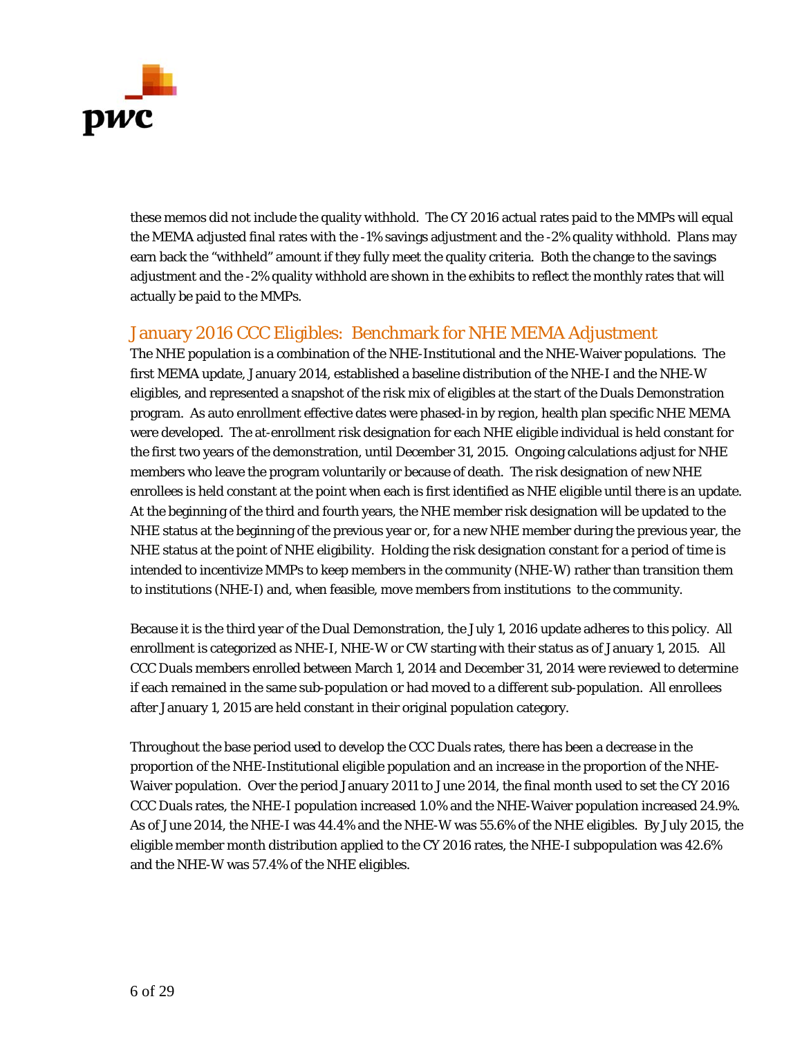

these memos did not include the quality withhold. The CY 2016 actual rates paid to the MMPs will equal the MEMA adjusted final rates with the -1% savings adjustment and the -2% quality withhold. Plans may earn back the "withheld" amount if they fully meet the quality criteria. Both the change to the savings adjustment and the -2% quality withhold are shown in the exhibits to reflect the monthly rates that will actually be paid to the MMPs.

## January 2016 CCC Eligibles: Benchmark for NHE MEMA Adjustment

The NHE population is a combination of the NHE-Institutional and the NHE-Waiver populations. The first MEMA update, January 2014, established a baseline distribution of the NHE-I and the NHE-W eligibles, and represented a snapshot of the risk mix of eligibles at the start of the Duals Demonstration program. As auto enrollment effective dates were phased-in by region, health plan specific NHE MEMA were developed. The at-enrollment risk designation for each NHE eligible individual is held constant for the first two years of the demonstration, until December 31, 2015. Ongoing calculations adjust for NHE members who leave the program voluntarily or because of death. The risk designation of new NHE enrollees is held constant at the point when each is first identified as NHE eligible until there is an update. At the beginning of the third and fourth years, the NHE member risk designation will be updated to the NHE status at the beginning of the previous year or, for a new NHE member during the previous year, the NHE status at the point of NHE eligibility. Holding the risk designation constant for a period of time is intended to incentivize MMPs to keep members in the community (NHE-W) rather than transition them to institutions (NHE-I) and, when feasible, move members from institutions to the community.

Because it is the third year of the Dual Demonstration, the July 1, 2016 update adheres to this policy. All enrollment is categorized as NHE-I, NHE-W or CW starting with their status as of January 1, 2015. All CCC Duals members enrolled between March 1, 2014 and December 31, 2014 were reviewed to determine if each remained in the same sub-population or had moved to a different sub-population. All enrollees after January 1, 2015 are held constant in their original population category.

Throughout the base period used to develop the CCC Duals rates, there has been a decrease in the proportion of the NHE-Institutional eligible population and an increase in the proportion of the NHE-Waiver population. Over the period January 2011 to June 2014, the final month used to set the CY 2016 CCC Duals rates, the NHE-I population increased 1.0% and the NHE-Waiver population increased 24.9%. As of June 2014, the NHE-I was 44.4% and the NHE-W was 55.6% of the NHE eligibles. By July 2015, the eligible member month distribution applied to the CY 2016 rates, the NHE-I subpopulation was 42.6% and the NHE-W was 57.4% of the NHE eligibles.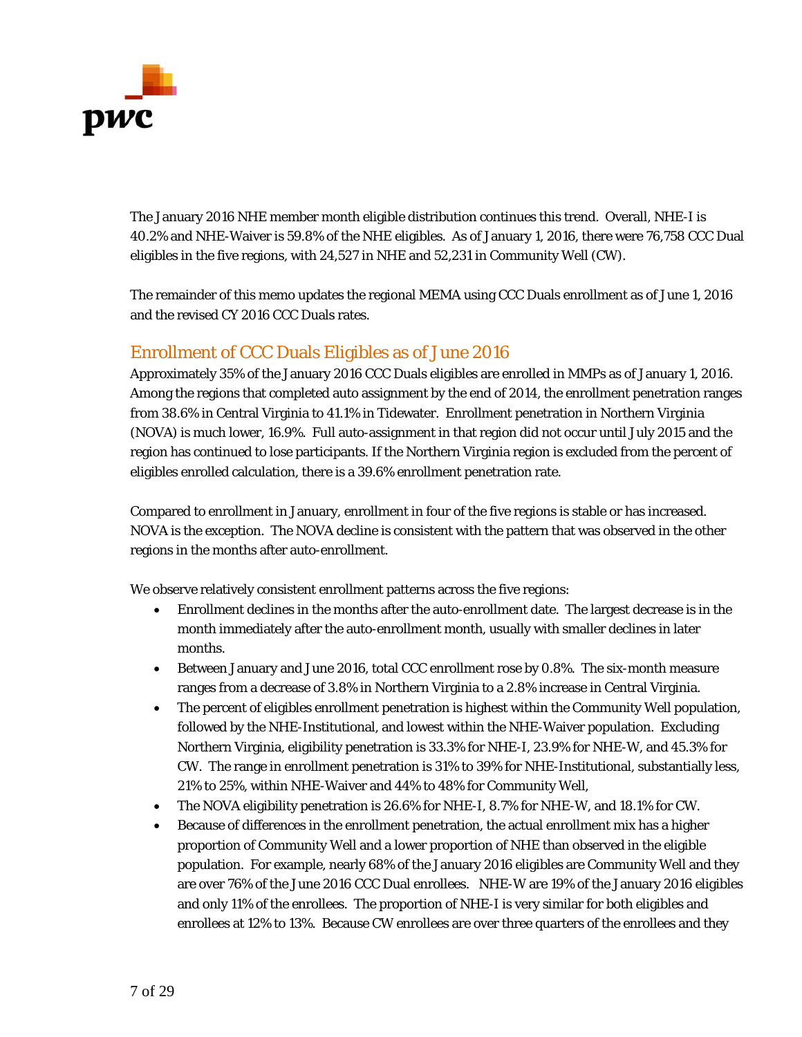

The January 2016 NHE member month eligible distribution continues this trend. Overall, NHE-I is 40.2% and NHE-Waiver is 59.8% of the NHE eligibles. As of January 1, 2016, there were 76,758 CCC Dual eligibles in the five regions, with 24,527 in NHE and 52,231 in Community Well (CW).

The remainder of this memo updates the regional MEMA using CCC Duals enrollment as of June 1, 2016 and the revised CY 2016 CCC Duals rates.

## Enrollment of CCC Duals Eligibles as of June 2016

Approximately 35% of the January 2016 CCC Duals eligibles are enrolled in MMPs as of January 1, 2016. Among the regions that completed auto assignment by the end of 2014, the enrollment penetration ranges from 38.6% in Central Virginia to 41.1% in Tidewater. Enrollment penetration in Northern Virginia (NOVA) is much lower, 16.9%. Full auto-assignment in that region did not occur until July 2015 and the region has continued to lose participants. If the Northern Virginia region is excluded from the percent of eligibles enrolled calculation, there is a 39.6% enrollment penetration rate.

Compared to enrollment in January, enrollment in four of the five regions is stable or has increased. NOVA is the exception. The NOVA decline is consistent with the pattern that was observed in the other regions in the months after auto-enrollment.

We observe relatively consistent enrollment patterns across the five regions:

- Enrollment declines in the months after the auto-enrollment date. The largest decrease is in the month immediately after the auto-enrollment month, usually with smaller declines in later months.
- Between January and June 2016, total CCC enrollment rose by 0.8%. The six-month measure ranges from a decrease of 3.8% in Northern Virginia to a 2.8% increase in Central Virginia.
- The percent of eligibles enrollment penetration is highest within the Community Well population, followed by the NHE-Institutional, and lowest within the NHE-Waiver population. Excluding Northern Virginia, eligibility penetration is 33.3% for NHE-I, 23.9% for NHE-W, and 45.3% for CW. The range in enrollment penetration is 31% to 39% for NHE-Institutional, substantially less, 21% to 25%, within NHE-Waiver and 44% to 48% for Community Well,
- The NOVA eligibility penetration is 26.6% for NHE-I, 8.7% for NHE-W, and 18.1% for CW.
- Because of differences in the enrollment penetration, the actual enrollment mix has a higher proportion of Community Well and a lower proportion of NHE than observed in the eligible population. For example, nearly 68% of the January 2016 eligibles are Community Well and they are over 76% of the June 2016 CCC Dual enrollees. NHE-W are 19% of the January 2016 eligibles and only 11% of the enrollees. The proportion of NHE-I is very similar for both eligibles and enrollees at 12% to 13%. Because CW enrollees are over three quarters of the enrollees and they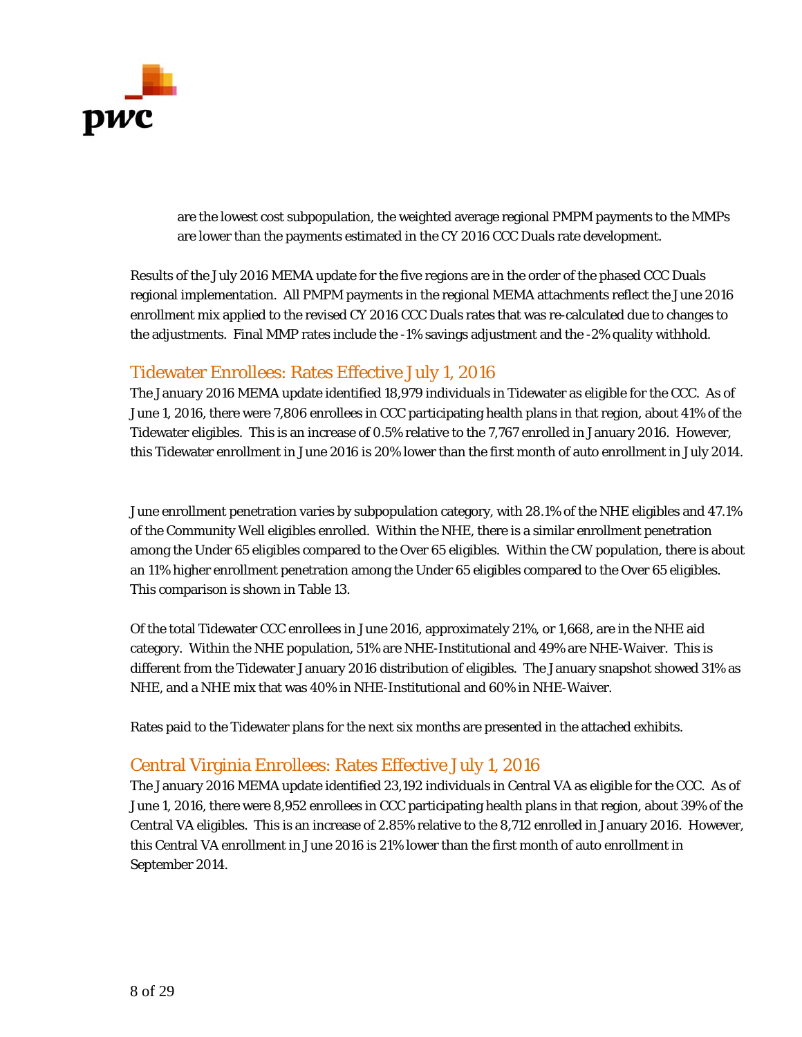

are the lowest cost subpopulation, the weighted average regional PMPM payments to the MMPs are lower than the payments estimated in the CY 2016 CCC Duals rate development.

Results of the July 2016 MEMA update for the five regions are in the order of the phased CCC Duals regional implementation. All PMPM payments in the regional MEMA attachments reflect the June 2016 enrollment mix applied to the revised CY 2016 CCC Duals rates that was re-calculated due to changes to the adjustments. Final MMP rates include the -1% savings adjustment and the -2% quality withhold.

#### Tidewater Enrollees: Rates Effective July 1, 2016

The January 2016 MEMA update identified 18,979 individuals in Tidewater as eligible for the CCC. As of June 1, 2016, there were 7,806 enrollees in CCC participating health plans in that region, about 41% of the Tidewater eligibles. This is an increase of 0.5% relative to the 7,767 enrolled in January 2016. However, this Tidewater enrollment in June 2016 is 20% lower than the first month of auto enrollment in July 2014.

June enrollment penetration varies by subpopulation category, with 28.1% of the NHE eligibles and 47.1% of the Community Well eligibles enrolled. Within the NHE, there is a similar enrollment penetration among the Under 65 eligibles compared to the Over 65 eligibles. Within the CW population, there is about an 11% higher enrollment penetration among the Under 65 eligibles compared to the Over 65 eligibles. This comparison is shown in Table 13.

Of the total Tidewater CCC enrollees in June 2016, approximately 21%, or 1,668, are in the NHE aid category. Within the NHE population, 51% are NHE-Institutional and 49% are NHE-Waiver. This is different from the Tidewater January 2016 distribution of eligibles. The January snapshot showed 31% as NHE, and a NHE mix that was 40% in NHE-Institutional and 60% in NHE-Waiver.

Rates paid to the Tidewater plans for the next six months are presented in the attached exhibits.

#### Central Virginia Enrollees: Rates Effective July 1, 2016

The January 2016 MEMA update identified 23,192 individuals in Central VA as eligible for the CCC. As of June 1, 2016, there were 8,952 enrollees in CCC participating health plans in that region, about 39% of the Central VA eligibles. This is an increase of 2.85% relative to the 8,712 enrolled in January 2016. However, this Central VA enrollment in June 2016 is 21% lower than the first month of auto enrollment in September 2014.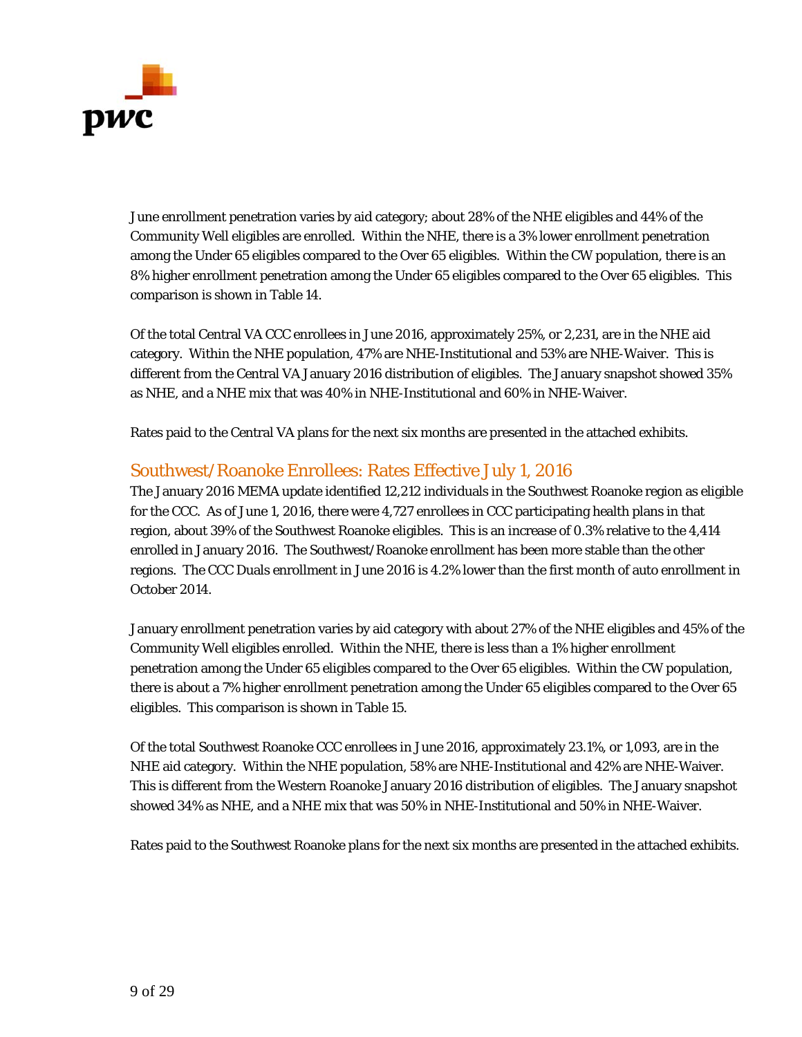

June enrollment penetration varies by aid category; about 28% of the NHE eligibles and 44% of the Community Well eligibles are enrolled. Within the NHE, there is a 3% lower enrollment penetration among the Under 65 eligibles compared to the Over 65 eligibles. Within the CW population, there is an 8% higher enrollment penetration among the Under 65 eligibles compared to the Over 65 eligibles. This comparison is shown in Table 14.

Of the total Central VA CCC enrollees in June 2016, approximately 25%, or 2,231, are in the NHE aid category. Within the NHE population, 47% are NHE-Institutional and 53% are NHE-Waiver. This is different from the Central VA January 2016 distribution of eligibles. The January snapshot showed 35% as NHE, and a NHE mix that was 40% in NHE-Institutional and 60% in NHE-Waiver.

Rates paid to the Central VA plans for the next six months are presented in the attached exhibits.

#### Southwest/Roanoke Enrollees: Rates Effective July 1, 2016

The January 2016 MEMA update identified 12,212 individuals in the Southwest Roanoke region as eligible for the CCC. As of June 1, 2016, there were 4,727 enrollees in CCC participating health plans in that region, about 39% of the Southwest Roanoke eligibles. This is an increase of 0.3% relative to the 4,414 enrolled in January 2016. The Southwest/Roanoke enrollment has been more stable than the other regions. The CCC Duals enrollment in June 2016 is 4.2% lower than the first month of auto enrollment in October 2014.

January enrollment penetration varies by aid category with about 27% of the NHE eligibles and 45% of the Community Well eligibles enrolled. Within the NHE, there is less than a 1% higher enrollment penetration among the Under 65 eligibles compared to the Over 65 eligibles. Within the CW population, there is about a 7% higher enrollment penetration among the Under 65 eligibles compared to the Over 65 eligibles. This comparison is shown in Table 15.

Of the total Southwest Roanoke CCC enrollees in June 2016, approximately 23.1%, or 1,093, are in the NHE aid category. Within the NHE population, 58% are NHE-Institutional and 42% are NHE-Waiver. This is different from the Western Roanoke January 2016 distribution of eligibles. The January snapshot showed 34% as NHE, and a NHE mix that was 50% in NHE-Institutional and 50% in NHE-Waiver.

Rates paid to the Southwest Roanoke plans for the next six months are presented in the attached exhibits.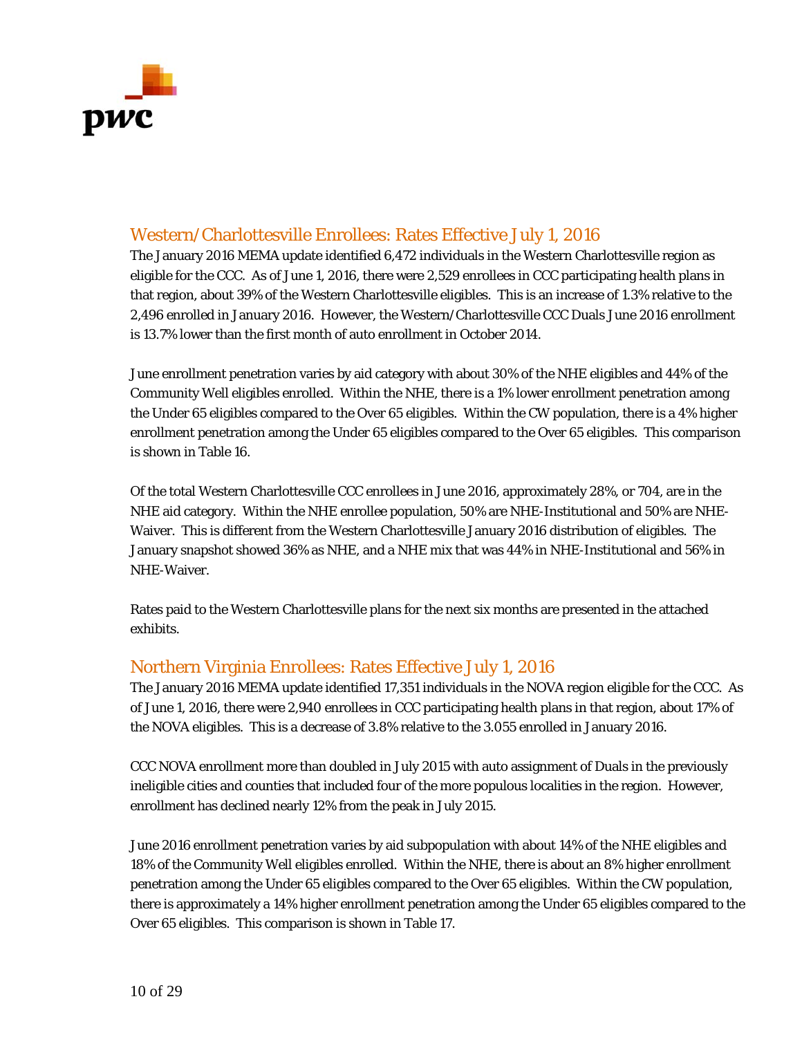

#### Western/Charlottesville Enrollees: Rates Effective July 1, 2016

The January 2016 MEMA update identified 6,472 individuals in the Western Charlottesville region as eligible for the CCC. As of June 1, 2016, there were 2,529 enrollees in CCC participating health plans in that region, about 39% of the Western Charlottesville eligibles. This is an increase of 1.3% relative to the 2,496 enrolled in January 2016. However, the Western/Charlottesville CCC Duals June 2016 enrollment is 13.7% lower than the first month of auto enrollment in October 2014.

June enrollment penetration varies by aid category with about 30% of the NHE eligibles and 44% of the Community Well eligibles enrolled. Within the NHE, there is a 1% lower enrollment penetration among the Under 65 eligibles compared to the Over 65 eligibles. Within the CW population, there is a 4% higher enrollment penetration among the Under 65 eligibles compared to the Over 65 eligibles. This comparison is shown in Table 16.

Of the total Western Charlottesville CCC enrollees in June 2016, approximately 28%, or 704, are in the NHE aid category. Within the NHE enrollee population, 50% are NHE-Institutional and 50% are NHE-Waiver. This is different from the Western Charlottesville January 2016 distribution of eligibles. The January snapshot showed 36% as NHE, and a NHE mix that was 44% in NHE-Institutional and 56% in NHE-Waiver.

Rates paid to the Western Charlottesville plans for the next six months are presented in the attached exhibits.

## Northern Virginia Enrollees: Rates Effective July 1, 2016

The January 2016 MEMA update identified 17,351 individuals in the NOVA region eligible for the CCC. As of June 1, 2016, there were 2,940 enrollees in CCC participating health plans in that region, about 17% of the NOVA eligibles. This is a decrease of 3.8% relative to the 3.055 enrolled in January 2016.

CCC NOVA enrollment more than doubled in July 2015 with auto assignment of Duals in the previously ineligible cities and counties that included four of the more populous localities in the region. However, enrollment has declined nearly 12% from the peak in July 2015.

June 2016 enrollment penetration varies by aid subpopulation with about 14% of the NHE eligibles and 18% of the Community Well eligibles enrolled. Within the NHE, there is about an 8% higher enrollment penetration among the Under 65 eligibles compared to the Over 65 eligibles. Within the CW population, there is approximately a 14% higher enrollment penetration among the Under 65 eligibles compared to the Over 65 eligibles. This comparison is shown in Table 17.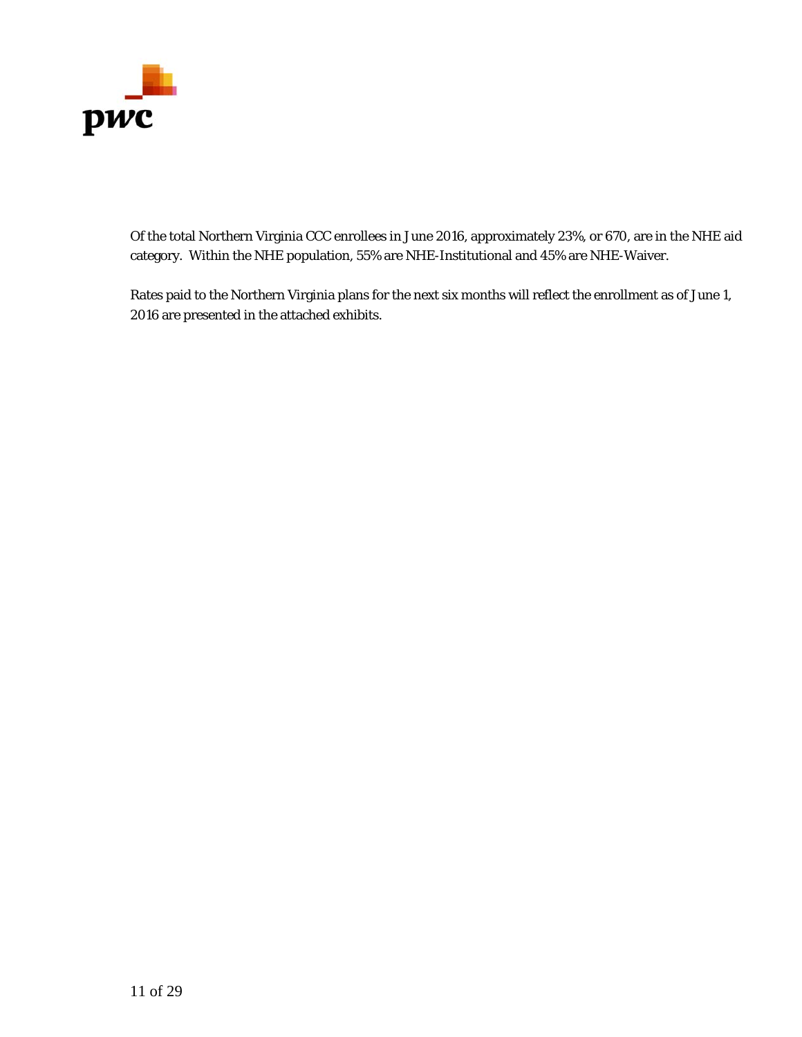

Of the total Northern Virginia CCC enrollees in June 2016, approximately 23%, or 670, are in the NHE aid category. Within the NHE population, 55% are NHE-Institutional and 45% are NHE-Waiver.

Rates paid to the Northern Virginia plans for the next six months will reflect the enrollment as of June 1, 2016 are presented in the attached exhibits.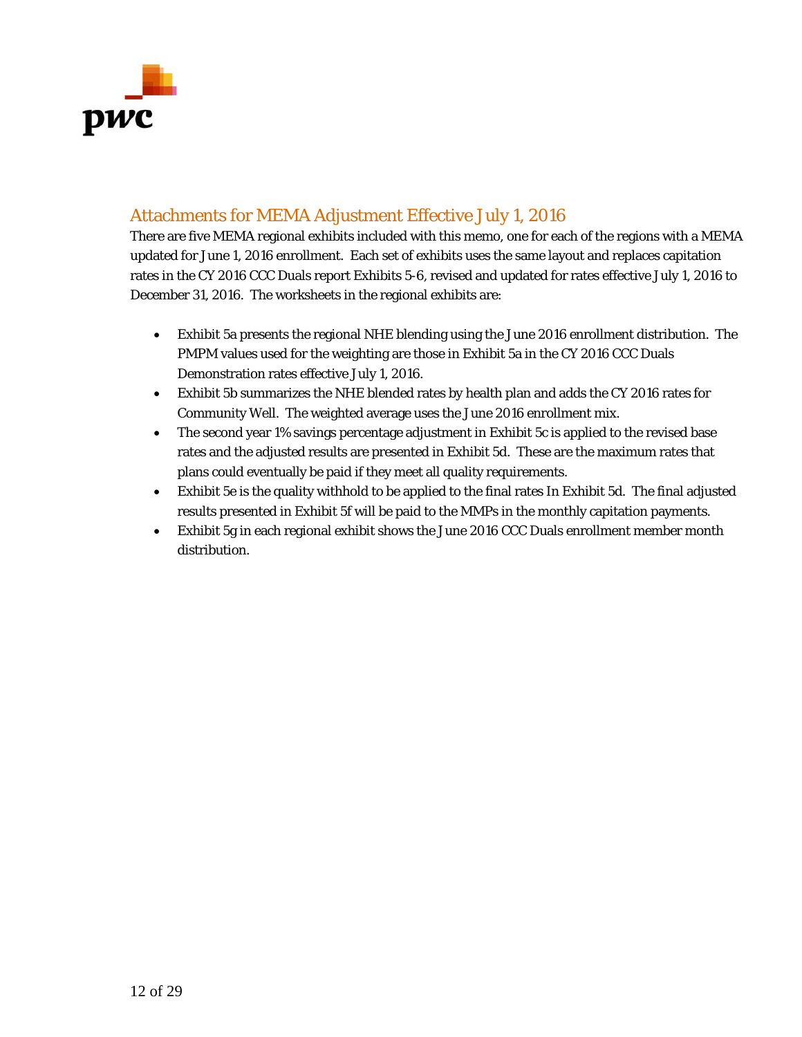

## Attachments for MEMA Adjustment Effective July 1, 2016

There are five MEMA regional exhibits included with this memo, one for each of the regions with a MEMA updated for June 1, 2016 enrollment. Each set of exhibits uses the same layout and replaces capitation rates in the CY 2016 CCC Duals report Exhibits 5-6, revised and updated for rates effective July 1, 2016 to December 31, 2016. The worksheets in the regional exhibits are:

- Exhibit 5a presents the regional NHE blending using the June 2016 enrollment distribution. The PMPM values used for the weighting are those in Exhibit 5a in the CY 2016 CCC Duals Demonstration rates effective July 1, 2016.
- Exhibit 5b summarizes the NHE blended rates by health plan and adds the CY 2016 rates for Community Well. The weighted average uses the June 2016 enrollment mix.
- The second year 1% savings percentage adjustment in Exhibit 5c is applied to the revised base rates and the adjusted results are presented in Exhibit 5d. These are the maximum rates that plans could eventually be paid if they meet all quality requirements.
- Exhibit 5e is the quality withhold to be applied to the final rates In Exhibit 5d. The final adjusted results presented in Exhibit 5f will be paid to the MMPs in the monthly capitation payments.
- Exhibit 5g in each regional exhibit shows the June 2016 CCC Duals enrollment member month distribution.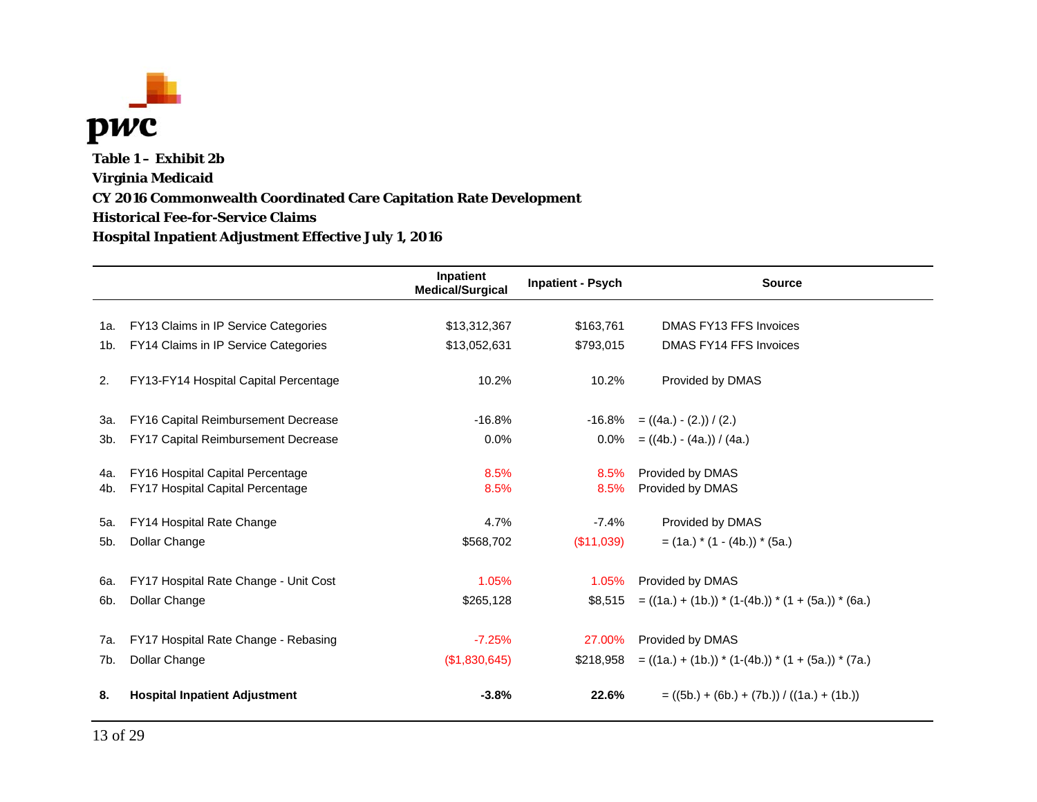

**Table 1 – Exhibit 2b Virginia Medicaid CY 2016 Commonwealth Coordinated Care Capitation Rate Development Historical Fee-for-Service ClaimsHospital Inpatient Adjustment Effective July 1, 2016**

|     |                                            | Inpatient<br><b>Medical/Surgical</b> | <b>Inpatient - Psych</b> | <b>Source</b>                                        |
|-----|--------------------------------------------|--------------------------------------|--------------------------|------------------------------------------------------|
|     |                                            |                                      |                          | DMAS FY13 FFS Invoices                               |
| 1a. | FY13 Claims in IP Service Categories       | \$13,312,367                         | \$163,761                |                                                      |
| 1b. | FY14 Claims in IP Service Categories       | \$13,052,631                         | \$793,015                | DMAS FY14 FFS Invoices                               |
| 2.  | FY13-FY14 Hospital Capital Percentage      | 10.2%                                | 10.2%                    | Provided by DMAS                                     |
| За. | FY16 Capital Reimbursement Decrease        | $-16.8%$                             |                          | $-16.8\% = ((4a.) - (2.)) / (2.)$                    |
| 3b. | <b>FY17 Capital Reimbursement Decrease</b> | $0.0\%$                              |                          | $0.0\% = ((4b.) - (4a.)) / (4a.)$                    |
| 4a. | FY16 Hospital Capital Percentage           | 8.5%                                 | 8.5%                     | Provided by DMAS                                     |
| 4b. | FY17 Hospital Capital Percentage           | 8.5%                                 | 8.5%                     | Provided by DMAS                                     |
| 5а. | FY14 Hospital Rate Change                  | 4.7%                                 | $-7.4%$                  | Provided by DMAS                                     |
| 5b. | Dollar Change                              | \$568,702                            | (\$11,039)               | $=$ (1a.) $*(1 - (4b.)) * (5a.)$                     |
| 6а. | FY17 Hospital Rate Change - Unit Cost      | 1.05%                                | 1.05%                    | Provided by DMAS                                     |
| 6b. | Dollar Change                              | \$265,128                            | \$8,515                  | $= ((1a.) + (1b.)) * (1-(4b.)) * (1+(5a.)) * (6a.))$ |
|     |                                            |                                      |                          |                                                      |
| 7a. | FY17 Hospital Rate Change - Rebasing       | $-7.25%$                             | 27.00%                   | Provided by DMAS                                     |
| 7b. | Dollar Change                              | (\$1,830,645)                        | \$218,958                | $= ((1a.) + (1b.)) * (1-(4b.)) * (1+(5a.)) * (7a.))$ |
| 8.  | <b>Hospital Inpatient Adjustment</b>       | $-3.8%$                              | 22.6%                    | $= ((5b.) + (6b.) + (7b.)) / ((1a.) + (1b.))$        |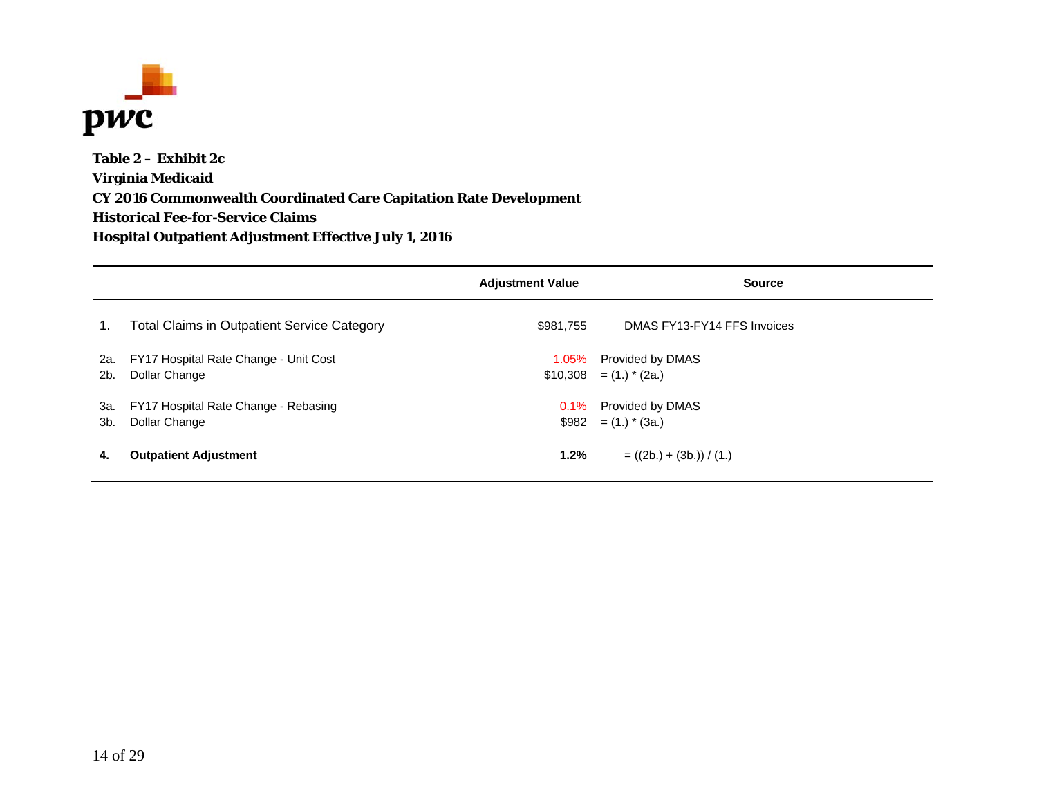

**Table 2 – Exhibit 2c Virginia Medicaid CY 2016 Commonwealth Coordinated Care Capitation Rate Development Historical Fee-for-Service ClaimsHospital Outpatient Adjustment Effective July 1, 2016**

|            |                                                        | <b>Adjustment Value</b> | <b>Source</b>                                |
|------------|--------------------------------------------------------|-------------------------|----------------------------------------------|
| 1.         | <b>Total Claims in Outpatient Service Category</b>     | \$981,755               | DMAS FY13-FY14 FFS Invoices                  |
| 2a.<br>2b. | FY17 Hospital Rate Change - Unit Cost<br>Dollar Change | 1.05%                   | Provided by DMAS<br>$$10,308 = (1.) * (2a.)$ |
| 3а.<br>3b. | FY17 Hospital Rate Change - Rebasing<br>Dollar Change  | $0.1\%$                 | Provided by DMAS<br>$$982 = (1.) * (3a.)$    |
| 4.         | <b>Outpatient Adjustment</b>                           | 1.2%                    | $= ((2b.) + (3b.)) / (1.)$                   |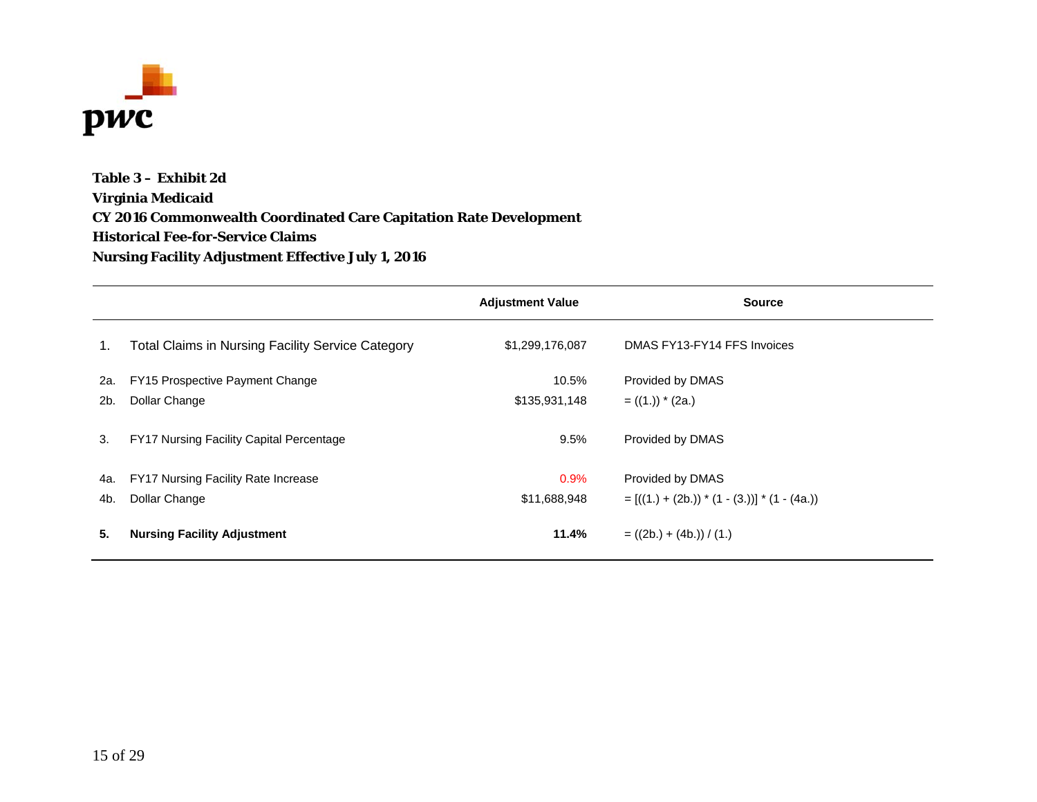

**Table 3 – Exhibit 2d Virginia Medicaid CY 2016 Commonwealth Coordinated Care Capitation Rate Development Historical Fee-for-Service ClaimsNursing Facility Adjustment Effective July 1, 2016**

|     |                                                          | <b>Adjustment Value</b> | <b>Source</b>                                   |
|-----|----------------------------------------------------------|-------------------------|-------------------------------------------------|
| 1.  | <b>Total Claims in Nursing Facility Service Category</b> | \$1,299,176,087         | DMAS FY13-FY14 FFS Invoices                     |
| 2a. | FY15 Prospective Payment Change                          | 10.5%                   | Provided by DMAS                                |
| 2b. | Dollar Change                                            | \$135,931,148           | $= ((1.))$ * (2a.)                              |
| 3.  | <b>FY17 Nursing Facility Capital Percentage</b>          | 9.5%                    | Provided by DMAS                                |
| 4a. | FY17 Nursing Facility Rate Increase                      | 0.9%                    | Provided by DMAS                                |
| 4b. | Dollar Change                                            | \$11,688,948            | $= [((1.) + (2b.)) * (1 - (3.))] * (1 - (4a.))$ |
| 5.  | <b>Nursing Facility Adjustment</b>                       | 11.4%                   | $= ((2b.) + (4b.)) / (1.)$                      |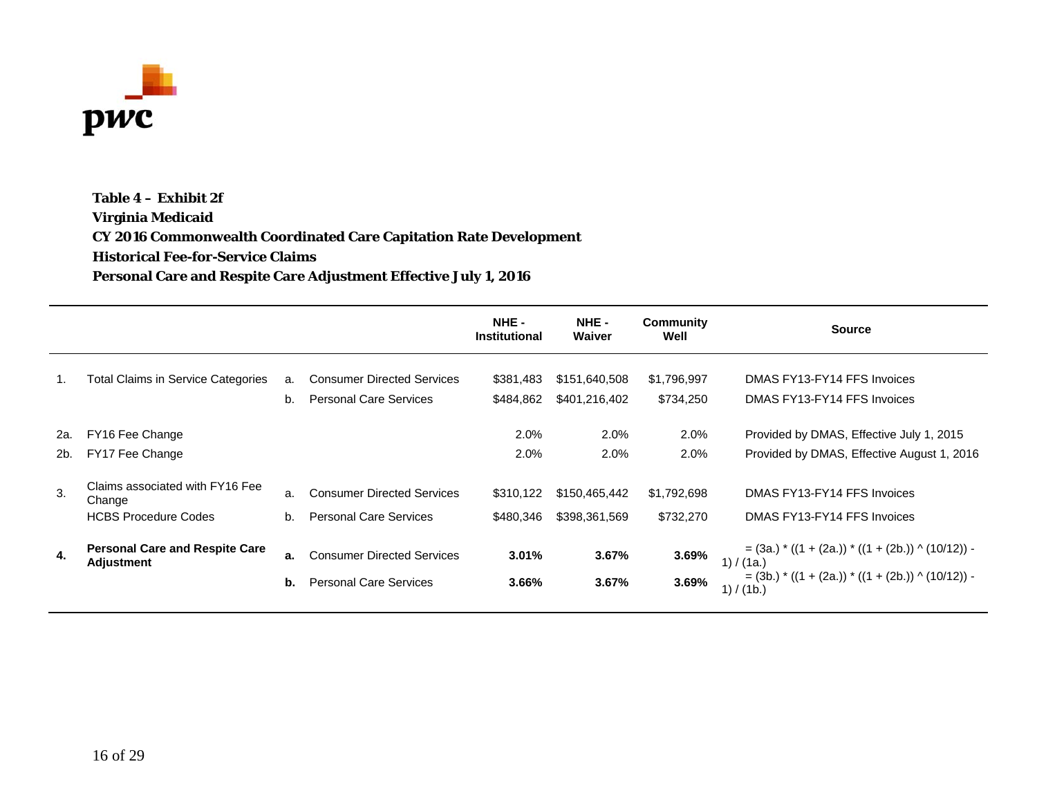

**Table 4 – Exhibit 2f Virginia Medicaid CY 2016 Commonwealth Coordinated Care Capitation Rate Development Historical Fee-for-Service ClaimsPersonal Care and Respite Care Adjustment Effective July 1, 2016**

|            |                                                                          |                      |                                                                    | NHE-<br><b>Institutional</b> | NHE-<br>Waiver                 | <b>Community</b><br>Well | <b>Source</b>                                                                                                                                          |
|------------|--------------------------------------------------------------------------|----------------------|--------------------------------------------------------------------|------------------------------|--------------------------------|--------------------------|--------------------------------------------------------------------------------------------------------------------------------------------------------|
| 1.         | Total Claims in Service Categories                                       | a.<br>b.             | <b>Consumer Directed Services</b><br><b>Personal Care Services</b> | \$381,483<br>\$484,862       | \$151,640,508<br>\$401,216,402 | \$1,796,997<br>\$734,250 | DMAS FY13-FY14 FFS Invoices<br>DMAS FY13-FY14 FFS Invoices                                                                                             |
| 2a.<br>2b. | FY16 Fee Change<br>FY17 Fee Change                                       |                      |                                                                    | 2.0%<br>2.0%                 | 2.0%<br>2.0%                   | 2.0%<br>2.0%             | Provided by DMAS, Effective July 1, 2015<br>Provided by DMAS, Effective August 1, 2016                                                                 |
| 3.         | Claims associated with FY16 Fee<br>Change<br><b>HCBS Procedure Codes</b> | a <sub>1</sub><br>b. | <b>Consumer Directed Services</b><br><b>Personal Care Services</b> | \$310,122<br>\$480,346       | \$150,465,442<br>\$398,361,569 | \$1,792,698<br>\$732,270 | DMAS FY13-FY14 FFS Invoices<br>DMAS FY13-FY14 FFS Invoices                                                                                             |
| 4.         | <b>Personal Care and Respite Care</b><br><b>Adjustment</b>               | a.<br>b.             | <b>Consumer Directed Services</b><br><b>Personal Care Services</b> | 3.01%<br>3.66%               | 3.67%<br>3.67%                 | 3.69%<br>3.69%           | $=$ (3a.) $*($ (1 + (2a.)) $*($ (1 + (2b.)) $\land$ (10/12)) -<br>1) / (1a.)<br>$=$ (3b.) $*($ (1 + (2a.)) $*($ (1 + (2b.)) ^ (10/12)) -<br>1) / (1b.) |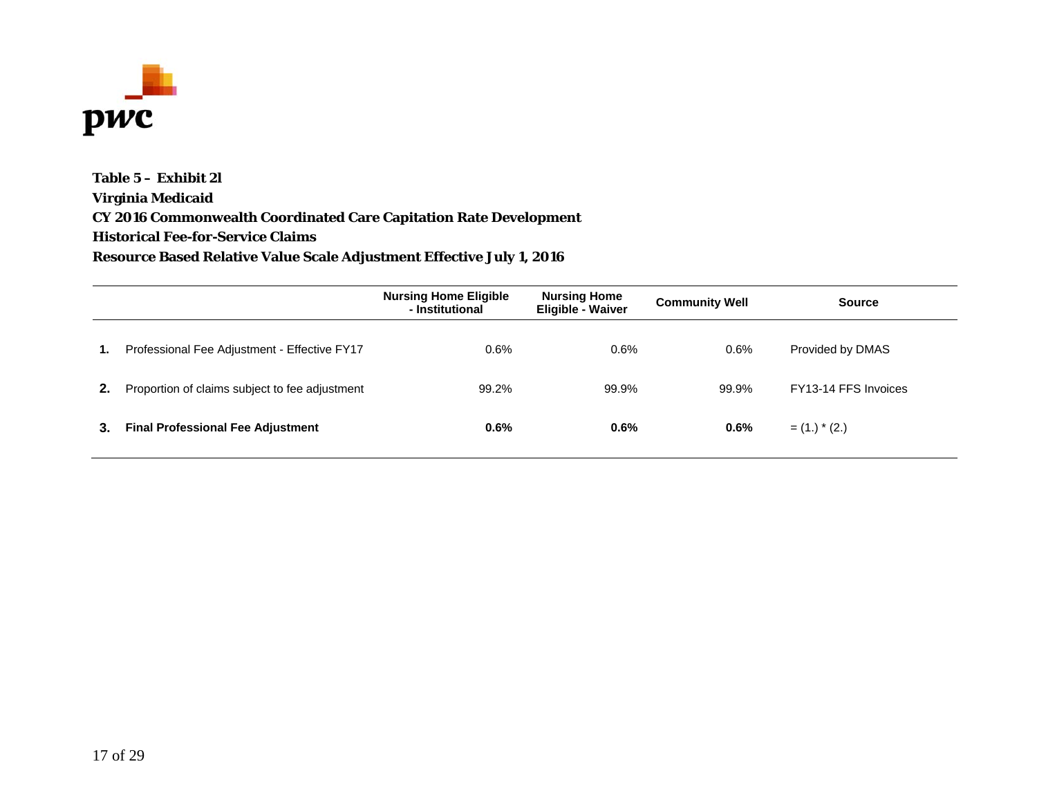

**Table 5 – Exhibit 2l Virginia Medicaid CY 2016 Commonwealth Coordinated Care Capitation Rate Development Historical Fee-for-Service ClaimsResource Based Relative Value Scale Adjustment Effective July 1, 2016**

|    |                                                | <b>Nursing Home Eligible</b><br>- Institutional | <b>Nursing Home</b><br><b>Eligible - Waiver</b> | <b>Community Well</b> | <b>Source</b>        |
|----|------------------------------------------------|-------------------------------------------------|-------------------------------------------------|-----------------------|----------------------|
| 1. | Professional Fee Adjustment - Effective FY17   | 0.6%                                            | 0.6%                                            | 0.6%                  | Provided by DMAS     |
| 2. | Proportion of claims subject to fee adjustment | 99.2%                                           | 99.9%                                           | 99.9%                 | FY13-14 FFS Invoices |
| 3. | <b>Final Professional Fee Adjustment</b>       | 0.6%                                            | 0.6%                                            | 0.6%                  | $=$ (1.) $*$ (2.)    |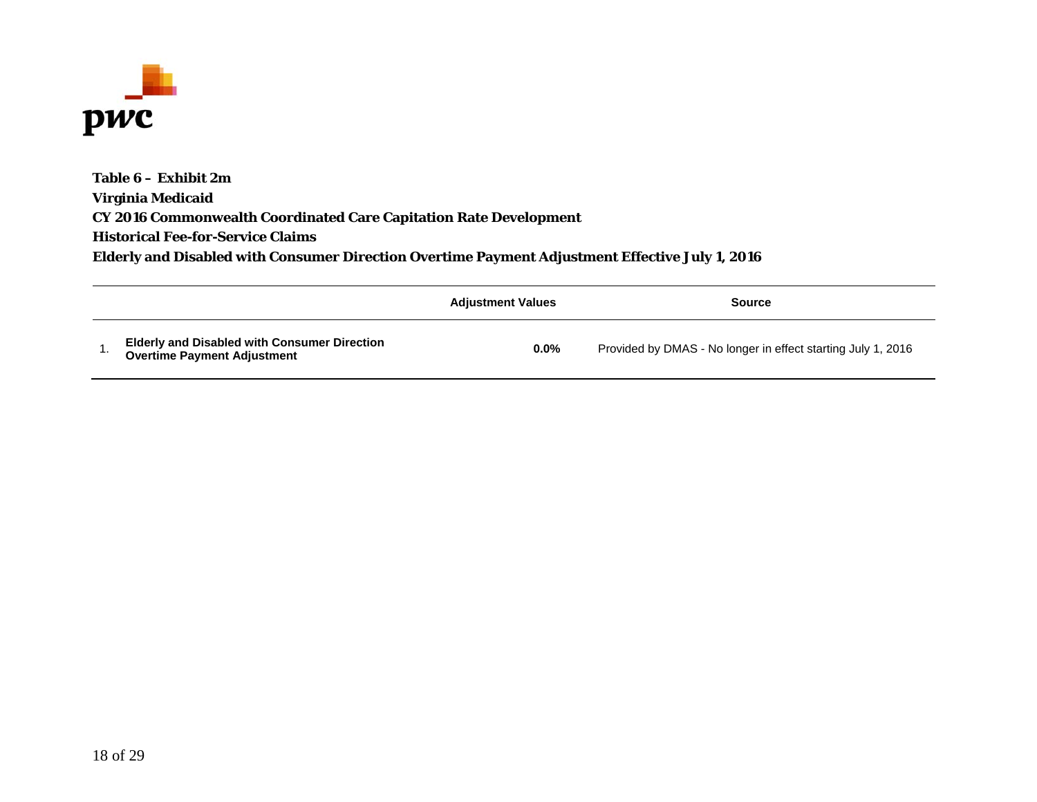

**Table 6 – Exhibit 2m Virginia Medicaid CY 2016 Commonwealth Coordinated Care Capitation Rate Development Historical Fee-for-Service ClaimsElderly and Disabled with Consumer Direction Overtime Payment Adjustment Effective July 1, 2016**

|                                                                                           | <b>Adjustment Values</b> | <b>Source</b>                                                |
|-------------------------------------------------------------------------------------------|--------------------------|--------------------------------------------------------------|
| <b>Elderly and Disabled with Consumer Direction</b><br><b>Overtime Payment Adjustment</b> | 0.0%                     | Provided by DMAS - No longer in effect starting July 1, 2016 |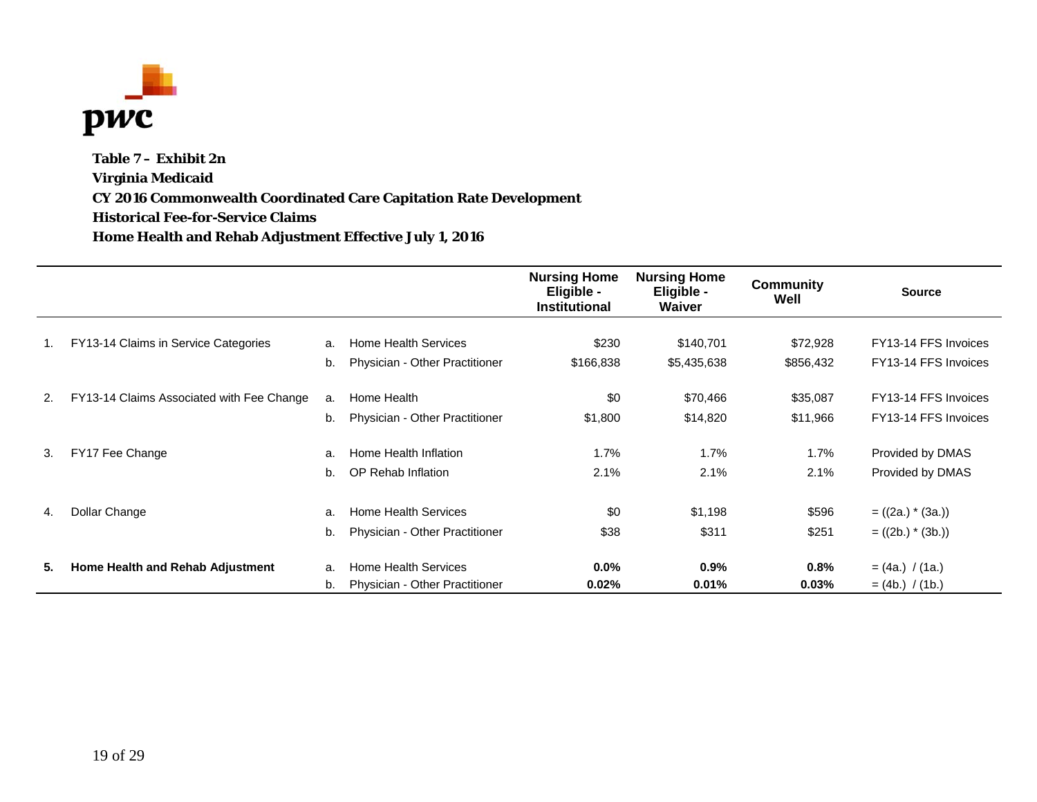

**Table 7 – Exhibit 2n Virginia Medicaid CY 2016 Commonwealth Coordinated Care Capitation Rate Development Historical Fee-for-Service ClaimsHome Health and Rehab Adjustment Effective July 1, 2016**

|    |                                           |          |                                                        | <b>Nursing Home</b><br>Eligible -<br><b>Institutional</b> | <b>Nursing Home</b><br>Eligible -<br>Waiver | <b>Community</b><br>Well | <b>Source</b>                              |
|----|-------------------------------------------|----------|--------------------------------------------------------|-----------------------------------------------------------|---------------------------------------------|--------------------------|--------------------------------------------|
| 1. | FY13-14 Claims in Service Categories      | a.       | Home Health Services                                   | \$230                                                     | \$140,701                                   | \$72,928                 | FY13-14 FFS Invoices                       |
|    |                                           | b.       | Physician - Other Practitioner                         | \$166,838                                                 | \$5,435,638                                 | \$856,432                | FY13-14 FFS Invoices                       |
| 2. | FY13-14 Claims Associated with Fee Change | a.       | Home Health                                            | \$0                                                       | \$70,466                                    | \$35,087                 | FY13-14 FFS Invoices                       |
|    |                                           | b.       | Physician - Other Practitioner                         | \$1,800                                                   | \$14,820                                    | \$11,966                 | FY13-14 FFS Invoices                       |
| 3. | FY17 Fee Change                           | a.       | Home Health Inflation                                  | 1.7%                                                      | 1.7%                                        | 1.7%                     | Provided by DMAS                           |
|    |                                           | b.       | OP Rehab Inflation                                     | 2.1%                                                      | 2.1%                                        | 2.1%                     | Provided by DMAS                           |
|    |                                           |          |                                                        |                                                           |                                             |                          |                                            |
| 4. | Dollar Change                             | a.<br>b. | Home Health Services<br>Physician - Other Practitioner | \$0<br>\$38                                               | \$1,198<br>\$311                            | \$596<br>\$251           | $= ((2a.) * (3a.))$<br>$= ((2b.) * (3b.))$ |
|    |                                           |          |                                                        |                                                           |                                             |                          |                                            |
| 5. | Home Health and Rehab Adjustment          | a.<br>b. | Home Health Services<br>Physician - Other Practitioner | $0.0\%$<br>0.02%                                          | 0.9%<br>0.01%                               | 0.8%<br>0.03%            | $= (4a.) / (1a.)$<br>$= (4b.)$ / (1b.)     |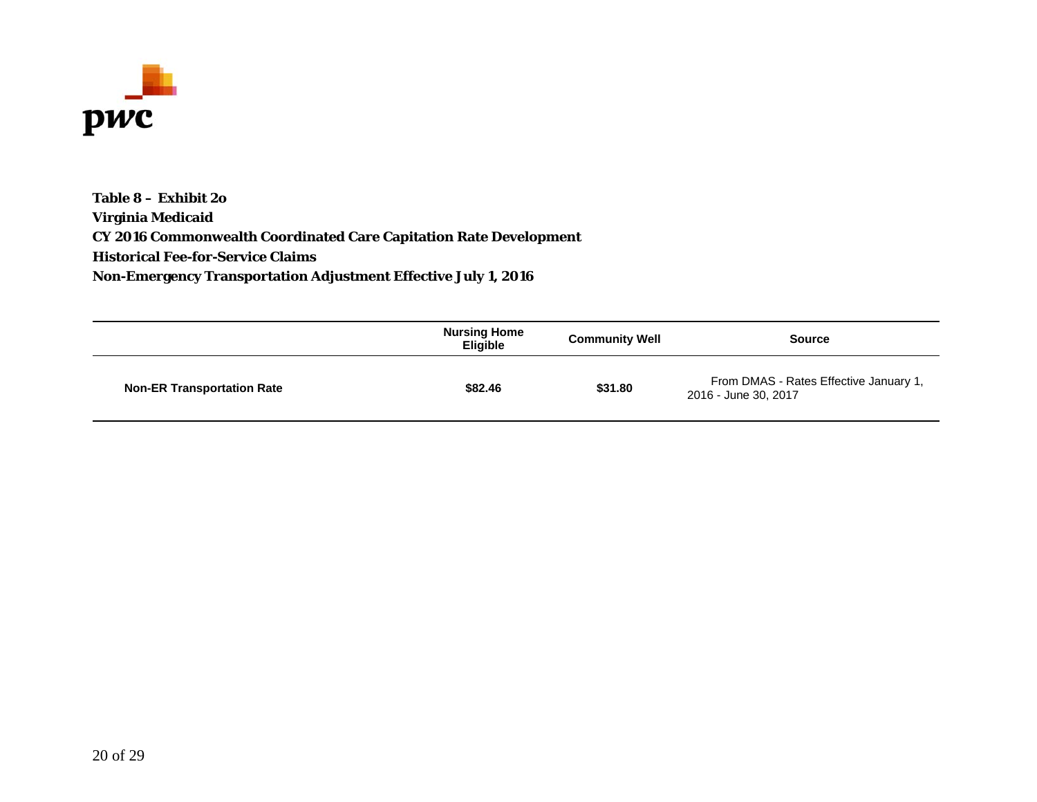

**Table 8 – Exhibit 2o Virginia Medicaid CY 2016 Commonwealth Coordinated Care Capitation Rate Development Historical Fee-for-Service ClaimsNon-Emergency Transportation Adjustment Effective July 1, 2016**

|                                   | <b>Nursing Home</b><br><b>Eligible</b> | <b>Community Well</b> | <b>Source</b>                                                  |
|-----------------------------------|----------------------------------------|-----------------------|----------------------------------------------------------------|
| <b>Non-ER Transportation Rate</b> | \$82.46                                | \$31.80               | From DMAS - Rates Effective January 1,<br>2016 - June 30, 2017 |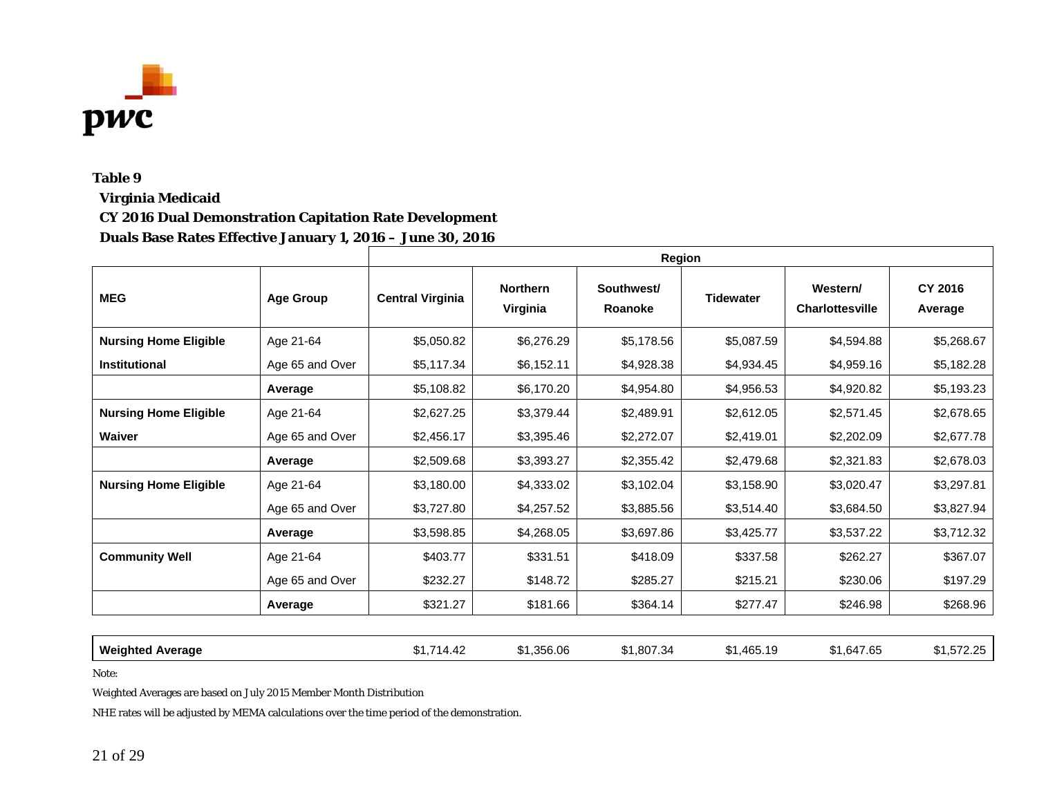

#### **Virginia Medicaid**

#### **CY 2016 Dual Demonstration Capitation Rate Development**

#### **Duals Base Rates Effective January 1, 2016 – June 30, 2016**

|                              |                  |                         |                             |                       | <b>Region</b>    |                                    |                    |
|------------------------------|------------------|-------------------------|-----------------------------|-----------------------|------------------|------------------------------------|--------------------|
| <b>MEG</b>                   | <b>Age Group</b> | <b>Central Virginia</b> | <b>Northern</b><br>Virginia | Southwest/<br>Roanoke | <b>Tidewater</b> | Western/<br><b>Charlottesville</b> | CY 2016<br>Average |
| <b>Nursing Home Eligible</b> | Age 21-64        | \$5,050.82              | \$6,276.29                  | \$5,178.56            | \$5,087.59       | \$4,594.88                         | \$5,268.67         |
| <b>Institutional</b>         | Age 65 and Over  | \$5,117.34              | \$6,152.11                  | \$4,928.38            | \$4,934.45       | \$4,959.16                         | \$5,182.28         |
|                              | Average          | \$5,108.82              | \$6,170.20                  | \$4,954.80            | \$4,956.53       | \$4,920.82                         | \$5,193.23         |
| <b>Nursing Home Eligible</b> | Age 21-64        | \$2,627.25              | \$3,379.44                  | \$2,489.91            | \$2,612.05       | \$2,571.45                         | \$2,678.65         |
| <b>Waiver</b>                | Age 65 and Over  | \$2,456.17              | \$3,395.46                  | \$2,272.07            | \$2,419.01       | \$2,202.09                         | \$2,677.78         |
|                              | Average          | \$2,509.68              | \$3,393.27                  | \$2,355.42            | \$2,479.68       | \$2,321.83                         | \$2,678.03         |
| <b>Nursing Home Eligible</b> | Age 21-64        | \$3,180.00              | \$4,333.02                  | \$3,102.04            | \$3,158.90       | \$3,020.47                         | \$3,297.81         |
|                              | Age 65 and Over  | \$3,727.80              | \$4,257.52                  | \$3,885.56            | \$3,514.40       | \$3,684.50                         | \$3,827.94         |
|                              | Average          | \$3,598.85              | \$4,268.05                  | \$3,697.86            | \$3,425.77       | \$3,537.22                         | \$3,712.32         |
| <b>Community Well</b>        | Age 21-64        | \$403.77                | \$331.51                    | \$418.09              | \$337.58         | \$262.27                           | \$367.07           |
|                              | Age 65 and Over  | \$232.27                | \$148.72                    | \$285.27              | \$215.21         | \$230.06                           | \$197.29           |
|                              | Average          | \$321.27                | \$181.66                    | \$364.14              | \$277.47         | \$246.98                           | \$268.96           |
|                              |                  |                         |                             |                       |                  |                                    |                    |
| <b>Weighted Average</b>      |                  | \$1,714.42              | \$1,356.06                  | \$1,807.34            | \$1,465.19       | \$1,647.65                         | \$1,572.25         |

Note:

Weighted Averages are based on July 2015 Member Month Distribution

NHE rates will be adjusted by MEMA calculations over the time period of the demonstration.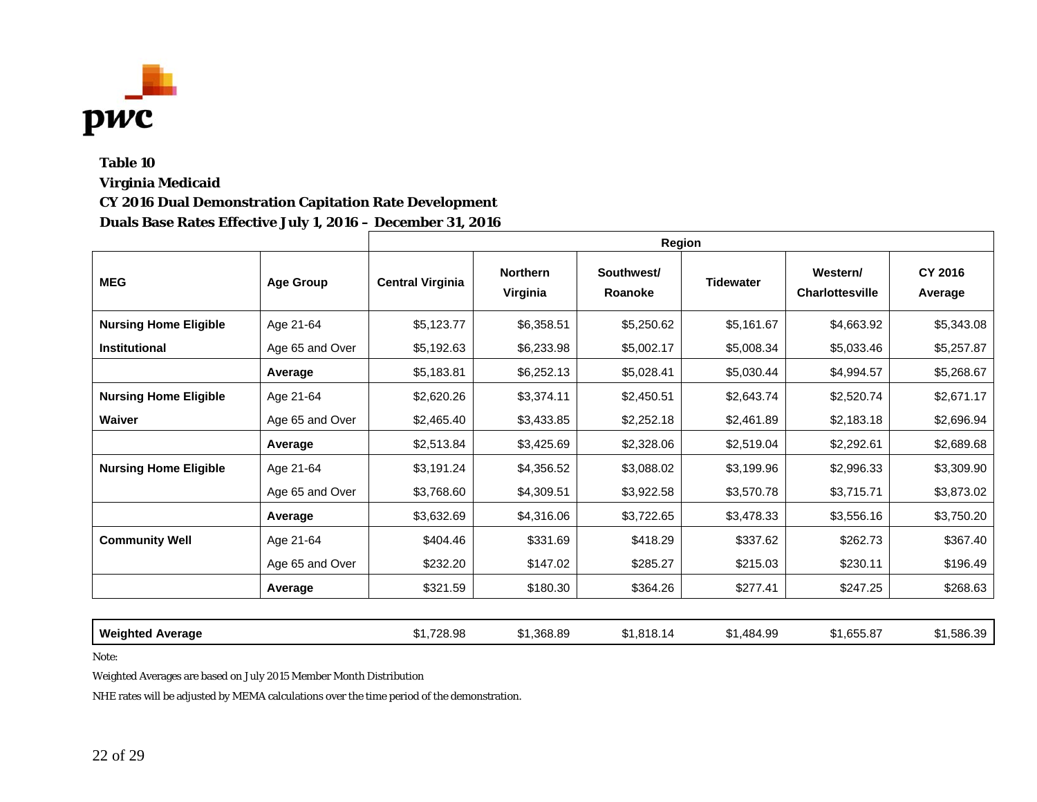

### **Table 10 Virginia Medicaid CY 2016 Dual Demonstration Capitation Rate Development Duals Base Rates Effective July 1, 2016 – December 31, 2016**

|                              |                  |                         |                             | <b>Region</b>         |                  |                                    |                    |
|------------------------------|------------------|-------------------------|-----------------------------|-----------------------|------------------|------------------------------------|--------------------|
| <b>MEG</b>                   | <b>Age Group</b> | <b>Central Virginia</b> | <b>Northern</b><br>Virginia | Southwest/<br>Roanoke | <b>Tidewater</b> | Western/<br><b>Charlottesville</b> | CY 2016<br>Average |
| <b>Nursing Home Eligible</b> | Age 21-64        | \$5,123.77              | \$6,358.51                  | \$5,250.62            | \$5,161.67       | \$4,663.92                         | \$5,343.08         |
| <b>Institutional</b>         | Age 65 and Over  | \$5,192.63              | \$6,233.98                  | \$5,002.17            | \$5,008.34       | \$5,033.46                         | \$5,257.87         |
|                              | Average          | \$5,183.81              | \$6,252.13                  | \$5,028.41            | \$5,030.44       | \$4,994.57                         | \$5,268.67         |
| <b>Nursing Home Eligible</b> | Age 21-64        | \$2,620.26              | \$3,374.11                  | \$2,450.51            | \$2,643.74       | \$2,520.74                         | \$2,671.17         |
| Waiver                       | Age 65 and Over  | \$2,465.40              | \$3,433.85                  | \$2,252.18            | \$2,461.89       | \$2,183.18                         | \$2,696.94         |
|                              | Average          | \$2,513.84              | \$3,425.69                  | \$2,328.06            | \$2,519.04       | \$2,292.61                         | \$2,689.68         |
| <b>Nursing Home Eligible</b> | Age 21-64        | \$3,191.24              | \$4,356.52                  | \$3,088.02            | \$3,199.96       | \$2,996.33                         | \$3,309.90         |
|                              | Age 65 and Over  | \$3,768.60              | \$4,309.51                  | \$3,922.58            | \$3,570.78       | \$3,715.71                         | \$3,873.02         |
|                              | Average          | \$3,632.69              | \$4,316.06                  | \$3,722.65            | \$3,478.33       | \$3,556.16                         | \$3,750.20         |
| <b>Community Well</b>        | Age 21-64        | \$404.46                | \$331.69                    | \$418.29              | \$337.62         | \$262.73                           | \$367.40           |
|                              | Age 65 and Over  | \$232.20                | \$147.02                    | \$285.27              | \$215.03         | \$230.11                           | \$196.49           |
|                              | Average          | \$321.59                | \$180.30                    | \$364.26              | \$277.41         | \$247.25                           | \$268.63           |
|                              |                  |                         |                             |                       |                  |                                    |                    |
| <b>Weighted Average</b>      |                  | \$1,728.98              | \$1,368.89                  | \$1,818.14            | \$1,484.99       | \$1,655.87                         | \$1,586.39         |

Note:

Weighted Averages are based on July 2015 Member Month Distribution

NHE rates will be adjusted by MEMA calculations over the time period of the demonstration.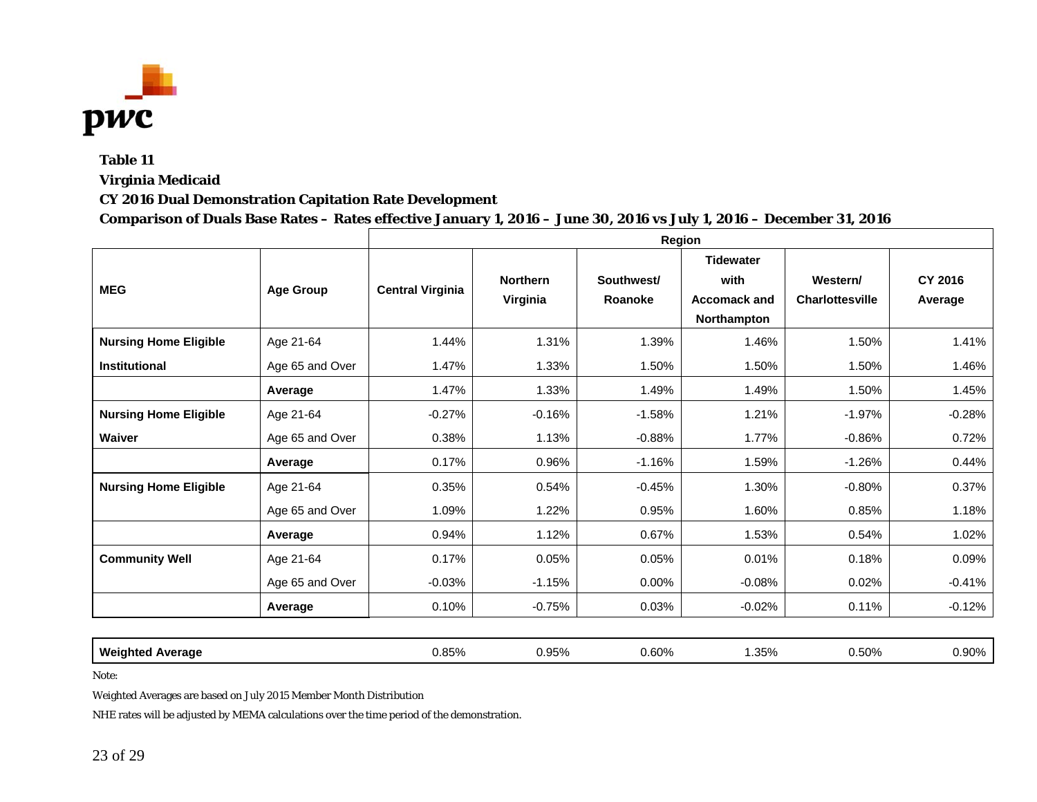

**Virginia Medicaid** 

#### **CY 2016 Dual Demonstration Capitation Rate Development**

#### **Comparison of Duals Base Rates – Rates effective January 1, 2016 – June 30, 2016 vs July 1, 2016 – December 31, 2016**

|                              |                  | Region                  |                             |                       |                                                                |                                    |                    |  |
|------------------------------|------------------|-------------------------|-----------------------------|-----------------------|----------------------------------------------------------------|------------------------------------|--------------------|--|
| <b>MEG</b>                   | <b>Age Group</b> | <b>Central Virginia</b> | <b>Northern</b><br>Virginia | Southwest/<br>Roanoke | <b>Tidewater</b><br>with<br><b>Accomack and</b><br>Northampton | Western/<br><b>Charlottesville</b> | CY 2016<br>Average |  |
| <b>Nursing Home Eligible</b> | Age 21-64        | 1.44%                   | 1.31%                       | 1.39%                 | 1.46%                                                          | 1.50%                              | 1.41%              |  |
| Institutional                | Age 65 and Over  | 1.47%                   | 1.33%                       | 1.50%                 | 1.50%                                                          | 1.50%                              | 1.46%              |  |
|                              | Average          | 1.47%                   | 1.33%                       | 1.49%                 | 1.49%                                                          | 1.50%                              | 1.45%              |  |
| <b>Nursing Home Eligible</b> | Age 21-64        | $-0.27%$                | $-0.16%$                    | $-1.58%$              | 1.21%                                                          | $-1.97%$                           | $-0.28%$           |  |
| Waiver                       | Age 65 and Over  | 0.38%                   | 1.13%                       | $-0.88%$              | 1.77%                                                          | $-0.86%$                           | 0.72%              |  |
|                              | Average          | 0.17%                   | 0.96%                       | $-1.16%$              | 1.59%                                                          | $-1.26%$                           | 0.44%              |  |
| <b>Nursing Home Eligible</b> | Age 21-64        | 0.35%                   | 0.54%                       | $-0.45%$              | 1.30%                                                          | $-0.80%$                           | 0.37%              |  |
|                              | Age 65 and Over  | 1.09%                   | 1.22%                       | 0.95%                 | 1.60%                                                          | 0.85%                              | 1.18%              |  |
|                              | Average          | 0.94%                   | 1.12%                       | 0.67%                 | 1.53%                                                          | 0.54%                              | 1.02%              |  |
| <b>Community Well</b>        | Age 21-64        | 0.17%                   | 0.05%                       | 0.05%                 | 0.01%                                                          | 0.18%                              | 0.09%              |  |
|                              | Age 65 and Over  | $-0.03%$                | $-1.15%$                    | 0.00%                 | $-0.08%$                                                       | 0.02%                              | -0.41%             |  |
|                              | Average          | 0.10%                   | $-0.75%$                    | 0.03%                 | $-0.02%$                                                       | 0.11%                              | $-0.12%$           |  |
|                              |                  |                         |                             |                       |                                                                |                                    |                    |  |
| <b>Weighted Average</b>      |                  | 0.85%                   | 0.95%                       | 0.60%                 | 1.35%                                                          | 0.50%                              | 0.90%              |  |

Note:

Weighted Averages are based on July 2015 Member Month Distribution

NHE rates will be adjusted by MEMA calculations over the time period of the demonstration.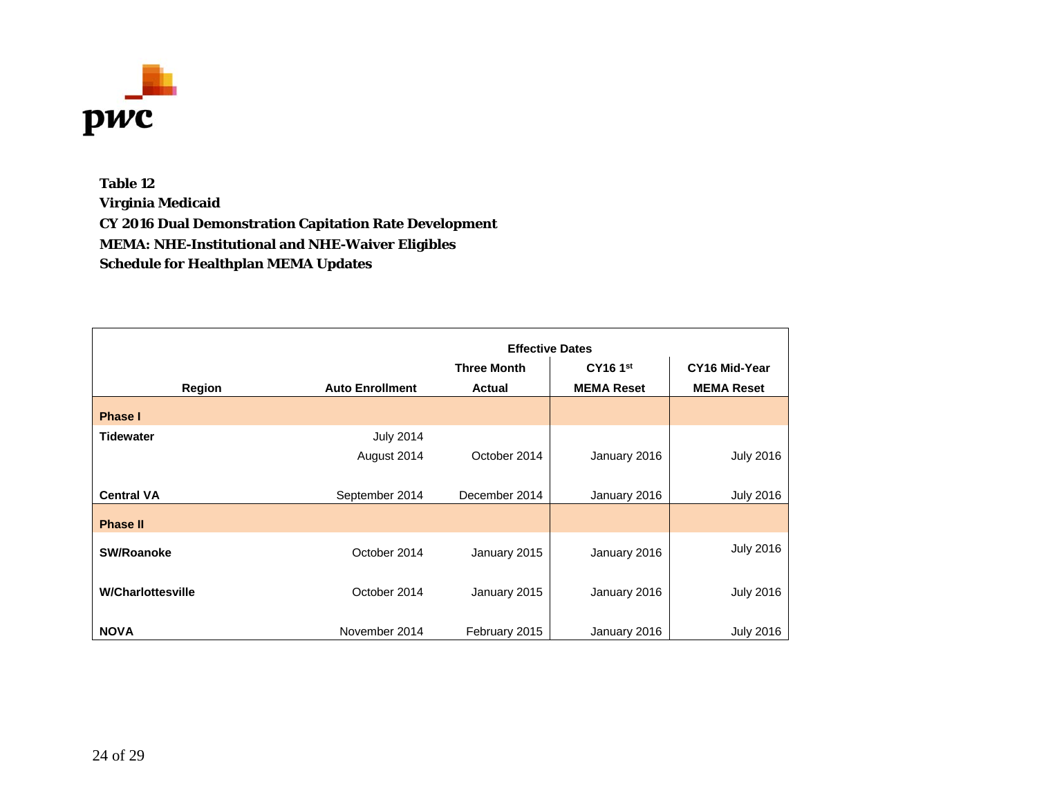

**Table 12 Virginia Medicaid CY 2016 Dual Demonstration Capitation Rate Development MEMA: NHE-Institutional and NHE-Waiver Eligibles Schedule for Healthplan MEMA Updates** 

|                          | <b>Effective Dates</b> |                    |                   |                   |  |  |
|--------------------------|------------------------|--------------------|-------------------|-------------------|--|--|
|                          |                        | <b>Three Month</b> | <b>CY16 1st</b>   | CY16 Mid-Year     |  |  |
| Region                   | <b>Auto Enrollment</b> | <b>Actual</b>      | <b>MEMA Reset</b> | <b>MEMA Reset</b> |  |  |
| <b>Phase I</b>           |                        |                    |                   |                   |  |  |
| <b>Tidewater</b>         | <b>July 2014</b>       |                    |                   |                   |  |  |
|                          | August 2014            | October 2014       | January 2016      | <b>July 2016</b>  |  |  |
|                          |                        |                    |                   |                   |  |  |
| <b>Central VA</b>        | September 2014         | December 2014      | January 2016      | <b>July 2016</b>  |  |  |
| <b>Phase II</b>          |                        |                    |                   |                   |  |  |
| SW/Roanoke               | October 2014           | January 2015       | January 2016      | <b>July 2016</b>  |  |  |
|                          |                        |                    |                   |                   |  |  |
| <b>W/Charlottesville</b> | October 2014           | January 2015       | January 2016      | <b>July 2016</b>  |  |  |
|                          |                        |                    |                   |                   |  |  |
| <b>NOVA</b>              | November 2014          | February 2015      | January 2016      | <b>July 2016</b>  |  |  |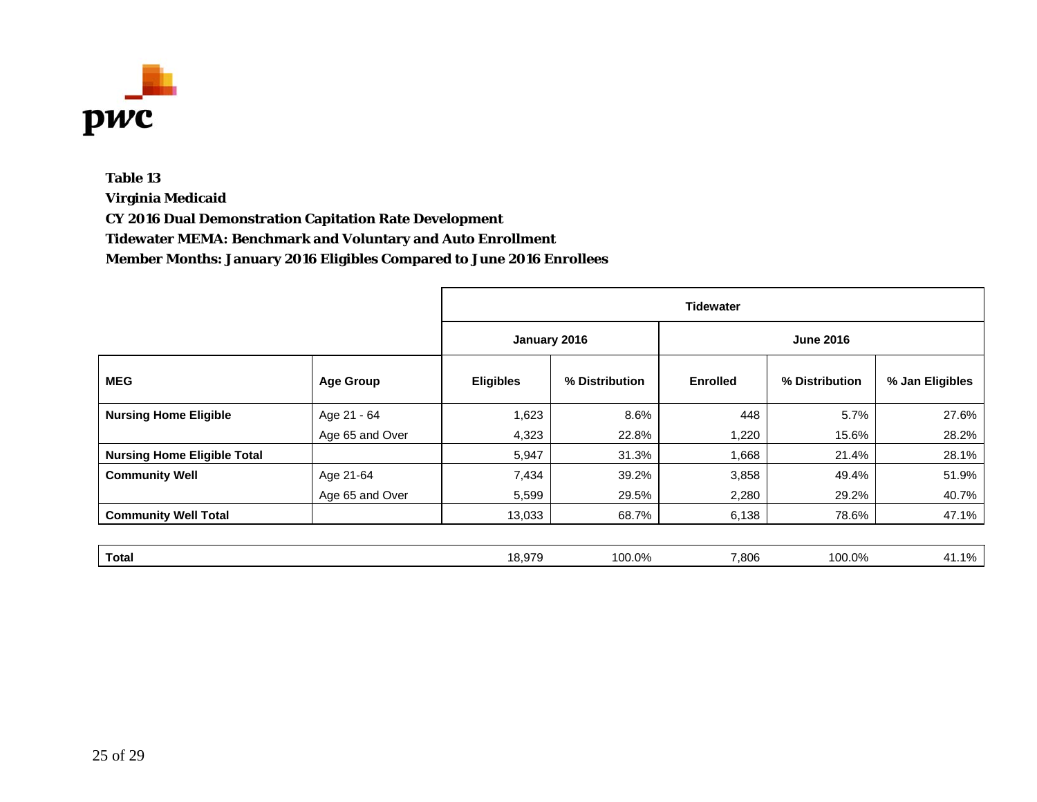

**Virginia Medicaid** 

**CY 2016 Dual Demonstration Capitation Rate Development** 

**Tidewater MEMA: Benchmark and Voluntary and Auto Enrollment** 

|                                    |                  |                  | Tidewater      |                 |                  |                 |  |  |  |
|------------------------------------|------------------|------------------|----------------|-----------------|------------------|-----------------|--|--|--|
|                                    |                  |                  | January 2016   |                 | <b>June 2016</b> |                 |  |  |  |
| <b>MEG</b>                         | <b>Age Group</b> | <b>Eligibles</b> | % Distribution | <b>Enrolled</b> | % Distribution   | % Jan Eligibles |  |  |  |
| <b>Nursing Home Eligible</b>       | Age 21 - 64      | 1,623            | 8.6%           | 448             | 5.7%             | 27.6%           |  |  |  |
|                                    | Age 65 and Over  | 4,323            | 22.8%          | 1,220           | 15.6%            | 28.2%           |  |  |  |
| <b>Nursing Home Eligible Total</b> |                  | 5,947            | 31.3%          | 1,668           | 21.4%            | 28.1%           |  |  |  |
| <b>Community Well</b>              | Age 21-64        | 7,434            | 39.2%          | 3,858           | 49.4%            | 51.9%           |  |  |  |
|                                    | Age 65 and Over  | 5,599            | 29.5%          | 2,280           | 29.2%            | 40.7%           |  |  |  |
| <b>Community Well Total</b>        |                  | 13,033           | 68.7%          | 6,138           | 78.6%            | 47.1%           |  |  |  |
|                                    |                  |                  |                |                 |                  |                 |  |  |  |
| <b>Total</b>                       |                  | 18,979           | 100.0%         | 7,806           | 100.0%           | 41.1%           |  |  |  |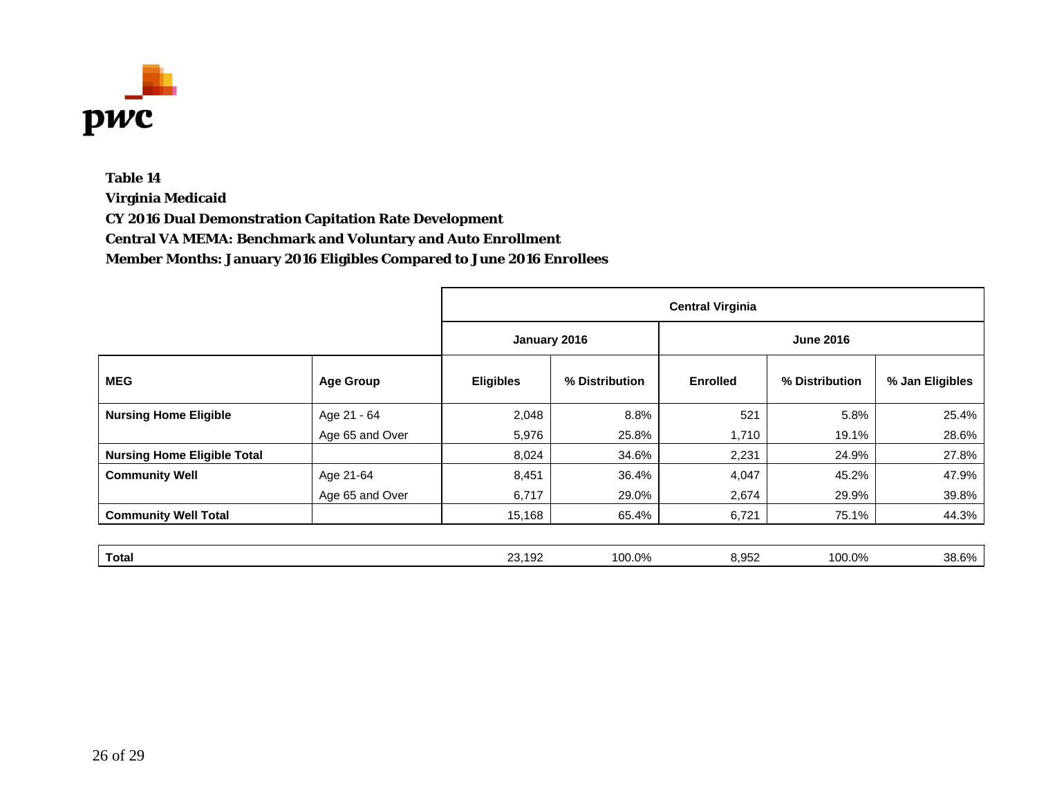

**Virginia Medicaid** 

**CY 2016 Dual Demonstration Capitation Rate Development** 

**Central VA MEMA: Benchmark and Voluntary and Auto Enrollment** 

|                                    |                  |                  | <b>Central Virginia</b> |                 |                  |                 |  |  |  |
|------------------------------------|------------------|------------------|-------------------------|-----------------|------------------|-----------------|--|--|--|
|                                    |                  | January 2016     |                         |                 | <b>June 2016</b> |                 |  |  |  |
| <b>MEG</b>                         | <b>Age Group</b> | <b>Eligibles</b> | % Distribution          | <b>Enrolled</b> | % Distribution   | % Jan Eligibles |  |  |  |
| <b>Nursing Home Eligible</b>       | Age 21 - 64      | 2,048            | 8.8%                    | 521             | 5.8%             | 25.4%           |  |  |  |
|                                    | Age 65 and Over  | 5,976            | 25.8%                   | 1,710           | 19.1%            | 28.6%           |  |  |  |
| <b>Nursing Home Eligible Total</b> |                  | 8,024            | 34.6%                   | 2,231           | 24.9%            | 27.8%           |  |  |  |
| <b>Community Well</b>              | Age 21-64        | 8,451            | 36.4%                   | 4,047           | 45.2%            | 47.9%           |  |  |  |
|                                    | Age 65 and Over  | 6,717            | 29.0%                   | 2,674           | 29.9%            | 39.8%           |  |  |  |
| <b>Community Well Total</b>        |                  | 15,168           | 65.4%                   | 6,721           | 75.1%            | 44.3%           |  |  |  |
|                                    |                  |                  |                         |                 |                  |                 |  |  |  |
| <b>Total</b>                       |                  | 23,192           | 100.0%                  | 8,952           | 100.0%           | 38.6%           |  |  |  |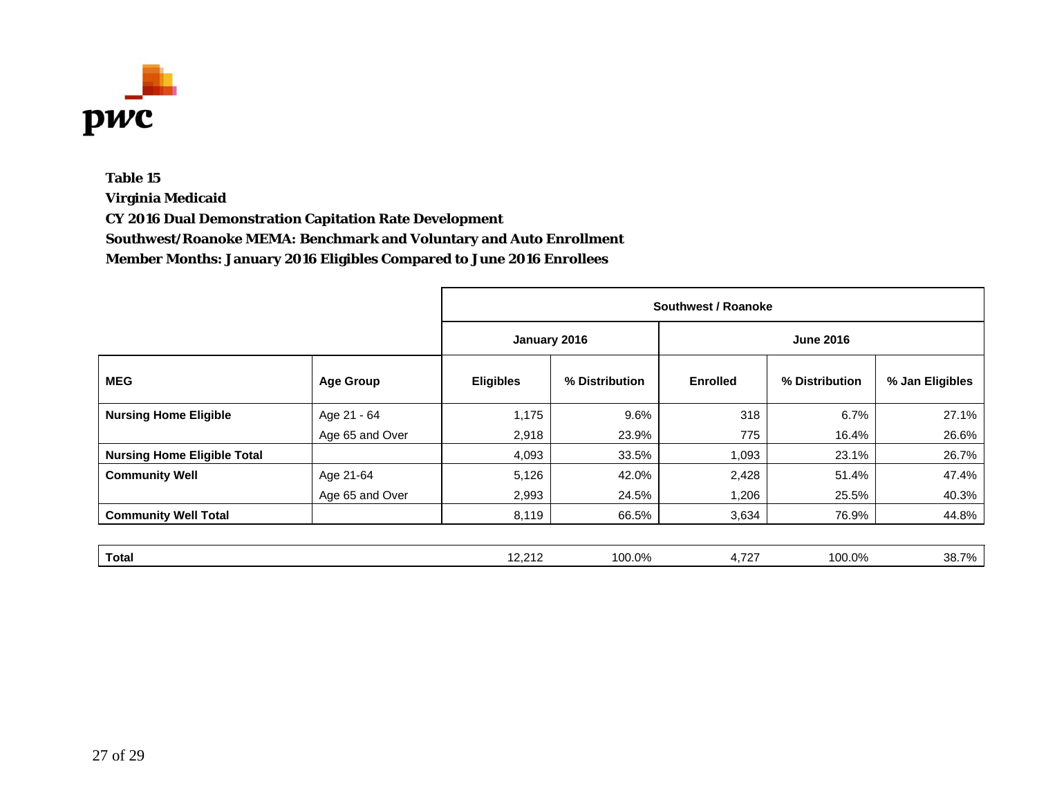

**Virginia Medicaid** 

**CY 2016 Dual Demonstration Capitation Rate Development** 

**Southwest/Roanoke MEMA: Benchmark and Voluntary and Auto Enrollment** 

|                                    |                  |                  | Southwest / Roanoke |                 |                  |                 |  |  |  |
|------------------------------------|------------------|------------------|---------------------|-----------------|------------------|-----------------|--|--|--|
|                                    |                  |                  | January 2016        |                 | <b>June 2016</b> |                 |  |  |  |
| <b>MEG</b>                         | <b>Age Group</b> | <b>Eligibles</b> | % Distribution      | <b>Enrolled</b> | % Distribution   | % Jan Eligibles |  |  |  |
| <b>Nursing Home Eligible</b>       | Age 21 - 64      | 1,175            | 9.6%                | 318             | 6.7%             | 27.1%           |  |  |  |
|                                    | Age 65 and Over  | 2,918            | 23.9%               | 775             | 16.4%            | 26.6%           |  |  |  |
| <b>Nursing Home Eligible Total</b> |                  | 4,093            | 33.5%               | 1,093           | 23.1%            | 26.7%           |  |  |  |
| <b>Community Well</b>              | Age 21-64        | 5,126            | 42.0%               | 2,428           | 51.4%            | 47.4%           |  |  |  |
|                                    | Age 65 and Over  | 2,993            | 24.5%               | 1,206           | 25.5%            | 40.3%           |  |  |  |
| <b>Community Well Total</b>        |                  | 8,119            | 66.5%               | 3,634           | 76.9%            | 44.8%           |  |  |  |
|                                    |                  |                  |                     |                 |                  |                 |  |  |  |
| <b>Total</b>                       |                  | 12,212           | 100.0%              | 4,727           | 100.0%           | 38.7%           |  |  |  |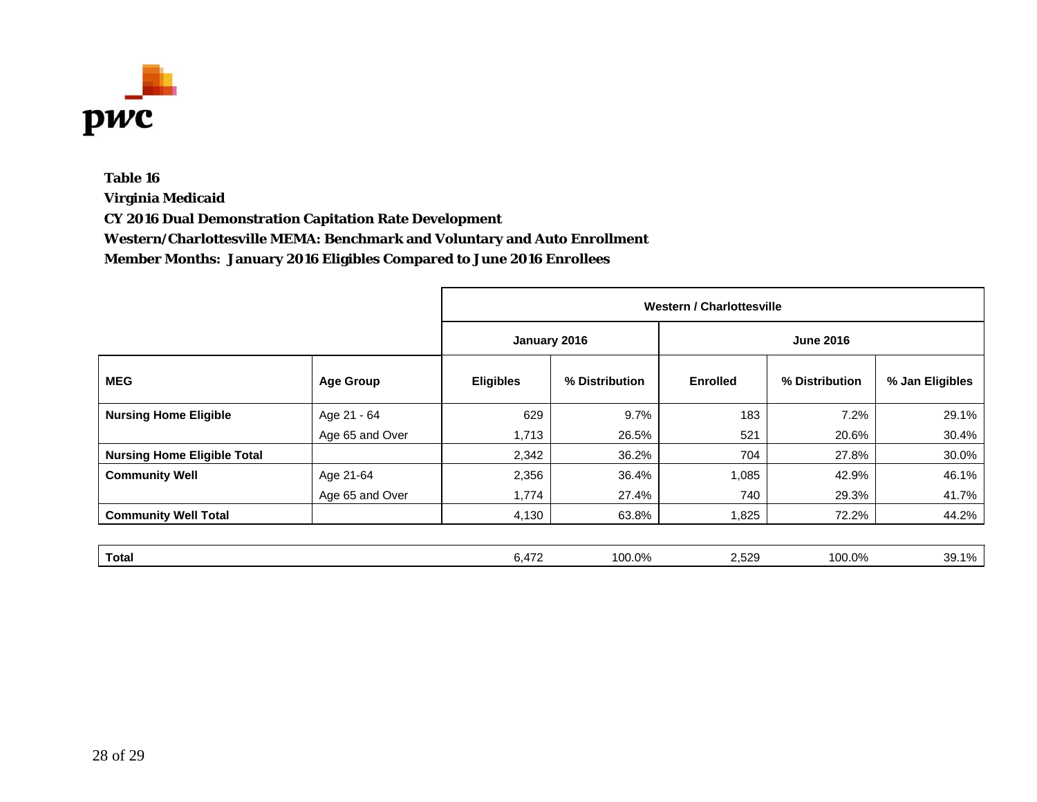

**Virginia Medicaid** 

**CY 2016 Dual Demonstration Capitation Rate Development** 

**Western/Charlottesville MEMA: Benchmark and Voluntary and Auto Enrollment** 

|                                    |                  |                  | <b>Western / Charlottesville</b> |                 |                  |                 |  |  |  |
|------------------------------------|------------------|------------------|----------------------------------|-----------------|------------------|-----------------|--|--|--|
|                                    |                  |                  | January 2016                     |                 | <b>June 2016</b> |                 |  |  |  |
| <b>MEG</b>                         | <b>Age Group</b> | <b>Eligibles</b> | % Distribution                   | <b>Enrolled</b> | % Distribution   | % Jan Eligibles |  |  |  |
| <b>Nursing Home Eligible</b>       | Age 21 - 64      | 629              | 9.7%                             | 183             | 7.2%             | 29.1%           |  |  |  |
|                                    | Age 65 and Over  | 1,713            | 26.5%                            | 521             | 20.6%            | 30.4%           |  |  |  |
| <b>Nursing Home Eligible Total</b> |                  | 2,342            | 36.2%                            | 704             | 27.8%            | 30.0%           |  |  |  |
| <b>Community Well</b>              | Age 21-64        | 2,356            | 36.4%                            | 1,085           | 42.9%            | 46.1%           |  |  |  |
|                                    | Age 65 and Over  | 1,774            | 27.4%                            | 740             | 29.3%            | 41.7%           |  |  |  |
| <b>Community Well Total</b>        |                  | 4,130            | 63.8%                            | 1,825           | 72.2%            | 44.2%           |  |  |  |
|                                    |                  |                  |                                  |                 |                  |                 |  |  |  |
| <b>Total</b>                       |                  | 6,472            | 100.0%                           | 2,529           | 100.0%           | 39.1%           |  |  |  |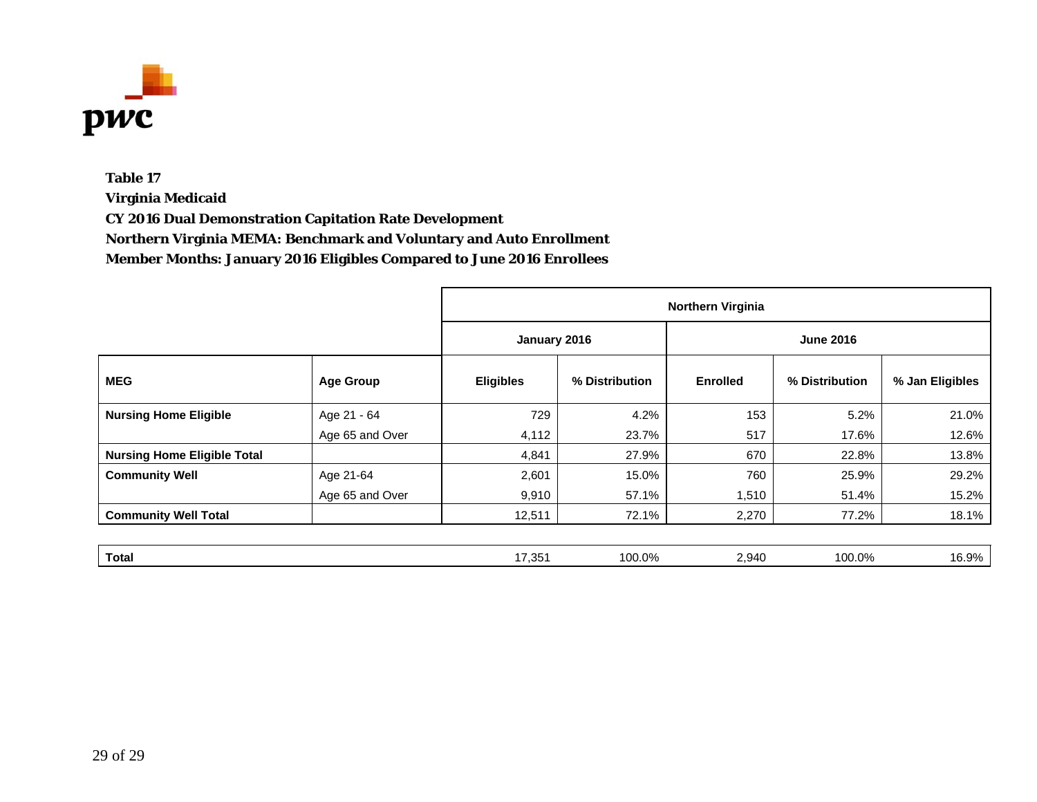

**Virginia Medicaid** 

**CY 2016 Dual Demonstration Capitation Rate Development** 

**Northern Virginia MEMA: Benchmark and Voluntary and Auto Enrollment** 

|                                    |                  |                  | <b>Northern Virginia</b> |                 |                  |                 |  |  |  |
|------------------------------------|------------------|------------------|--------------------------|-----------------|------------------|-----------------|--|--|--|
|                                    |                  |                  | January 2016             |                 | <b>June 2016</b> |                 |  |  |  |
| <b>MEG</b>                         | <b>Age Group</b> | <b>Eligibles</b> | % Distribution           | <b>Enrolled</b> | % Distribution   | % Jan Eligibles |  |  |  |
| <b>Nursing Home Eligible</b>       | Age 21 - 64      | 729              | 4.2%                     | 153             | 5.2%             | 21.0%           |  |  |  |
|                                    | Age 65 and Over  | 4,112            | 23.7%                    | 517             | 17.6%            | 12.6%           |  |  |  |
| <b>Nursing Home Eligible Total</b> |                  | 4,841            | 27.9%                    | 670             | 22.8%            | 13.8%           |  |  |  |
| <b>Community Well</b>              | Age 21-64        | 2,601            | 15.0%                    | 760             | 25.9%            | 29.2%           |  |  |  |
|                                    | Age 65 and Over  | 9,910            | 57.1%                    | 1,510           | 51.4%            | 15.2%           |  |  |  |
| <b>Community Well Total</b>        |                  | 12,511           | 72.1%                    | 2,270           | 77.2%            | 18.1%           |  |  |  |
|                                    |                  |                  |                          |                 |                  |                 |  |  |  |
| <b>Total</b>                       |                  | 17,351           | 100.0%                   | 2,940           | 100.0%           | 16.9%           |  |  |  |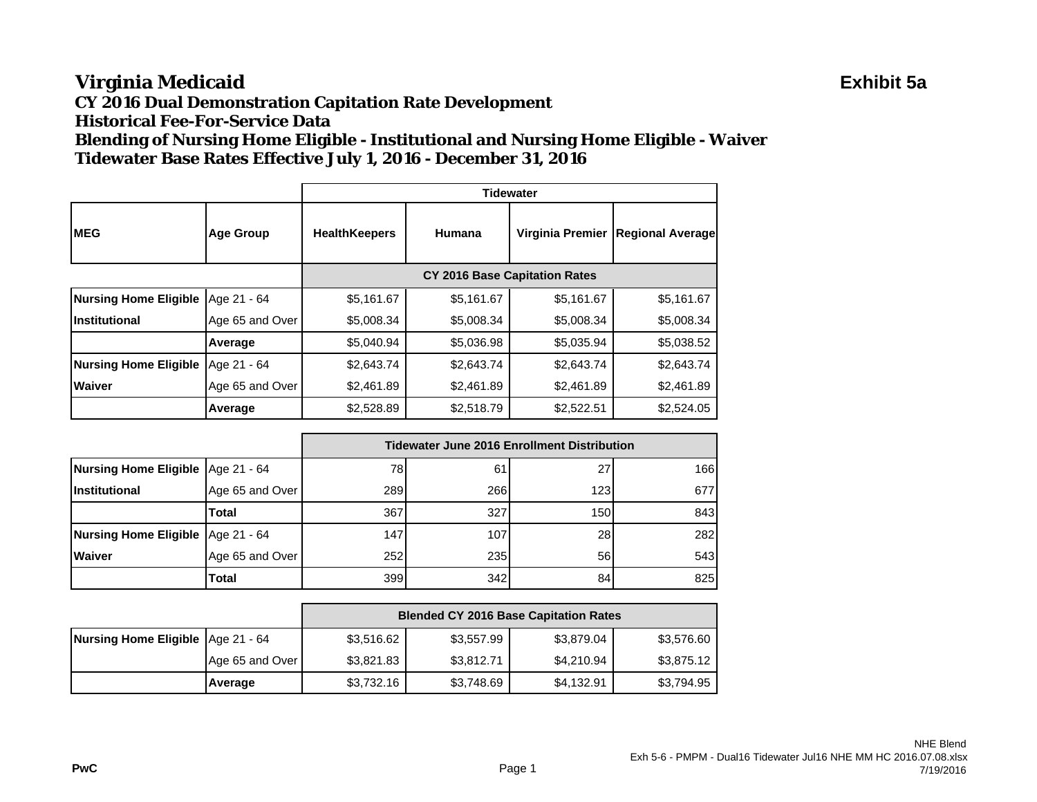#### **Virginia Medicaid Exhibit 5a CY 2016 Dual Demonstration Capitation Rate Development Historical Fee-For-Service DataBlending of Nursing Home Eligible - Institutional and Nursing Home Eligible - Waiver Tidewater Base Rates Effective July 1, 2016 - December 31, 2016**

|                              |                  | <b>Tidewater</b>     |                                      |                  |                         |  |
|------------------------------|------------------|----------------------|--------------------------------------|------------------|-------------------------|--|
| <b>IMEG</b>                  | <b>Age Group</b> | <b>HealthKeepers</b> | Humana                               | Virginia Premier | <b>Regional Average</b> |  |
|                              |                  |                      | <b>CY 2016 Base Capitation Rates</b> |                  |                         |  |
| <b>Nursing Home Eligible</b> | Age 21 - 64      | \$5,161.67           | \$5,161.67                           | \$5,161.67       | \$5,161.67              |  |
| <b>Institutional</b>         | Age 65 and Over  | \$5,008.34           | \$5,008.34                           | \$5,008.34       | \$5,008.34              |  |
|                              | Average          | \$5,040.94           | \$5,036.98                           | \$5,035.94       | \$5,038.52              |  |
| <b>Nursing Home Eligible</b> | Age 21 - 64      | \$2,643.74           | \$2,643.74                           | \$2,643.74       | \$2,643.74              |  |
| <b>Waiver</b>                | Age 65 and Over  | \$2,461.89           | \$2,461.89                           | \$2,461.89       | \$2,461.89              |  |
|                              | Average          | \$2,528.89           | \$2,518.79                           | \$2,522.51       | \$2,524.05              |  |

|                                     |                 | <b>Tidewater June 2016 Enrollment Distribution</b> |     |     |     |  |
|-------------------------------------|-----------------|----------------------------------------------------|-----|-----|-----|--|
| Nursing Home Eligible   Age 21 - 64 |                 | 78                                                 | 61  | 27  | 166 |  |
| <i><u><b>Institutional</b></u></i>  | Age 65 and Over | 289                                                | 266 | 123 | 677 |  |
|                                     | <b>Total</b>    | 367                                                | 327 | 150 | 843 |  |
| Nursing Home Eligible   Age 21 - 64 |                 | 147                                                | 107 | 28  | 282 |  |
| <b>Waiver</b>                       | Age 65 and Over | 252                                                | 235 | 56  | 543 |  |
|                                     | <b>Total</b>    | 399                                                | 342 | 84  | 825 |  |

|                                   |                 | <b>Blended CY 2016 Base Capitation Rates</b> |                                                      |            |            |  |  |  |  |
|-----------------------------------|-----------------|----------------------------------------------|------------------------------------------------------|------------|------------|--|--|--|--|
| Nursing Home Eligible Age 21 - 64 |                 |                                              | \$3,557.99<br>\$3,516.62<br>\$3,879.04<br>\$3,576.60 |            |            |  |  |  |  |
|                                   | Age 65 and Over | \$3,821.83                                   | \$3,812.71                                           | \$4,210.94 | \$3,875.12 |  |  |  |  |
|                                   | Average         | \$3,732.16                                   | \$3,748.69                                           | \$4,132.91 | \$3,794.95 |  |  |  |  |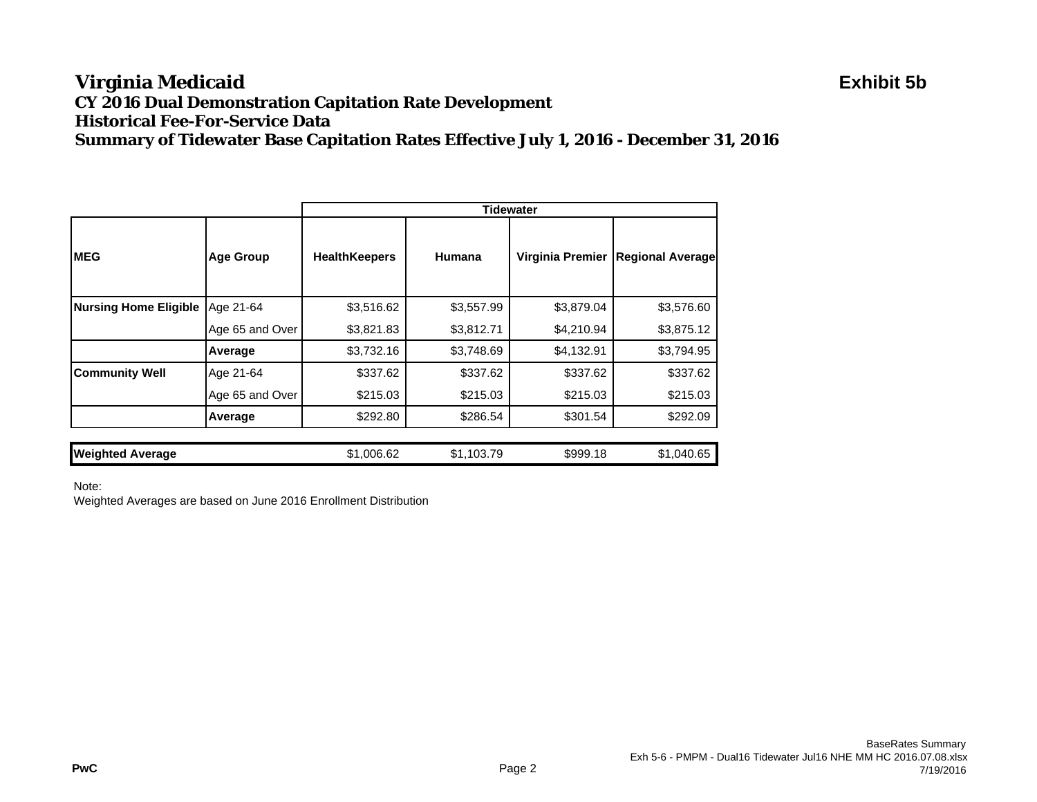#### **Virginia Medicaid Exhibit 5b CY 2016 Dual Demonstration Capitation Rate Development Historical Fee-For-Service DataSummary of Tidewater Base Capitation Rates Effective July 1, 2016 - December 31, 2016**

|                              |                  |                      |            | Tidewater        |                         |
|------------------------------|------------------|----------------------|------------|------------------|-------------------------|
| <b>MEG</b>                   | <b>Age Group</b> | <b>HealthKeepers</b> | Humana     | Virginia Premier | <b>Regional Average</b> |
| <b>Nursing Home Eligible</b> | Age 21-64        | \$3,516.62           | \$3,557.99 | \$3,879.04       | \$3,576.60              |
|                              | Age 65 and Over  | \$3,821.83           | \$3,812.71 | \$4,210.94       | \$3,875.12              |
|                              | Average          | \$3,732.16           | \$3,748.69 | \$4,132.91       | \$3,794.95              |
| <b>Community Well</b>        | Age 21-64        | \$337.62             | \$337.62   | \$337.62         | \$337.62                |
|                              | Age 65 and Over  | \$215.03             | \$215.03   | \$215.03         | \$215.03                |
|                              | Average          | \$292.80             | \$286.54   | \$301.54         | \$292.09                |
|                              |                  |                      |            |                  |                         |
| <b>Weighted Average</b>      |                  | \$1,006.62           | \$1,103.79 | \$999.18         | \$1,040.65              |

Note: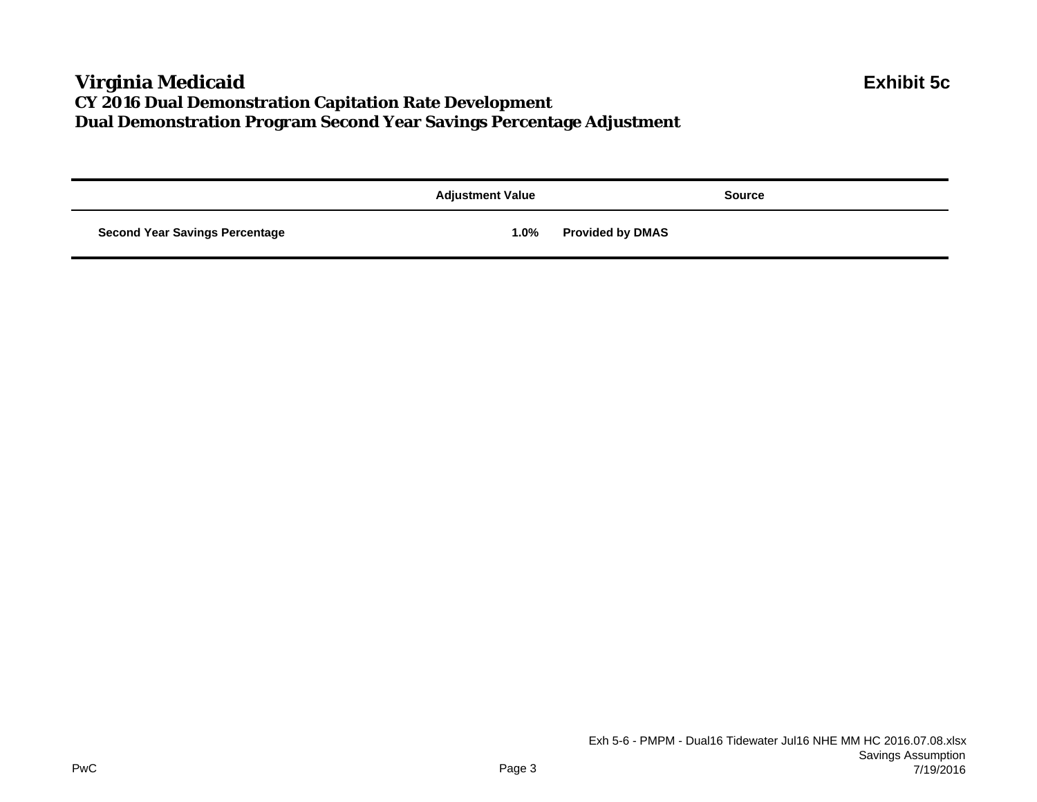### **Virginia Medicaid Exhibit 5c CY 2016 Dual Demonstration Capitation Rate Development Dual Demonstration Program Second Year Savings Percentage Adjustment**

|                                       | <b>Adjustment Value</b> | <b>Source</b>           |
|---------------------------------------|-------------------------|-------------------------|
| <b>Second Year Savings Percentage</b> | 1.0%                    | <b>Provided by DMAS</b> |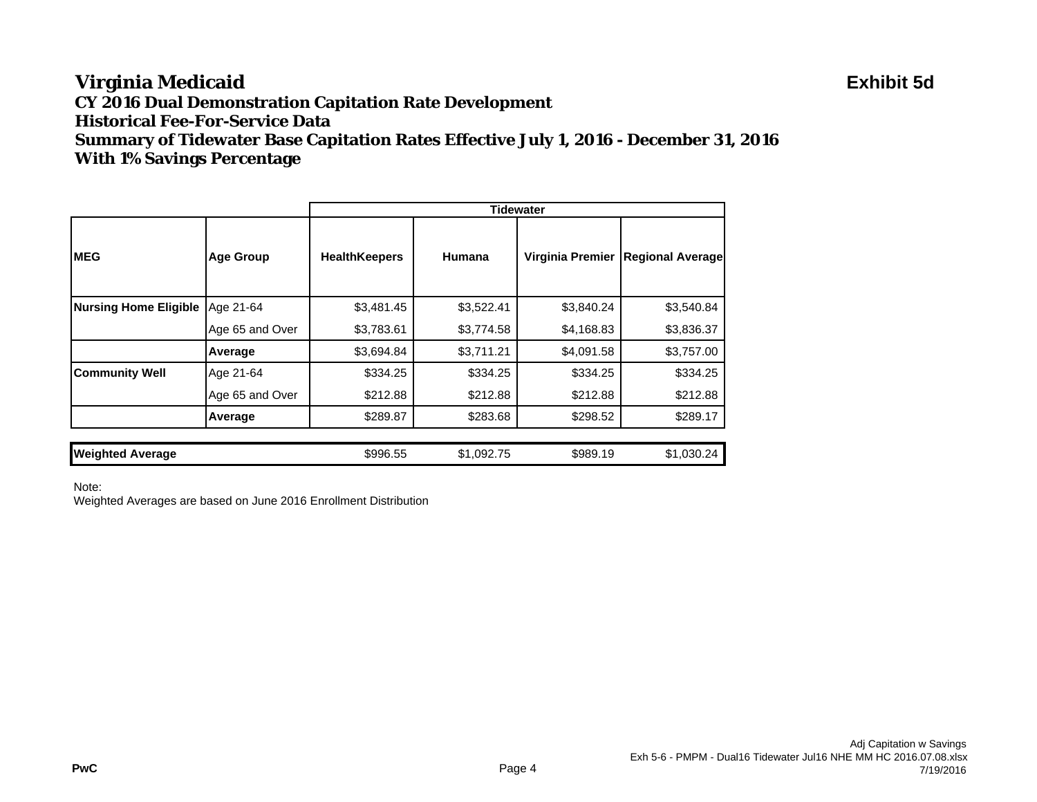#### **Virginia Medicaid Exhibit 5d CY 2016 Dual Demonstration Capitation Rate Development Historical Fee-For-Service DataSummary of Tidewater Base Capitation Rates Effective July 1, 2016 - December 31, 2016 With 1% Savings Percentage**

|                              |                  |                      |            | <b>Tidewater</b> |                         |
|------------------------------|------------------|----------------------|------------|------------------|-------------------------|
| <b>IMEG</b>                  | <b>Age Group</b> | <b>HealthKeepers</b> | Humana     | Virginia Premier | <b>Regional Average</b> |
| <b>Nursing Home Eligible</b> | Age 21-64        | \$3,481.45           | \$3,522.41 | \$3,840.24       | \$3,540.84              |
|                              | Age 65 and Over  | \$3,783.61           | \$3,774.58 | \$4,168.83       | \$3,836.37              |
|                              | Average          | \$3,694.84           | \$3,711.21 | \$4,091.58       | \$3,757.00              |
| <b>Community Well</b>        | Age 21-64        | \$334.25             | \$334.25   | \$334.25         | \$334.25                |
|                              | Age 65 and Over  | \$212.88             | \$212.88   | \$212.88         | \$212.88                |
|                              | Average          | \$289.87             | \$283.68   | \$298.52         | \$289.17                |
|                              |                  |                      |            |                  |                         |
| <b>Weighted Average</b>      |                  | \$996.55             | \$1,092.75 | \$989.19         | \$1,030.24              |

Note: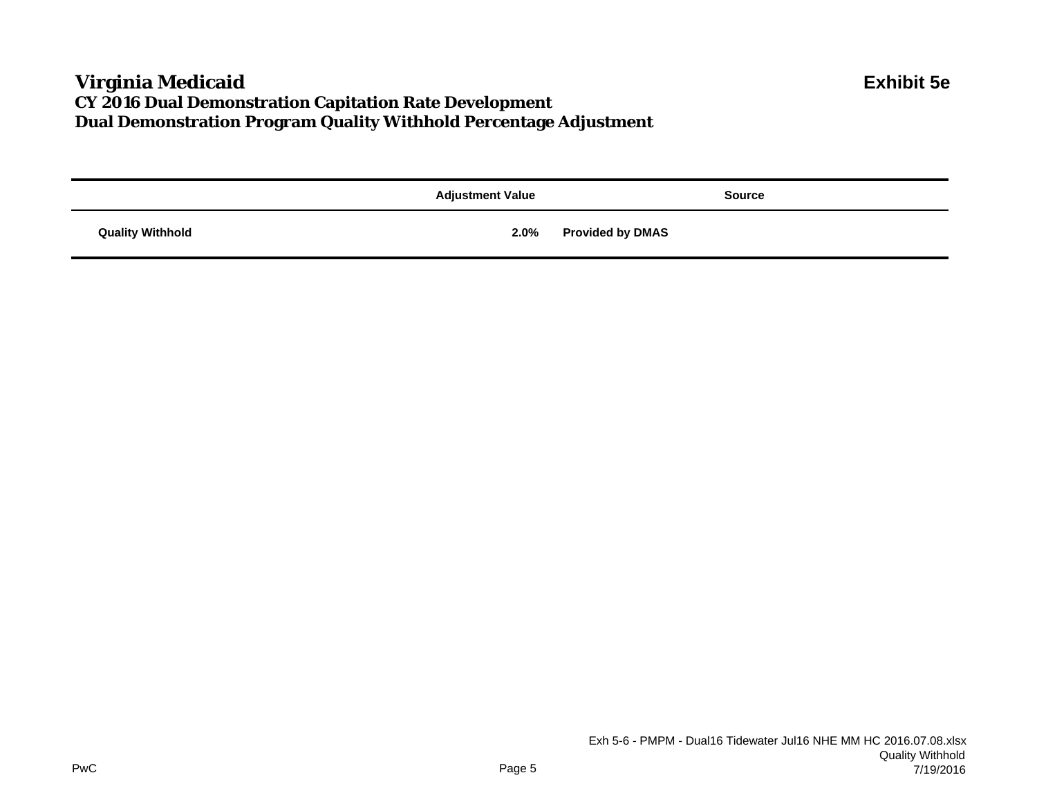### **Virginia Medicaid Exhibit 5e CY 2016 Dual Demonstration Capitation Rate Development Dual Demonstration Program Quality Withhold Percentage Adjustment**

|                         | <b>Adjustment Value</b> | <b>Source</b>           |
|-------------------------|-------------------------|-------------------------|
| <b>Quality Withhold</b> | 2.0%                    | <b>Provided by DMAS</b> |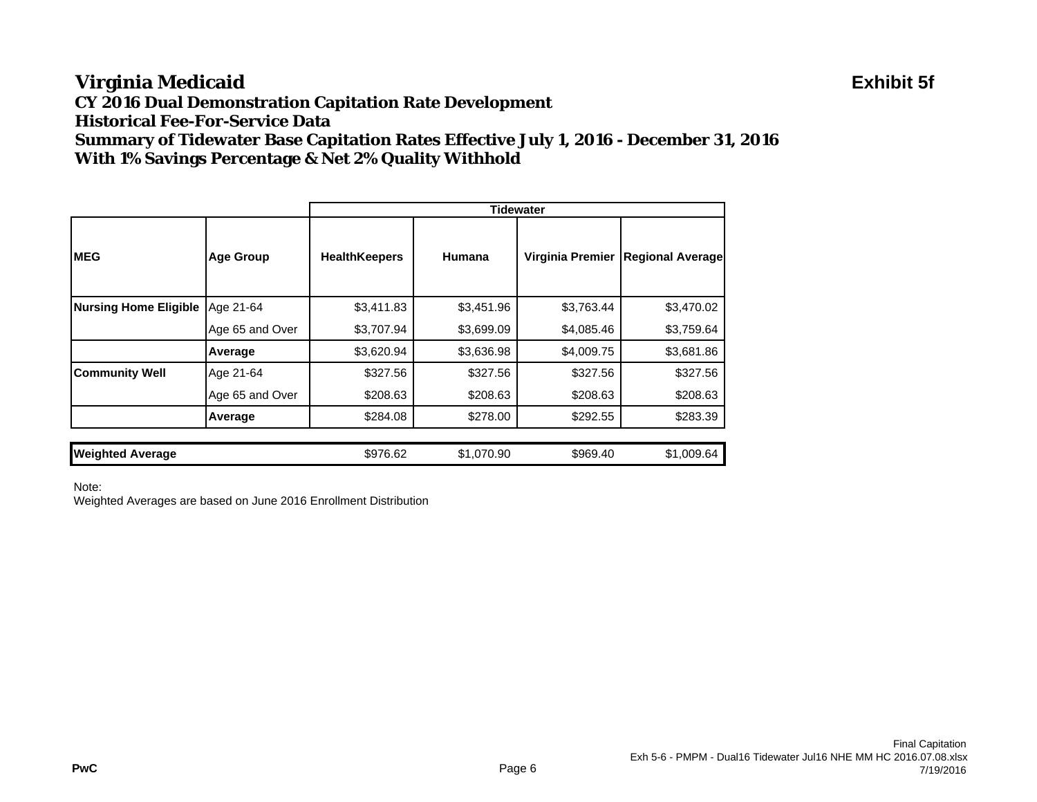#### **Virginia Medicaid Exhibit 5f CY 2016 Dual Demonstration Capitation Rate Development Historical Fee-For-Service DataSummary of Tidewater Base Capitation Rates Effective July 1, 2016 - December 31, 2016 With 1% Savings Percentage & Net 2% Quality Withhold**

|                              |                  |                      | <b>Tidewater</b> |                  |                         |
|------------------------------|------------------|----------------------|------------------|------------------|-------------------------|
| <b>IMEG</b>                  | <b>Age Group</b> | <b>HealthKeepers</b> | <b>Humana</b>    | Virginia Premier | <b>Regional Average</b> |
| <b>Nursing Home Eligible</b> | Age 21-64        | \$3,411.83           | \$3,451.96       | \$3,763.44       | \$3,470.02              |
|                              | Age 65 and Over  | \$3,707.94           | \$3,699.09       | \$4,085.46       | \$3,759.64              |
|                              | Average          | \$3,620.94           | \$3,636.98       | \$4,009.75       | \$3,681.86              |
| <b>Community Well</b>        | Age 21-64        | \$327.56             | \$327.56         | \$327.56         | \$327.56                |
|                              | Age 65 and Over  | \$208.63             | \$208.63         | \$208.63         | \$208.63                |
|                              | Average          | \$284.08             | \$278.00         | \$292.55         | \$283.39                |
|                              |                  |                      |                  |                  |                         |
| <b>Weighted Average</b>      |                  | \$976.62             | \$1,070.90       | \$969.40         | \$1,009.64              |

Note: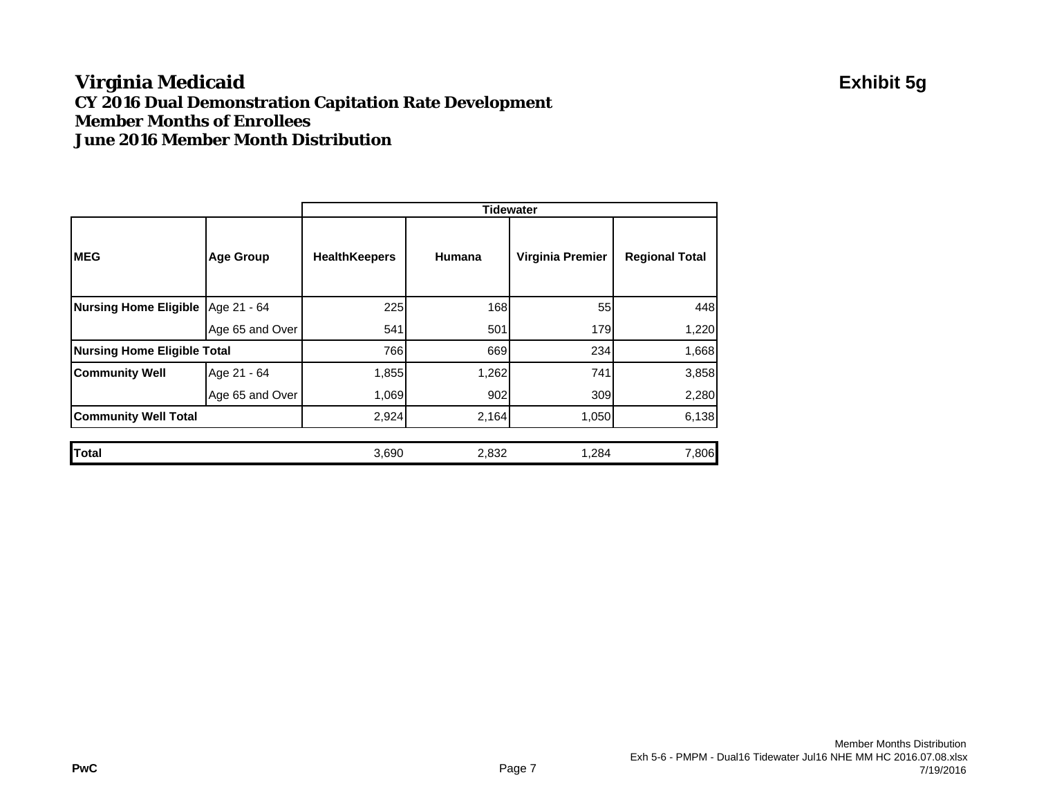### **Virginia Medicaid Exhibit 5g CY 2016 Dual Demonstration Capitation Rate Development Member Months of EnrolleesJune 2016 Member Month Distribution**

|                                     |                  | <b>Tidewater</b>     |        |                  |                       |  |
|-------------------------------------|------------------|----------------------|--------|------------------|-----------------------|--|
| <b>MEG</b>                          | <b>Age Group</b> | <b>HealthKeepers</b> | Humana | Virginia Premier | <b>Regional Total</b> |  |
| Nursing Home Eligible   Age 21 - 64 |                  | 225                  | 168    | 55               | 448                   |  |
|                                     | Age 65 and Over  | 541                  | 501    | 179              | 1,220                 |  |
| <b>Nursing Home Eligible Total</b>  |                  | 766                  | 669    | 234              | 1,668                 |  |
| <b>Community Well</b>               | Age 21 - 64      | 1,855                | 1,262  | 741              | 3,858                 |  |
|                                     | Age 65 and Over  | 1,069                | 902    | 309              | 2,280                 |  |
| <b>Community Well Total</b>         |                  | 2,924                | 2,164  | 1,050            | 6,138                 |  |
|                                     |                  |                      |        |                  |                       |  |
| <b>Total</b>                        |                  | 3,690                | 2,832  | 1,284            | 7,806                 |  |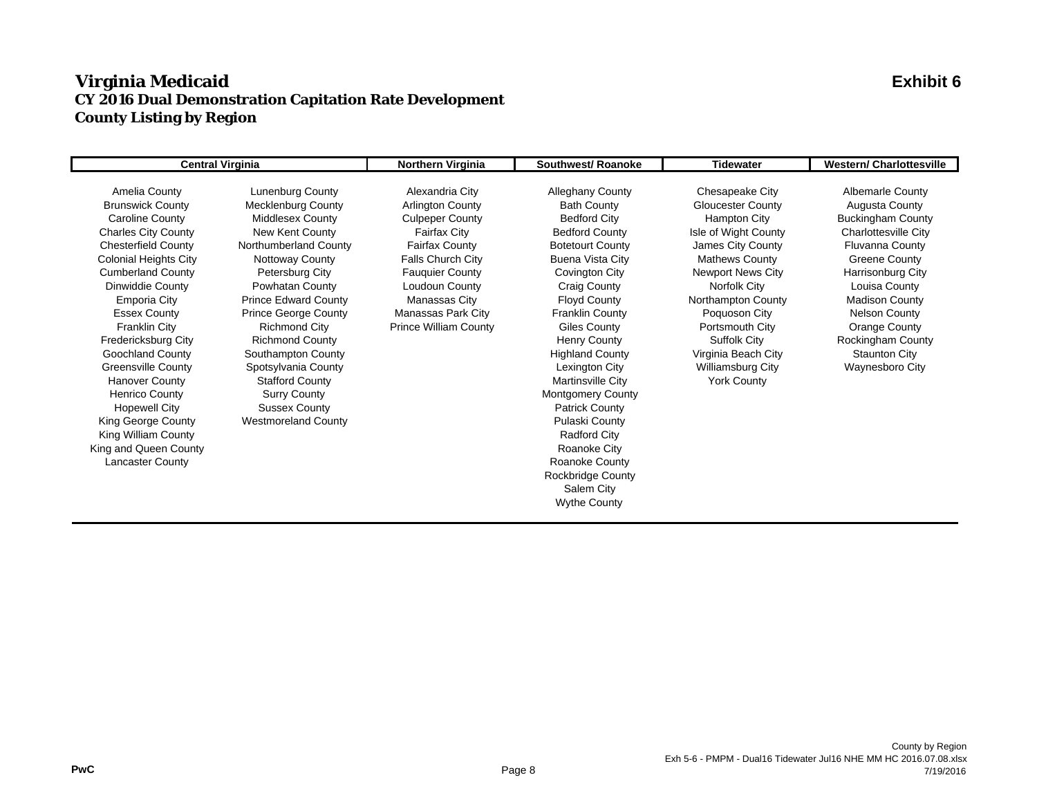#### **Virginia Medicaid Exhibit 6 CY 2016 Dual Demonstration Capitation Rate Development County Listing by Region**

| <b>Central Virginia</b>      |                             | Northern Virginia            | Southwest/Roanoke        | <b>Tidewater</b>         | <b>Western/ Charlottesville</b> |
|------------------------------|-----------------------------|------------------------------|--------------------------|--------------------------|---------------------------------|
|                              |                             |                              |                          |                          |                                 |
| Amelia County                | <b>Lunenburg County</b>     | Alexandria City              | <b>Alleghany County</b>  | Chesapeake City          | <b>Albemarle County</b>         |
| <b>Brunswick County</b>      | <b>Mecklenburg County</b>   | <b>Arlington County</b>      | <b>Bath County</b>       | <b>Gloucester County</b> | <b>Augusta County</b>           |
| <b>Caroline County</b>       | <b>Middlesex County</b>     | <b>Culpeper County</b>       | <b>Bedford City</b>      | Hampton City             | <b>Buckingham County</b>        |
| <b>Charles City County</b>   | New Kent County             | <b>Fairfax City</b>          | <b>Bedford County</b>    | Isle of Wight County     | <b>Charlottesville City</b>     |
| <b>Chesterfield County</b>   | Northumberland County       | <b>Fairfax County</b>        | <b>Botetourt County</b>  | James City County        | <b>Fluvanna County</b>          |
| <b>Colonial Heights City</b> | Nottoway County             | <b>Falls Church City</b>     | Buena Vista City         | <b>Mathews County</b>    | Greene County                   |
| <b>Cumberland County</b>     | Petersburg City             | <b>Fauguier County</b>       | Covington City           | <b>Newport News City</b> | Harrisonburg City               |
| Dinwiddie County             | Powhatan County             | Loudoun County               | Craig County             | Norfolk City             | Louisa County                   |
| <b>Emporia City</b>          | <b>Prince Edward County</b> | Manassas City                | <b>Floyd County</b>      | Northampton County       | <b>Madison County</b>           |
| <b>Essex County</b>          | <b>Prince George County</b> | Manassas Park City           | <b>Franklin County</b>   | Poquoson City            | Nelson County                   |
| <b>Franklin City</b>         | <b>Richmond City</b>        | <b>Prince William County</b> | Giles County             | Portsmouth City          | Orange County                   |
| Fredericksburg City          | <b>Richmond County</b>      |                              | <b>Henry County</b>      | Suffolk City             | Rockingham County               |
| <b>Goochland County</b>      | Southampton County          |                              | <b>Highland County</b>   | Virginia Beach City      | Staunton City                   |
| <b>Greensville County</b>    | Spotsylvania County         |                              | Lexington City           | <b>Williamsburg City</b> | Waynesboro City                 |
| <b>Hanover County</b>        | <b>Stafford County</b>      |                              | Martinsville City        | <b>York County</b>       |                                 |
| <b>Henrico County</b>        | <b>Surry County</b>         |                              | <b>Montgomery County</b> |                          |                                 |
| <b>Hopewell City</b>         | <b>Sussex County</b>        |                              | <b>Patrick County</b>    |                          |                                 |
| King George County           | <b>Westmoreland County</b>  |                              | Pulaski County           |                          |                                 |
| King William County          |                             |                              | <b>Radford City</b>      |                          |                                 |
| King and Queen County        |                             |                              | Roanoke City             |                          |                                 |
| <b>Lancaster County</b>      |                             |                              | Roanoke County           |                          |                                 |
|                              |                             |                              | Rockbridge County        |                          |                                 |
|                              |                             |                              | Salem City               |                          |                                 |
|                              |                             |                              | <b>Wythe County</b>      |                          |                                 |
|                              |                             |                              |                          |                          |                                 |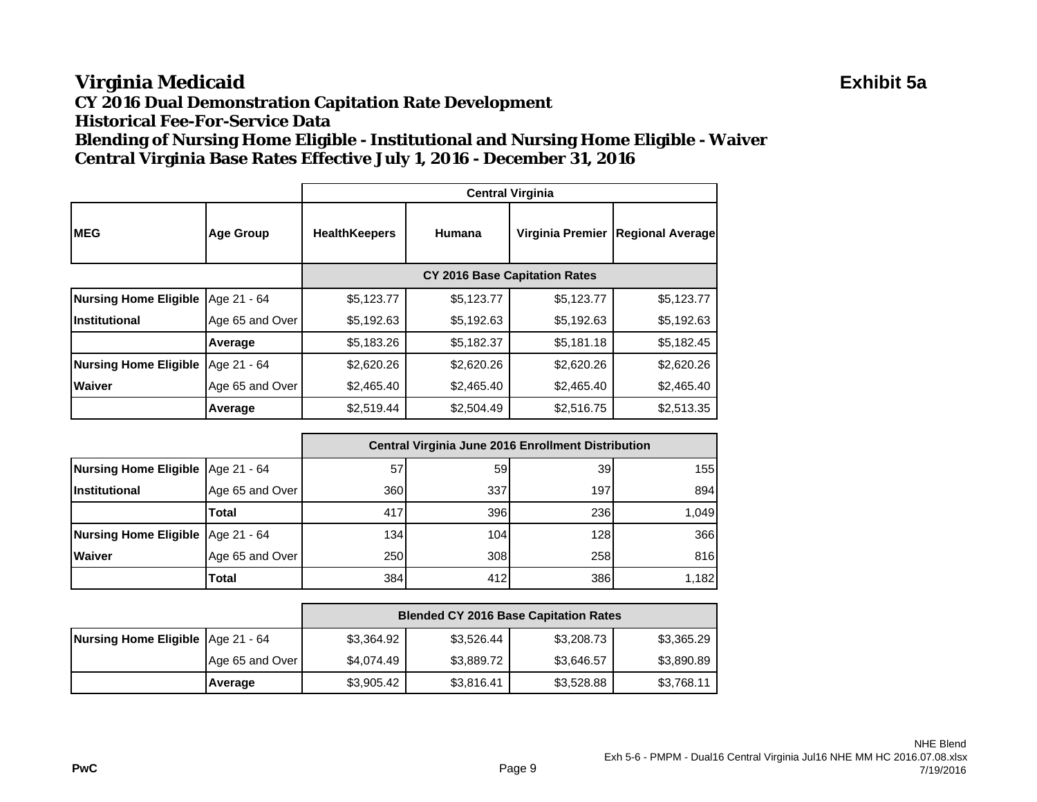#### **Virginia Medicaid Exhibit 5a CY 2016 Dual Demonstration Capitation Rate Development Historical Fee-For-Service DataBlending of Nursing Home Eligible - Institutional and Nursing Home Eligible - Waiver Central Virginia Base Rates Effective July 1, 2016 - December 31, 2016**

|                              |                  | <b>Central Virginia</b>              |            |                  |                         |
|------------------------------|------------------|--------------------------------------|------------|------------------|-------------------------|
| <b>IMEG</b>                  | <b>Age Group</b> | <b>HealthKeepers</b>                 | Humana     | Virginia Premier | <b>Regional Average</b> |
|                              |                  | <b>CY 2016 Base Capitation Rates</b> |            |                  |                         |
| <b>Nursing Home Eligible</b> | Age 21 - 64      | \$5,123.77                           | \$5,123.77 | \$5,123.77       | \$5,123.77              |
| <b>Institutional</b>         | Age 65 and Over  | \$5,192.63                           | \$5,192.63 | \$5,192.63       | \$5,192.63              |
|                              | Average          | \$5,183.26                           | \$5,182.37 | \$5,181.18       | \$5,182.45              |
| <b>Nursing Home Eligible</b> | Age 21 - 64      | \$2,620.26                           | \$2,620.26 | \$2,620.26       | \$2,620.26              |
| <b>Waiver</b>                | Age 65 and Over  | \$2,465.40                           | \$2,465.40 | \$2,465.40       | \$2,465.40              |
|                              | Average          | \$2,519.44                           | \$2,504.49 | \$2,516.75       | \$2,513.35              |

|                                     |                 | Central Virginia June 2016 Enrollment Distribution |                 |     |       |
|-------------------------------------|-----------------|----------------------------------------------------|-----------------|-----|-------|
| Nursing Home Eligible   Age 21 - 64 |                 | 57                                                 | 59 <sub>l</sub> | 39  | 155   |
| <b>Institutional</b>                | Age 65 and Over | 360                                                | 337             | 197 | 894   |
|                                     | <b>Total</b>    | 417                                                | 396             | 236 | 1,049 |
| Nursing Home Eligible   Age 21 - 64 |                 | 134                                                | 104             | 128 | 366   |
| <b>Waiver</b>                       | Age 65 and Over | 250                                                | 308             | 258 | 816   |
|                                     | Total           | 384                                                | 412             | 386 | 1,182 |

|                                     |                 | <b>Blended CY 2016 Base Capitation Rates</b>         |            |            |            |  |
|-------------------------------------|-----------------|------------------------------------------------------|------------|------------|------------|--|
| Nursing Home Eligible   Age 21 - 64 |                 | \$3,364.92<br>\$3,526.44<br>\$3,208.73<br>\$3,365.29 |            |            |            |  |
|                                     | Age 65 and Over | \$4.074.49                                           | \$3,889.72 | \$3,646.57 | \$3,890.89 |  |
|                                     | Average         | \$3,905.42                                           | \$3,816.41 | \$3,528.88 | \$3,768.11 |  |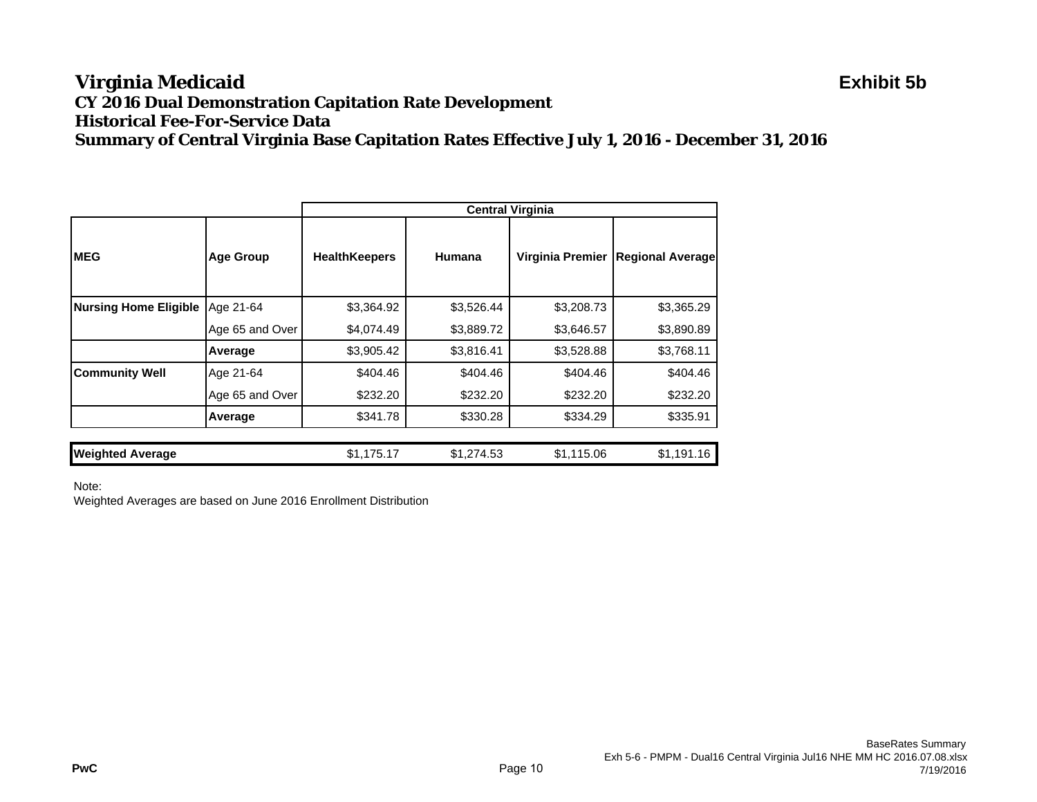### **Virginia Medicaid Exhibit 5b CY 2016 Dual Demonstration Capitation Rate Development Historical Fee-For-Service DataSummary of Central Virginia Base Capitation Rates Effective July 1, 2016 - December 31, 2016**

|                              |                  | <b>Central Virginia</b> |            |                  |                         |
|------------------------------|------------------|-------------------------|------------|------------------|-------------------------|
| <b>IMEG</b>                  | <b>Age Group</b> | <b>HealthKeepers</b>    | Humana     | Virginia Premier | <b>Regional Average</b> |
| <b>Nursing Home Eligible</b> | Age 21-64        | \$3,364.92              | \$3,526.44 | \$3,208.73       | \$3,365.29              |
|                              | Age 65 and Over  | \$4,074.49              | \$3,889.72 | \$3,646.57       | \$3,890.89              |
|                              | Average          | \$3,905.42              | \$3,816.41 | \$3,528.88       | \$3,768.11              |
| <b>Community Well</b>        | Age 21-64        | \$404.46                | \$404.46   | \$404.46         | \$404.46                |
|                              | Age 65 and Over  | \$232.20                | \$232.20   | \$232.20         | \$232.20                |
|                              | Average          | \$341.78                | \$330.28   | \$334.29         | \$335.91                |
|                              |                  |                         |            |                  |                         |
| <b>Weighted Average</b>      |                  | \$1,175.17              | \$1,274.53 | \$1,115.06       | \$1,191.16              |

Note: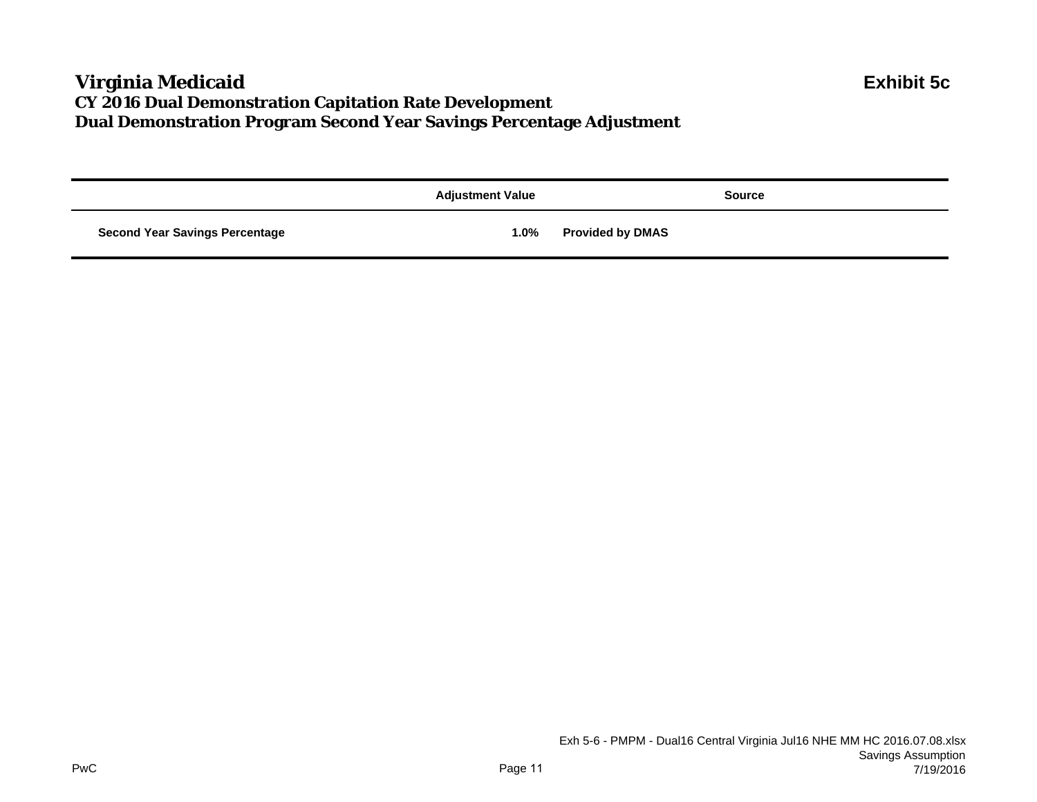### **Virginia Medicaid Exhibit 5c CY 2016 Dual Demonstration Capitation Rate Development Dual Demonstration Program Second Year Savings Percentage Adjustment**

|                                       | <b>Adjustment Value</b> | <b>Source</b>           |
|---------------------------------------|-------------------------|-------------------------|
| <b>Second Year Savings Percentage</b> | 1.0%                    | <b>Provided by DMAS</b> |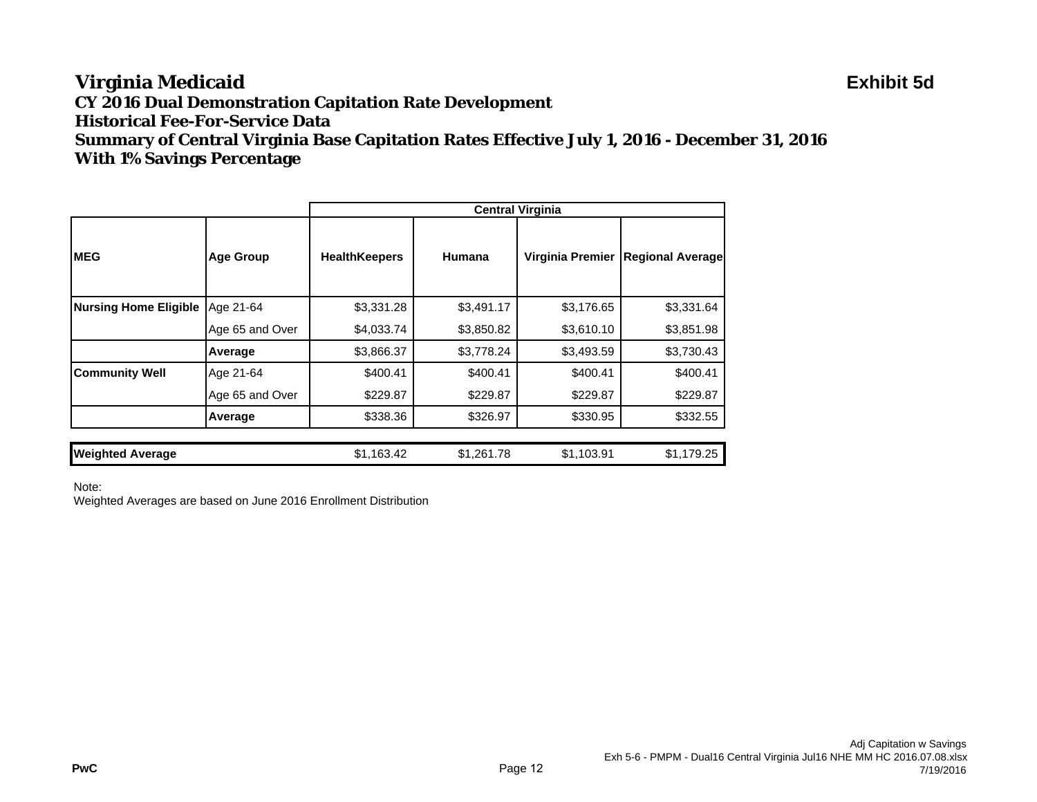#### **Virginia Medicaid Exhibit 5d CY 2016 Dual Demonstration Capitation Rate Development Historical Fee-For-Service DataSummary of Central Virginia Base Capitation Rates Effective July 1, 2016 - December 31, 2016 With 1% Savings Percentage**

|                              |                  | <b>Central Virginia</b> |            |                  |                         |
|------------------------------|------------------|-------------------------|------------|------------------|-------------------------|
| <b>IMEG</b>                  | <b>Age Group</b> | <b>HealthKeepers</b>    | Humana     | Virginia Premier | <b>Regional Average</b> |
| <b>Nursing Home Eligible</b> | Age 21-64        | \$3,331.28              | \$3,491.17 | \$3,176.65       | \$3,331.64              |
|                              | Age 65 and Over  | \$4,033.74              | \$3,850.82 | \$3,610.10       | \$3,851.98              |
|                              | Average          | \$3,866.37              | \$3,778.24 | \$3,493.59       | \$3,730.43              |
| <b>Community Well</b>        | Age 21-64        | \$400.41                | \$400.41   | \$400.41         | \$400.41                |
|                              | Age 65 and Over  | \$229.87                | \$229.87   | \$229.87         | \$229.87                |
|                              | Average          | \$338.36                | \$326.97   | \$330.95         | \$332.55                |
|                              |                  |                         |            |                  |                         |
| <b>Weighted Average</b>      |                  | \$1,163.42              | \$1,261.78 | \$1,103.91       | \$1,179.25              |

Note: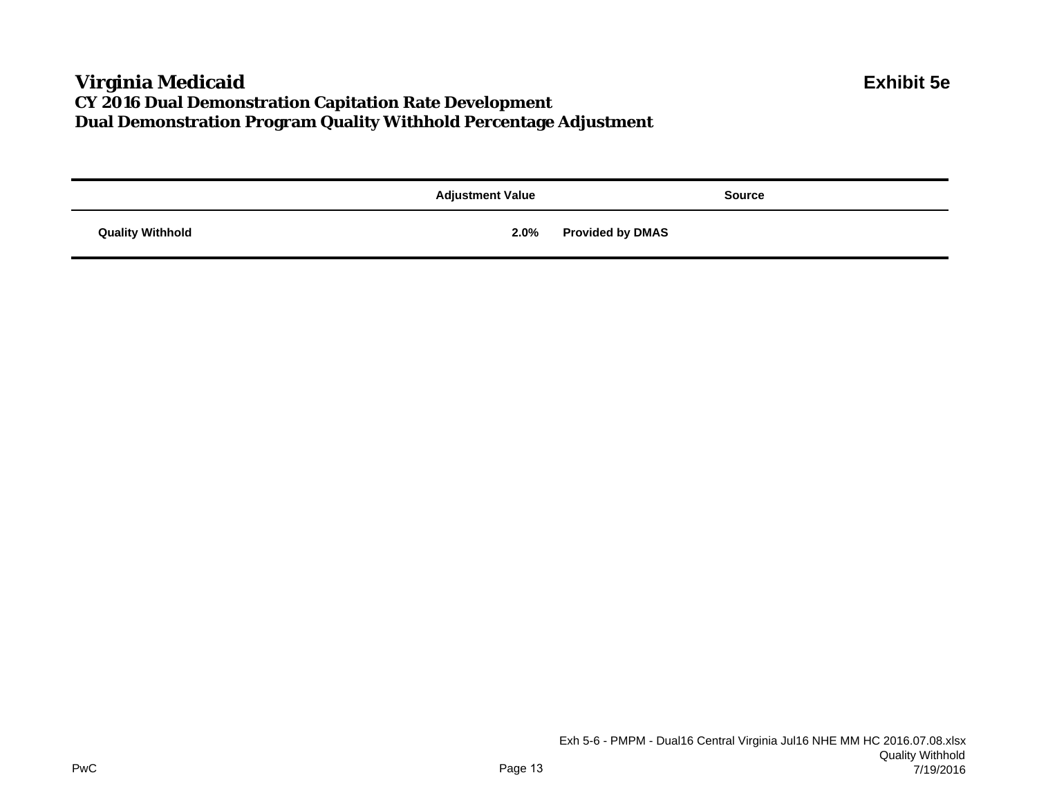### **Virginia Medicaid Exhibit 5e CY 2016 Dual Demonstration Capitation Rate Development Dual Demonstration Program Quality Withhold Percentage Adjustment**

|                         | <b>Adjustment Value</b> | <b>Source</b>           |
|-------------------------|-------------------------|-------------------------|
| <b>Quality Withhold</b> | 2.0%                    | <b>Provided by DMAS</b> |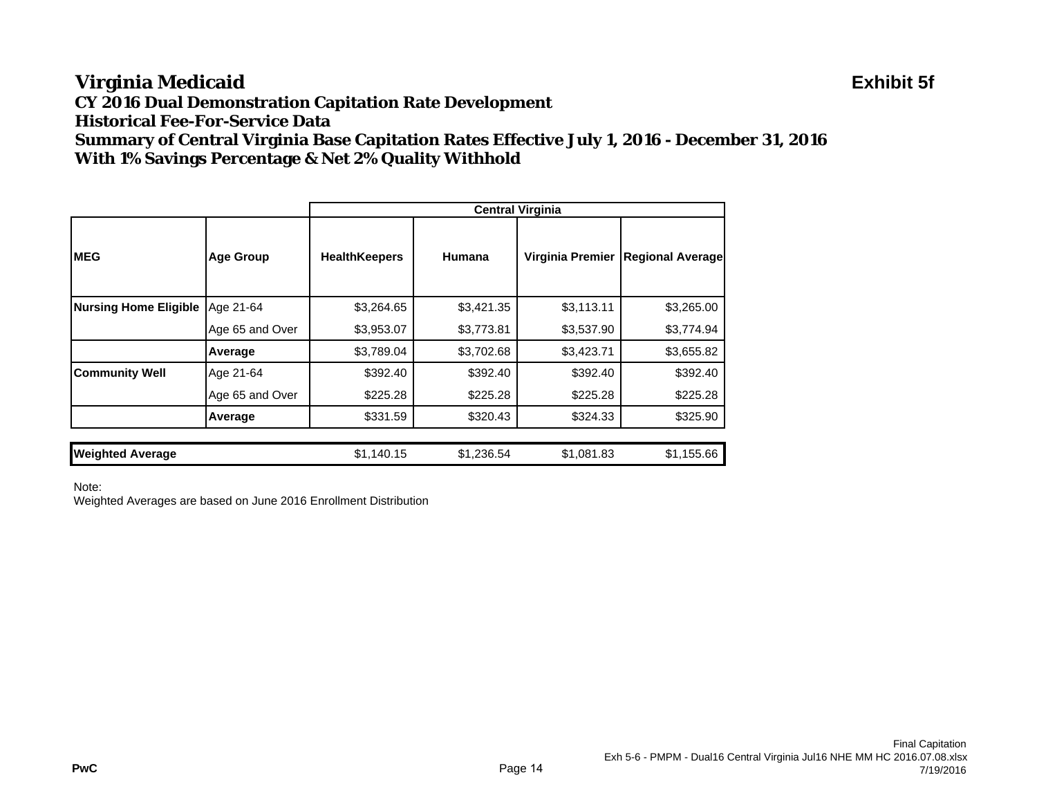## **Virginia Medicaid Exhibit 5f**

**CY 2016 Dual Demonstration Capitation Rate Development**

**Historical Fee-For-Service Data**

**Summary of Central Virginia Base Capitation Rates Effective July 1, 2016 - December 31, 2016 With 1% Savings Percentage & Net 2% Quality Withhold**

|                              |                  | <b>Central Virginia</b> |            |                  |                         |
|------------------------------|------------------|-------------------------|------------|------------------|-------------------------|
| <b>IMEG</b>                  | <b>Age Group</b> | <b>HealthKeepers</b>    | Humana     | Virginia Premier | <b>Regional Average</b> |
| <b>Nursing Home Eligible</b> | Age 21-64        | \$3,264.65              | \$3,421.35 | \$3,113.11       | \$3,265.00              |
|                              | Age 65 and Over  | \$3,953.07              | \$3,773.81 | \$3,537.90       | \$3,774.94              |
|                              | Average          | \$3,789.04              | \$3,702.68 | \$3,423.71       | \$3,655.82              |
| <b>Community Well</b>        | Age 21-64        | \$392.40                | \$392.40   | \$392.40         | \$392.40                |
|                              | Age 65 and Over  | \$225.28                | \$225.28   | \$225.28         | \$225.28                |
|                              | Average          | \$331.59                | \$320.43   | \$324.33         | \$325.90                |
|                              |                  |                         |            |                  |                         |
| <b>Weighted Average</b>      |                  | \$1,140.15              | \$1,236.54 | \$1,081.83       | \$1,155.66              |

Note: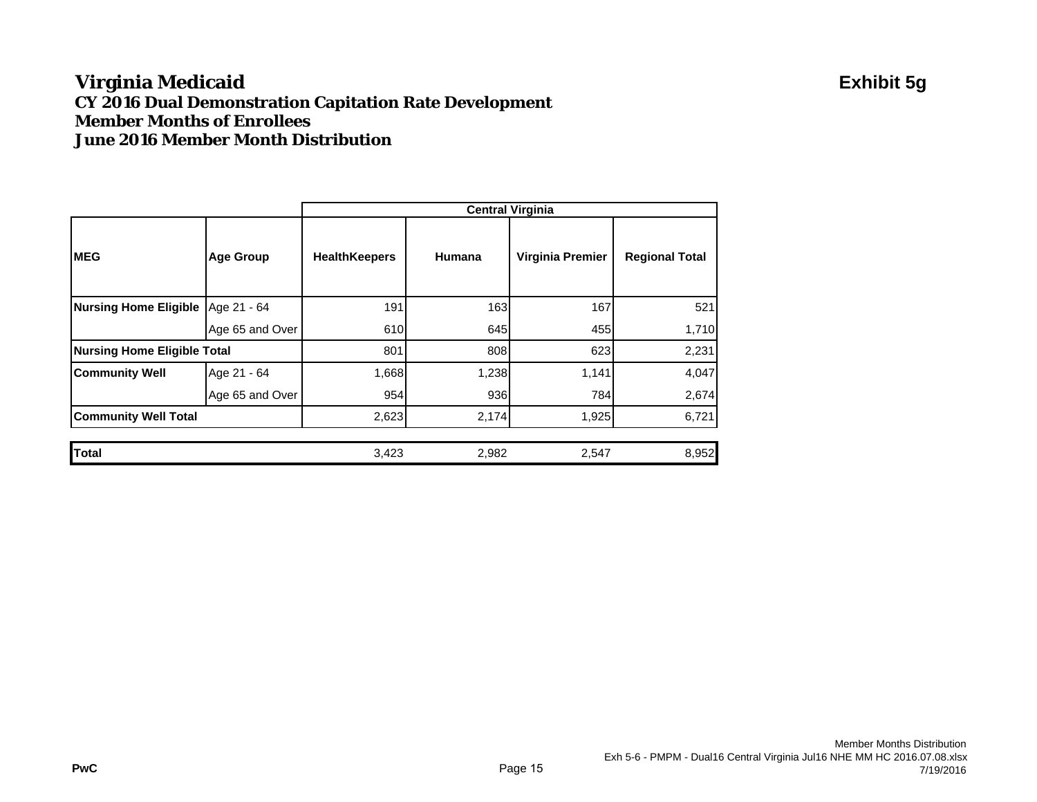### **Virginia Medicaid Exhibit 5g CY 2016 Dual Demonstration Capitation Rate Development Member Months of EnrolleesJune 2016 Member Month Distribution**

|                                     |                  | <b>Central Virginia</b> |        |                  |                       |  |
|-------------------------------------|------------------|-------------------------|--------|------------------|-----------------------|--|
| <b>MEG</b>                          | <b>Age Group</b> | <b>HealthKeepers</b>    | Humana | Virginia Premier | <b>Regional Total</b> |  |
| Nursing Home Eligible   Age 21 - 64 |                  | 191                     | 163    | 167              | 521                   |  |
|                                     | Age 65 and Over  | 610                     | 645    | 455              | 1,710                 |  |
| <b>Nursing Home Eligible Total</b>  |                  | 801                     | 808    | 623              | 2,231                 |  |
| <b>Community Well</b>               | Age 21 - 64      | 1,668                   | 1,238  | 1,141            | 4,047                 |  |
|                                     | Age 65 and Over  | 954                     | 936    | 784              | 2,674                 |  |
| <b>Community Well Total</b>         |                  | 2,623                   | 2,174  | 1,925            | 6,721                 |  |
| <b>Total</b>                        |                  | 3,423                   | 2,982  | 2,547            | 8,952                 |  |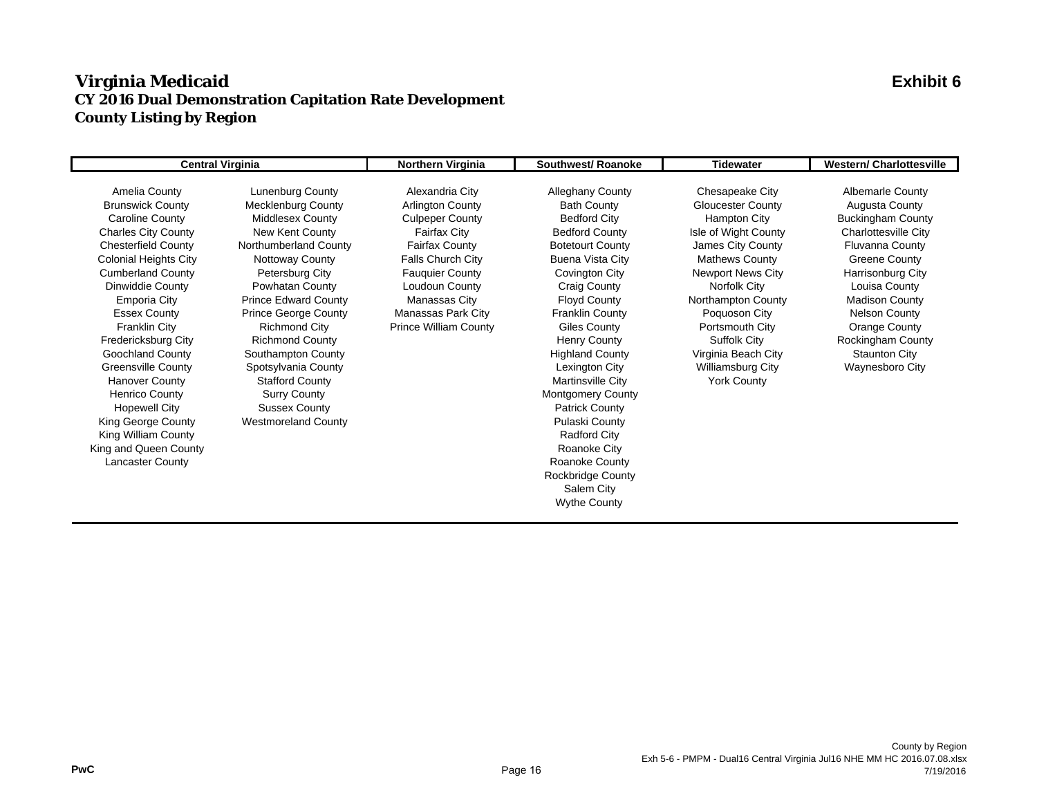#### **Virginia Medicaid Exhibit 6 CY 2016 Dual Demonstration Capitation Rate Development County Listing by Region**

|                                                                                                                                                                                                                                                                                                                                                                                                                                                                                                                                                | <b>Central Virginia</b>                                                                                                                                                                                                                                                                                                                                                                                                                                  |                                                                                                                                                                                                                                                                                          | <b>Southwest/ Roanoke</b>                                                                                                                                                                                                                                                                                                                                                                                                                                                                                                       | <b>Tidewater</b>                                                                                                                                                                                                                                                                                                          | <b>Western/ Charlottesville</b>                                                                                                                                                                                                                                                                                                |
|------------------------------------------------------------------------------------------------------------------------------------------------------------------------------------------------------------------------------------------------------------------------------------------------------------------------------------------------------------------------------------------------------------------------------------------------------------------------------------------------------------------------------------------------|----------------------------------------------------------------------------------------------------------------------------------------------------------------------------------------------------------------------------------------------------------------------------------------------------------------------------------------------------------------------------------------------------------------------------------------------------------|------------------------------------------------------------------------------------------------------------------------------------------------------------------------------------------------------------------------------------------------------------------------------------------|---------------------------------------------------------------------------------------------------------------------------------------------------------------------------------------------------------------------------------------------------------------------------------------------------------------------------------------------------------------------------------------------------------------------------------------------------------------------------------------------------------------------------------|---------------------------------------------------------------------------------------------------------------------------------------------------------------------------------------------------------------------------------------------------------------------------------------------------------------------------|--------------------------------------------------------------------------------------------------------------------------------------------------------------------------------------------------------------------------------------------------------------------------------------------------------------------------------|
| Amelia County<br><b>Brunswick County</b><br><b>Caroline County</b><br><b>Charles City County</b><br><b>Chesterfield County</b><br><b>Colonial Heights City</b><br><b>Cumberland County</b><br>Dinwiddie County<br><b>Emporia City</b><br><b>Essex County</b><br><b>Franklin City</b><br>Fredericksburg City<br><b>Goochland County</b><br><b>Greensville County</b><br><b>Hanover County</b><br><b>Henrico County</b><br><b>Hopewell City</b><br>King George County<br><b>King William County</b><br>King and Queen County<br>Lancaster County | <b>Lunenburg County</b><br><b>Mecklenburg County</b><br><b>Middlesex County</b><br>New Kent County<br>Northumberland County<br>Nottoway County<br>Petersburg City<br>Powhatan County<br><b>Prince Edward County</b><br><b>Prince George County</b><br><b>Richmond City</b><br><b>Richmond County</b><br>Southampton County<br>Spotsylvania County<br><b>Stafford County</b><br><b>Surry County</b><br><b>Sussex County</b><br><b>Westmoreland County</b> | Northern Virginia<br>Alexandria City<br><b>Arlington County</b><br><b>Culpeper County</b><br><b>Fairfax City</b><br><b>Fairfax County</b><br><b>Falls Church City</b><br><b>Fauguier County</b><br>Loudoun County<br>Manassas City<br>Manassas Park City<br><b>Prince William County</b> | <b>Alleghany County</b><br><b>Bath County</b><br><b>Bedford City</b><br><b>Bedford County</b><br><b>Botetourt County</b><br>Buena Vista City<br>Covington City<br><b>Craig County</b><br><b>Floyd County</b><br><b>Franklin County</b><br><b>Giles County</b><br><b>Henry County</b><br><b>Highland County</b><br>Lexington City<br>Martinsville City<br><b>Montgomery County</b><br><b>Patrick County</b><br>Pulaski County<br><b>Radford City</b><br>Roanoke City<br>Roanoke County<br><b>Rockbridge County</b><br>Salem City | Chesapeake City<br>Gloucester County<br>Hampton City<br>Isle of Wight County<br>James City County<br><b>Mathews County</b><br><b>Newport News City</b><br>Norfolk City<br>Northampton County<br>Poquoson City<br>Portsmouth City<br>Suffolk City<br>Virginia Beach City<br><b>Williamsburg City</b><br><b>York County</b> | <b>Albemarle County</b><br><b>Augusta County</b><br><b>Buckingham County</b><br><b>Charlottesville City</b><br><b>Fluvanna County</b><br>Greene County<br>Harrisonburg City<br>Louisa County<br><b>Madison County</b><br><b>Nelson County</b><br>Orange County<br>Rockingham County<br><b>Staunton City</b><br>Waynesboro City |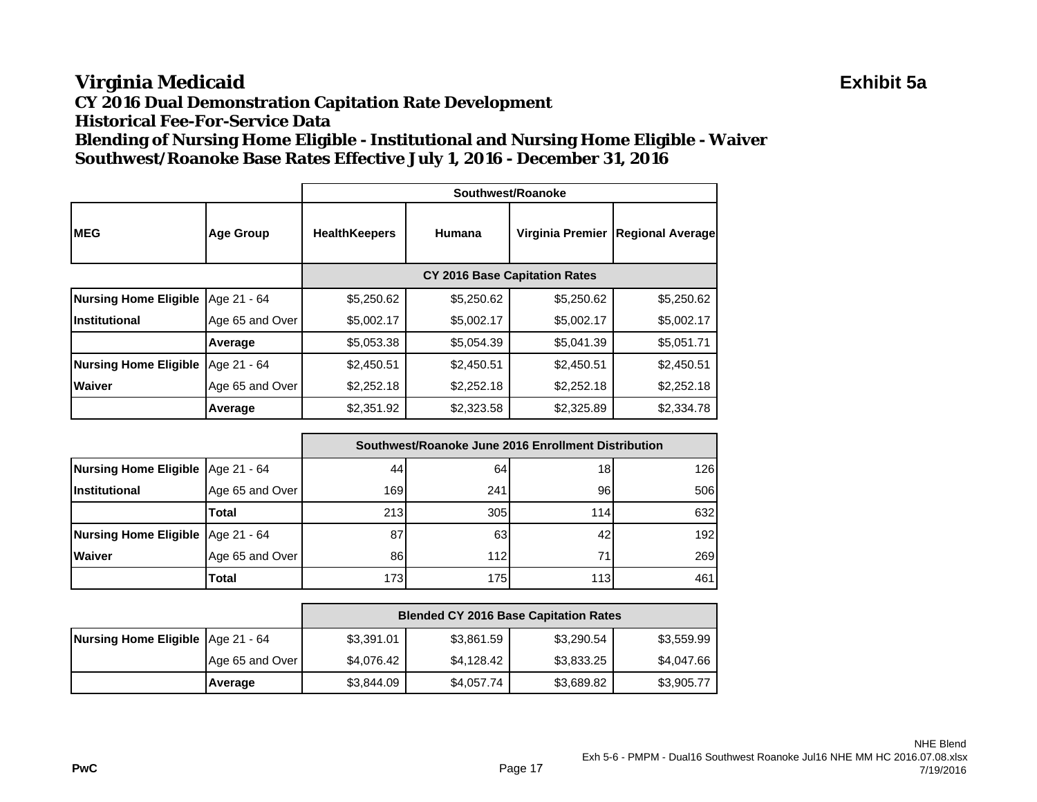#### **Virginia Medicaid Exhibit 5a CY 2016 Dual Demonstration Capitation Rate Development Historical Fee-For-Service DataBlending of Nursing Home Eligible - Institutional and Nursing Home Eligible - Waiver Southwest/Roanoke Base Rates Effective July 1, 2016 - December 31, 2016**

|                              |                  | Southwest/Roanoke                    |            |                  |                         |
|------------------------------|------------------|--------------------------------------|------------|------------------|-------------------------|
| <b>IMEG</b>                  | <b>Age Group</b> | <b>HealthKeepers</b>                 | Humana     | Virginia Premier | <b>Regional Average</b> |
|                              |                  | <b>CY 2016 Base Capitation Rates</b> |            |                  |                         |
| <b>Nursing Home Eligible</b> | Age 21 - 64      | \$5,250.62                           | \$5,250.62 | \$5,250.62       | \$5,250.62              |
| IInstitutional               | Age 65 and Over  | \$5,002.17                           | \$5,002.17 | \$5,002.17       | \$5,002.17              |
|                              | Average          | \$5,053.38                           | \$5,054.39 | \$5,041.39       | \$5,051.71              |
| <b>Nursing Home Eligible</b> | Age 21 - 64      | \$2,450.51                           | \$2,450.51 | \$2,450.51       | \$2,450.51              |
| <b>Waiver</b>                | Age 65 and Over  | \$2,252.18                           | \$2,252.18 | \$2,252.18       | \$2,252.18              |
|                              | Average          | \$2,351.92                           | \$2,323.58 | \$2,325.89       | \$2,334.78              |

|                                     |                 | Southwest/Roanoke June 2016 Enrollment Distribution |     |     |     |
|-------------------------------------|-----------------|-----------------------------------------------------|-----|-----|-----|
| Nursing Home Eligible   Age 21 - 64 |                 | 44                                                  | 64  | 18  | 126 |
| <b>Institutional</b>                | Age 65 and Over | 169                                                 | 241 | 961 | 506 |
|                                     | <b>Total</b>    | 213                                                 | 305 | 114 | 632 |
| Nursing Home Eligible   Age 21 - 64 |                 | 87                                                  | 63  | 42  | 192 |
| <b>Waiver</b>                       | Age 65 and Over | 86                                                  | 112 | 71  | 269 |
|                                     | Total           | 173                                                 | 175 | 113 | 461 |

|                                     |                 | <b>Blended CY 2016 Base Capitation Rates</b> |            |            |            |
|-------------------------------------|-----------------|----------------------------------------------|------------|------------|------------|
| Nursing Home Eligible   Age 21 - 64 |                 | \$3,391.01                                   | \$3,861.59 | \$3,290.54 | \$3,559.99 |
|                                     | Age 65 and Over | \$4,076.42                                   | \$4,128.42 | \$3,833.25 | \$4,047.66 |
|                                     | Average         | \$3,844.09                                   | \$4,057.74 | \$3,689.82 | \$3,905.77 |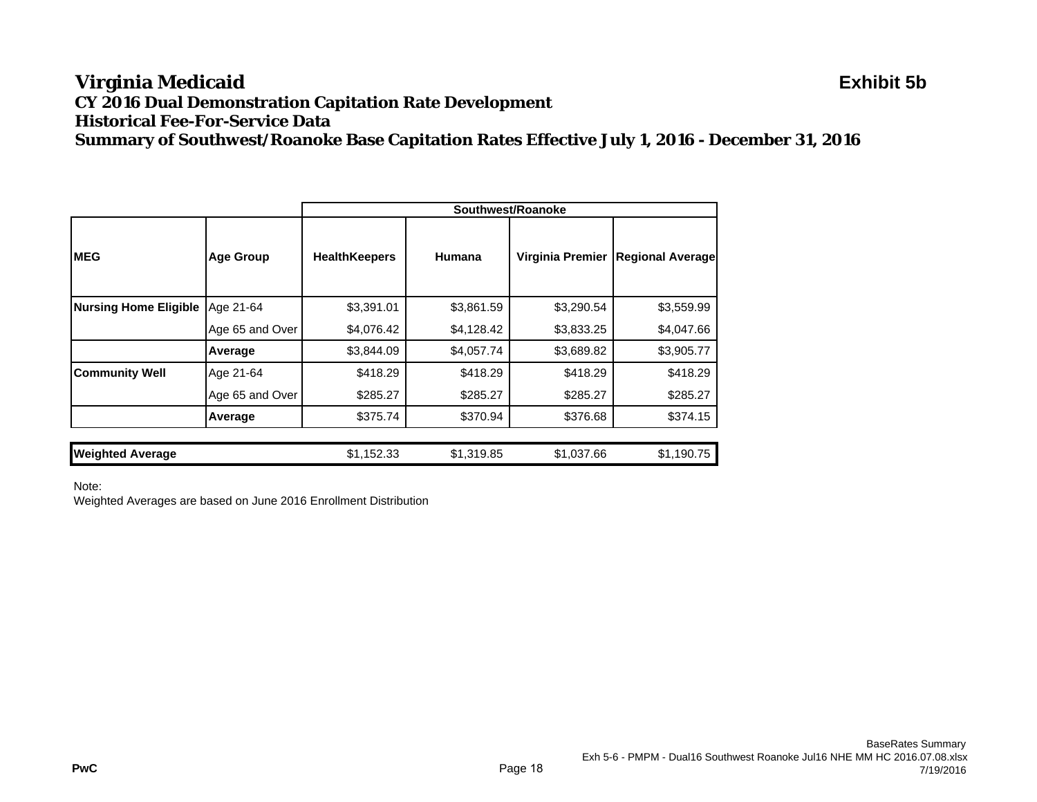#### **Virginia Medicaid Exhibit 5b CY 2016 Dual Demonstration Capitation Rate Development Historical Fee-For-Service DataSummary of Southwest/Roanoke Base Capitation Rates Effective July 1, 2016 - December 31, 2016**

|                              |                  |                      |            | Southwest/Roanoke |                         |
|------------------------------|------------------|----------------------|------------|-------------------|-------------------------|
| <b>IMEG</b>                  | <b>Age Group</b> | <b>HealthKeepers</b> | Humana     | Virginia Premier  | <b>Regional Average</b> |
| <b>Nursing Home Eligible</b> | Age 21-64        | \$3,391.01           | \$3,861.59 | \$3,290.54        | \$3,559.99              |
|                              | Age 65 and Over  | \$4,076.42           | \$4,128.42 | \$3,833.25        | \$4,047.66              |
|                              | Average          | \$3,844.09           | \$4,057.74 | \$3,689.82        | \$3,905.77              |
| <b>Community Well</b>        | Age 21-64        | \$418.29             | \$418.29   | \$418.29          | \$418.29                |
|                              | Age 65 and Over  | \$285.27             | \$285.27   | \$285.27          | \$285.27                |
|                              | Average          | \$375.74             | \$370.94   | \$376.68          | \$374.15                |
|                              |                  |                      |            |                   |                         |
| <b>Weighted Average</b>      |                  | \$1,152.33           | \$1,319.85 | \$1,037.66        | \$1,190.75              |

Note: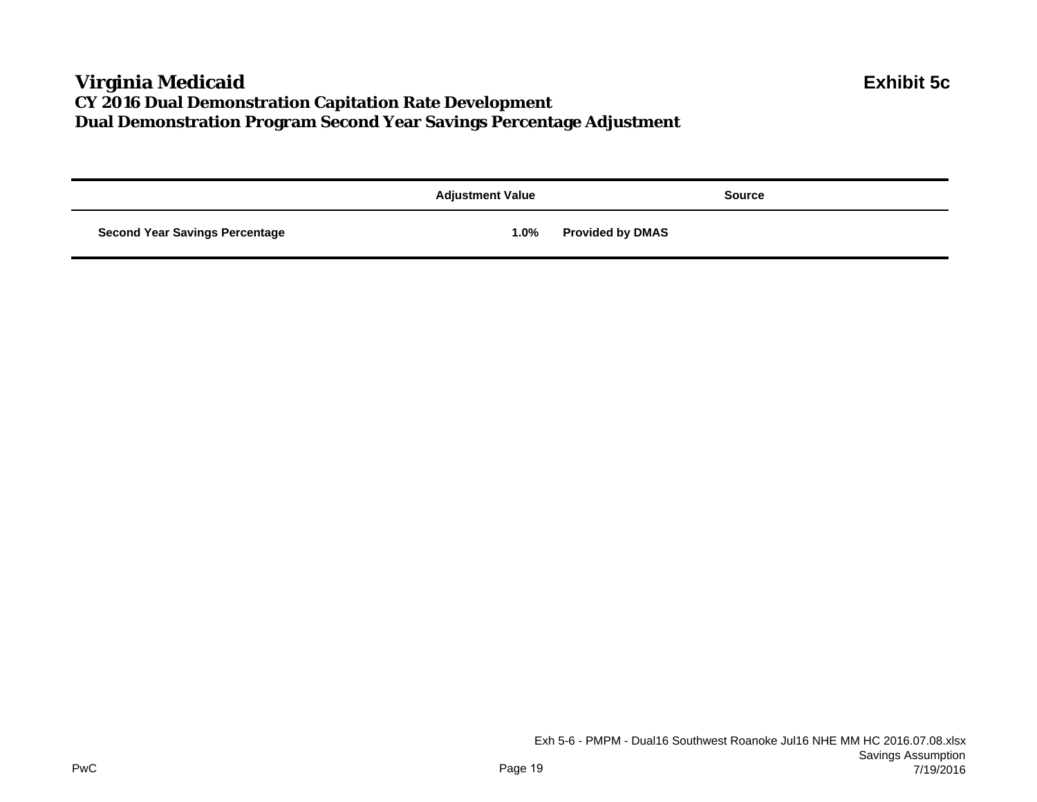### **Virginia Medicaid Exhibit 5c CY 2016 Dual Demonstration Capitation Rate Development Dual Demonstration Program Second Year Savings Percentage Adjustment**

|                                       | <b>Adjustment Value</b> | <b>Source</b>           |
|---------------------------------------|-------------------------|-------------------------|
| <b>Second Year Savings Percentage</b> | 1.0%                    | <b>Provided by DMAS</b> |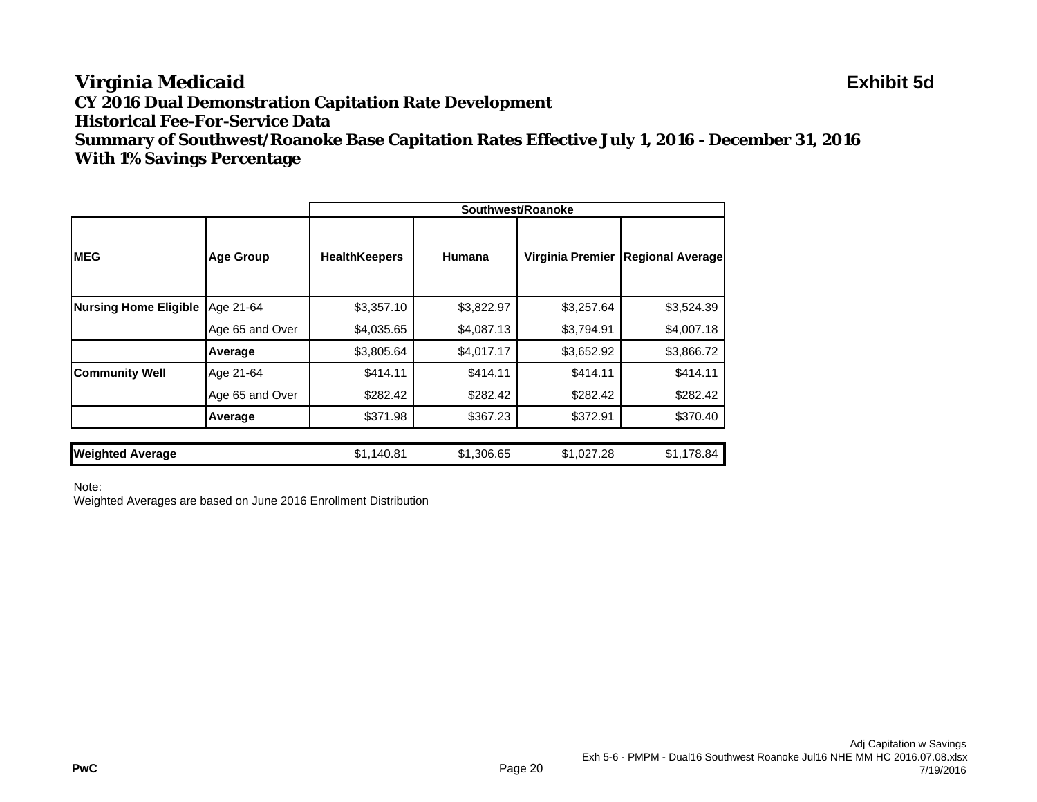#### **Virginia Medicaid Exhibit 5d CY 2016 Dual Demonstration Capitation Rate Development Historical Fee-For-Service DataSummary of Southwest/Roanoke Base Capitation Rates Effective July 1, 2016 - December 31, 2016 With 1% Savings Percentage**

|                              |                  | Southwest/Roanoke    |            |                  |                         |  |
|------------------------------|------------------|----------------------|------------|------------------|-------------------------|--|
| <b>MEG</b>                   | <b>Age Group</b> | <b>HealthKeepers</b> | Humana     | Virginia Premier | <b>Regional Average</b> |  |
| <b>Nursing Home Eligible</b> | Age 21-64        | \$3,357.10           | \$3,822.97 | \$3,257.64       | \$3,524.39              |  |
|                              | Age 65 and Over  | \$4,035.65           | \$4,087.13 | \$3,794.91       | \$4,007.18              |  |
|                              | Average          | \$3,805.64           | \$4,017.17 | \$3,652.92       | \$3,866.72              |  |
| <b>Community Well</b>        | Age 21-64        | \$414.11             | \$414.11   | \$414.11         | \$414.11                |  |
|                              | Age 65 and Over  | \$282.42             | \$282.42   | \$282.42         | \$282.42                |  |
|                              | Average          | \$371.98             | \$367.23   | \$372.91         | \$370.40                |  |
|                              |                  |                      |            |                  |                         |  |
| <b>Weighted Average</b>      |                  | \$1,140.81           | \$1,306.65 | \$1,027.28       | \$1,178.84              |  |

Note: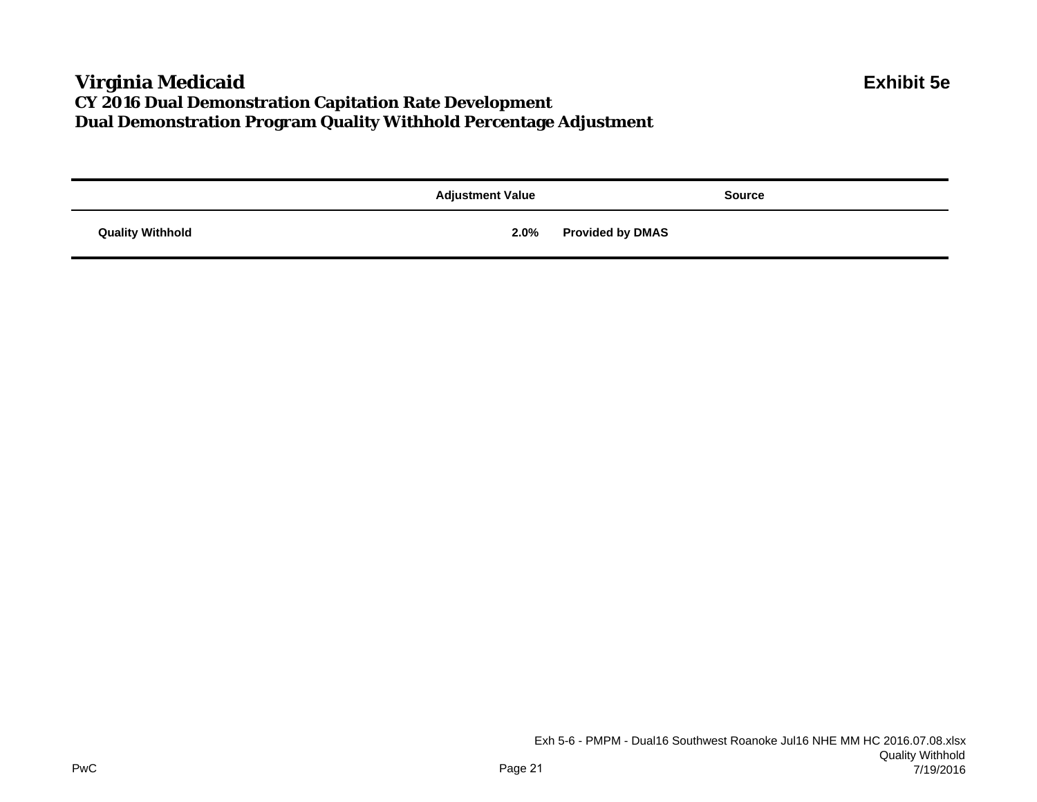### **Virginia Medicaid Exhibit 5e CY 2016 Dual Demonstration Capitation Rate Development Dual Demonstration Program Quality Withhold Percentage Adjustment**

|                         | <b>Adjustment Value</b> | <b>Source</b>           |
|-------------------------|-------------------------|-------------------------|
| <b>Quality Withhold</b> | 2.0%                    | <b>Provided by DMAS</b> |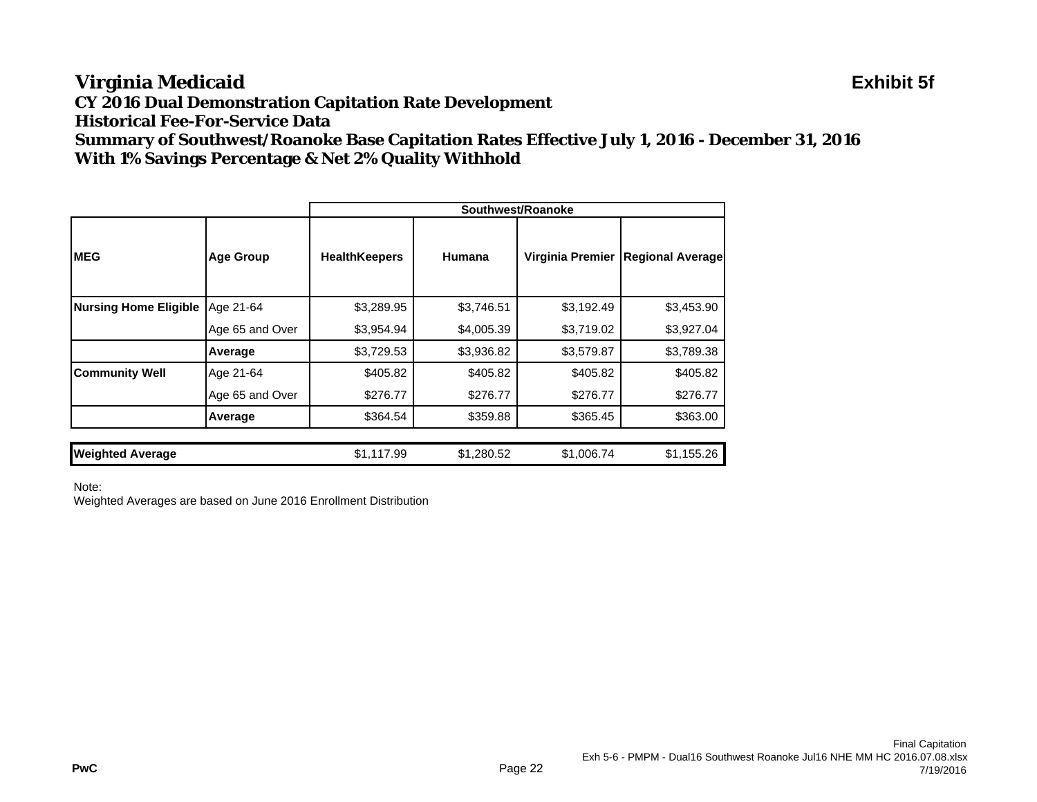# **Virginia Medicaid Exhibit 5f**

**CY 2016 Dual Demonstration Capitation Rate Development**

**Historical Fee-For-Service Data**

**Summary of Southwest/Roanoke Base Capitation Rates Effective July 1, 2016 - December 31, 2016 With 1% Savings Percentage & Net 2% Quality Withhold**

|                              |                  | Southwest/Roanoke    |               |                  |                         |  |
|------------------------------|------------------|----------------------|---------------|------------------|-------------------------|--|
| <b>IMEG</b>                  | <b>Age Group</b> | <b>HealthKeepers</b> | <b>Humana</b> | Virginia Premier | <b>Regional Average</b> |  |
| <b>Nursing Home Eligible</b> | Age 21-64        | \$3,289.95           | \$3,746.51    | \$3,192.49       | \$3,453.90              |  |
|                              | Age 65 and Over  | \$3,954.94           | \$4,005.39    | \$3,719.02       | \$3,927.04              |  |
|                              | Average          | \$3,729.53           | \$3,936.82    | \$3,579.87       | \$3,789.38              |  |
| <b>Community Well</b>        | Age 21-64        | \$405.82             | \$405.82      | \$405.82         | \$405.82                |  |
|                              | Age 65 and Over  | \$276.77             | \$276.77      | \$276.77         | \$276.77                |  |
|                              | Average          | \$364.54             | \$359.88      | \$365.45         | \$363.00                |  |
|                              |                  |                      |               |                  |                         |  |
| <b>Weighted Average</b>      |                  | \$1,117.99           | \$1,280.52    | \$1,006.74       | \$1,155.26              |  |

Note: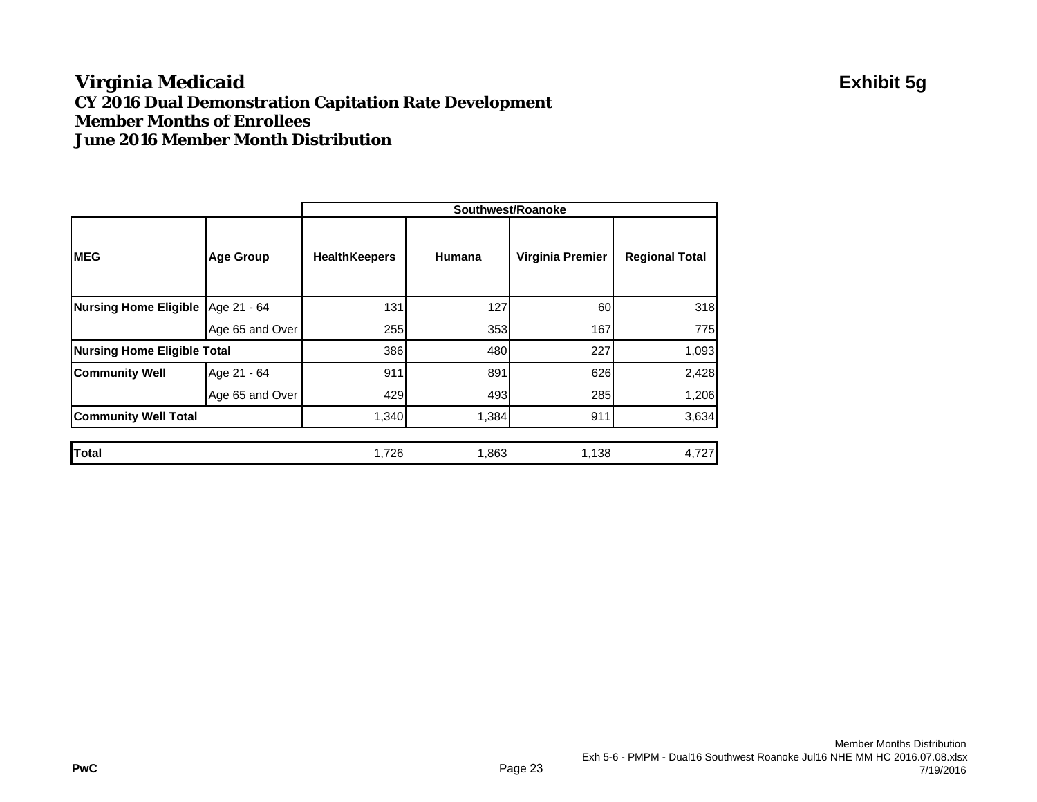### **Virginia Medicaid Exhibit 5g CY 2016 Dual Demonstration Capitation Rate Development Member Months of EnrolleesJune 2016 Member Month Distribution**

|                                     |                  | Southwest/Roanoke    |        |                  |                       |  |
|-------------------------------------|------------------|----------------------|--------|------------------|-----------------------|--|
| <b>MEG</b>                          | <b>Age Group</b> | <b>HealthKeepers</b> | Humana | Virginia Premier | <b>Regional Total</b> |  |
| Nursing Home Eligible   Age 21 - 64 |                  | 131                  | 127    | 60               | 318                   |  |
|                                     | Age 65 and Over  | 255                  | 353    | 167              | 775                   |  |
| <b>Nursing Home Eligible Total</b>  |                  | 386                  | 480    | 227              | 1,093                 |  |
| <b>Community Well</b>               | Age 21 - 64      | 911                  | 891    | 626              | 2,428                 |  |
|                                     | Age 65 and Over  | 429                  | 493    | 285              | 1,206                 |  |
| <b>Community Well Total</b>         |                  | 1,340                | 1,384  | 911              | 3,634                 |  |
| <b>Total</b>                        |                  | 1,726                | 1,863  | 1,138            | 4,727                 |  |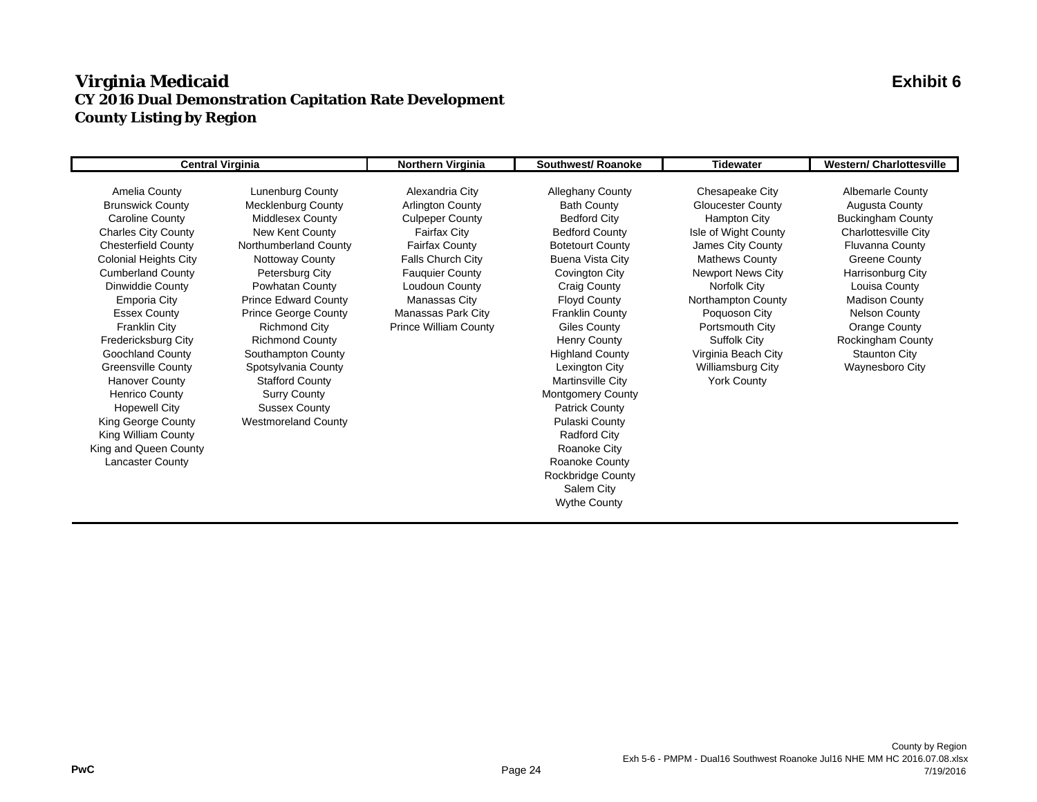#### **Virginia Medicaid Exhibit 6 CY 2016 Dual Demonstration Capitation Rate Development County Listing by Region**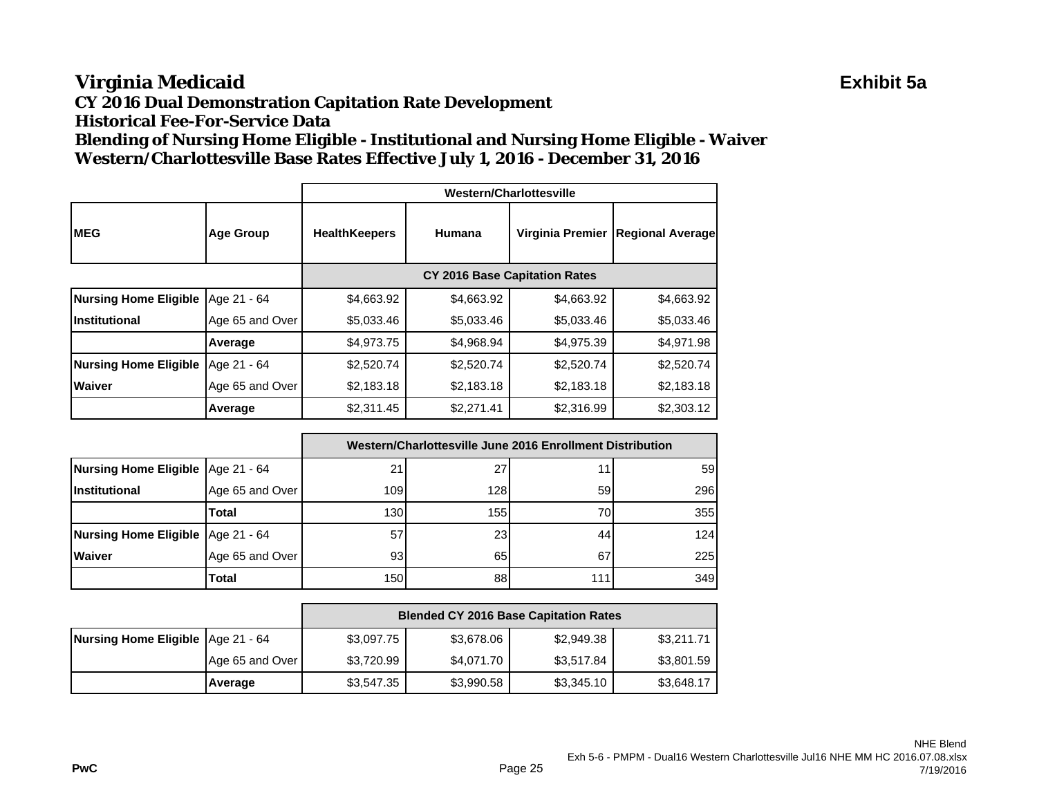#### **Virginia Medicaid Exhibit 5a CY 2016 Dual Demonstration Capitation Rate Development Historical Fee-For-Service DataBlending of Nursing Home Eligible - Institutional and Nursing Home Eligible - Waiver Western/Charlottesville Base Rates Effective July 1, 2016 - December 31, 2016**

|                              |                  | Western/Charlottesville              |            |                  |                         |
|------------------------------|------------------|--------------------------------------|------------|------------------|-------------------------|
| <b>IMEG</b>                  | <b>Age Group</b> | <b>HealthKeepers</b>                 | Humana     | Virginia Premier | <b>Regional Average</b> |
|                              |                  | <b>CY 2016 Base Capitation Rates</b> |            |                  |                         |
| <b>Nursing Home Eligible</b> | Age 21 - 64      | \$4,663.92                           | \$4,663.92 | \$4,663.92       | \$4,663.92              |
| IInstitutional               | Age 65 and Over  | \$5,033.46                           | \$5,033.46 | \$5,033.46       | \$5,033.46              |
|                              | Average          | \$4,973.75                           | \$4,968.94 | \$4,975.39       | \$4,971.98              |
| <b>Nursing Home Eligible</b> | Age 21 - 64      | \$2,520.74                           | \$2,520.74 | \$2,520.74       | \$2,520.74              |
| <b>Waiver</b>                | Age 65 and Over  | \$2,183.18                           | \$2,183.18 | \$2,183.18       | \$2,183.18              |
|                              | Average          | \$2,311.45                           | \$2,271.41 | \$2,316.99       | \$2,303.12              |

|                                     |                 | Western/Charlottesville June 2016 Enrollment Distribution |     |     |     |
|-------------------------------------|-----------------|-----------------------------------------------------------|-----|-----|-----|
| Nursing Home Eligible   Age 21 - 64 |                 | 21                                                        | 27  |     | 59  |
| <i><u><b>Institutional</b></u></i>  | Age 65 and Over | 109                                                       | 128 | 59  | 296 |
|                                     | <b>Total</b>    | 130                                                       | 155 | 70  | 355 |
| Nursing Home Eligible   Age 21 - 64 |                 | 57                                                        | 23  | 44  | 124 |
| <b>Waiver</b>                       | Age 65 and Over | 93                                                        | 65  | 67  | 225 |
|                                     | Total           | 150                                                       | 88  | 11' | 349 |

|                                     |                 | <b>Blended CY 2016 Base Capitation Rates</b> |            |            |            |
|-------------------------------------|-----------------|----------------------------------------------|------------|------------|------------|
| Nursing Home Eligible   Age 21 - 64 |                 | \$3,097.75                                   | \$3,678.06 | \$2,949.38 | \$3,211.71 |
|                                     | Age 65 and Over | \$3,720.99                                   | \$4,071.70 | \$3,517.84 | \$3,801.59 |
|                                     | Average         | \$3,547.35                                   | \$3,990.58 | \$3,345.10 | \$3,648.17 |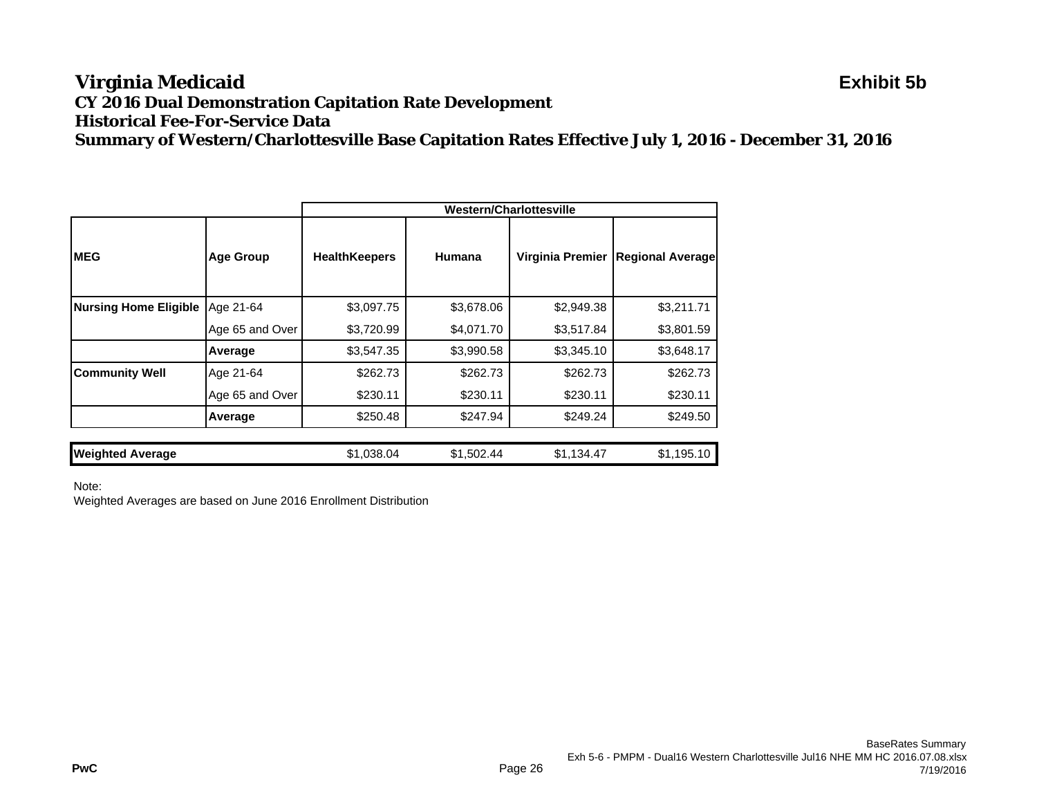#### **Virginia Medicaid Exhibit 5b CY 2016 Dual Demonstration Capitation Rate Development Historical Fee-For-Service DataSummary of Western/Charlottesville Base Capitation Rates Effective July 1, 2016 - December 31, 2016**

|                              |                  | Western/Charlottesville |            |                  |                         |  |
|------------------------------|------------------|-------------------------|------------|------------------|-------------------------|--|
| <b>IMEG</b>                  | <b>Age Group</b> | <b>HealthKeepers</b>    | Humana     | Virginia Premier | <b>Regional Average</b> |  |
| <b>Nursing Home Eligible</b> | Age 21-64        | \$3,097.75              | \$3,678.06 | \$2,949.38       | \$3,211.71              |  |
|                              | Age 65 and Over  | \$3,720.99              | \$4,071.70 | \$3,517.84       | \$3,801.59              |  |
|                              | Average          | \$3,547.35              | \$3,990.58 | \$3,345.10       | \$3,648.17              |  |
| <b>Community Well</b>        | Age 21-64        | \$262.73                | \$262.73   | \$262.73         | \$262.73                |  |
|                              | Age 65 and Over  | \$230.11                | \$230.11   | \$230.11         | \$230.11                |  |
|                              | Average          | \$250.48                | \$247.94   | \$249.24         | \$249.50                |  |
|                              |                  |                         |            |                  |                         |  |
| <b>Weighted Average</b>      |                  | \$1,038.04              | \$1,502.44 | \$1,134.47       | \$1,195.10              |  |

Note:

Weighted Averages are based on June 2016 Enrollment Distribution

 $\bf C$  . The proposalism is the contract of the contract of the contract of the contract of the contract of the contract of the contract of the contract of the contract of the contract of the contract of the contract of th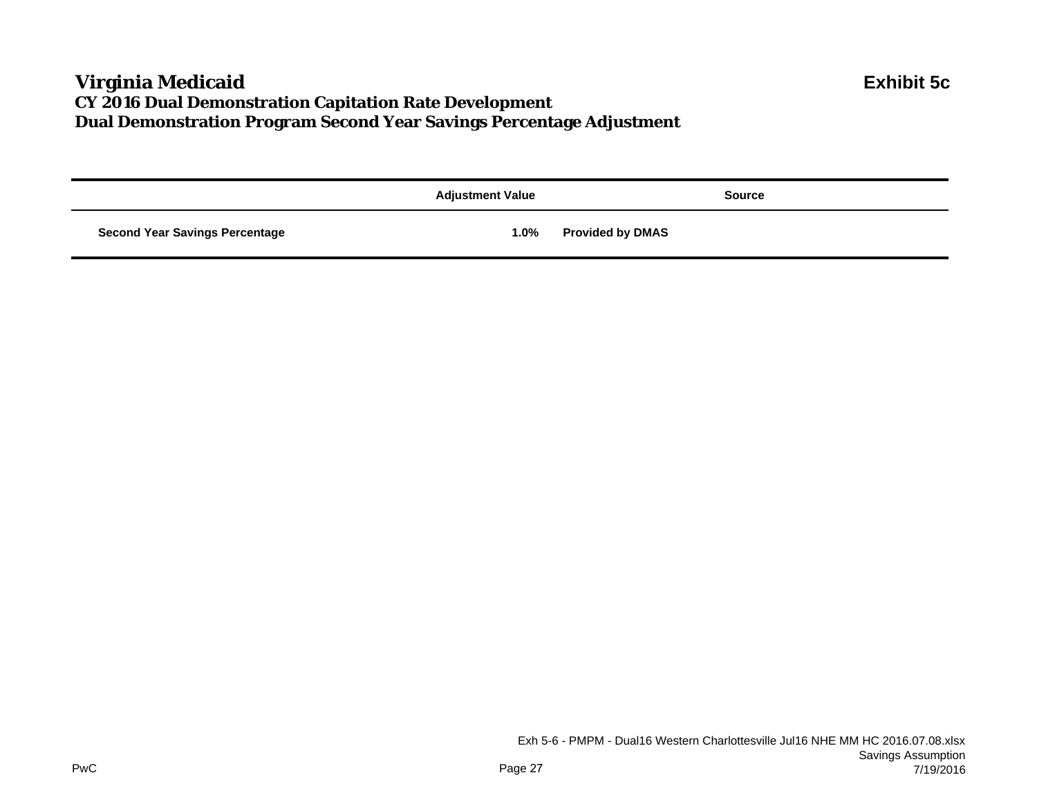### **Virginia Medicaid Exhibit 5c CY 2016 Dual Demonstration Capitation Rate Development Dual Demonstration Program Second Year Savings Percentage Adjustment**

|                                       | <b>Adjustment Value</b> | <b>Source</b>           |
|---------------------------------------|-------------------------|-------------------------|
| <b>Second Year Savings Percentage</b> | $1.0\%$                 | <b>Provided by DMAS</b> |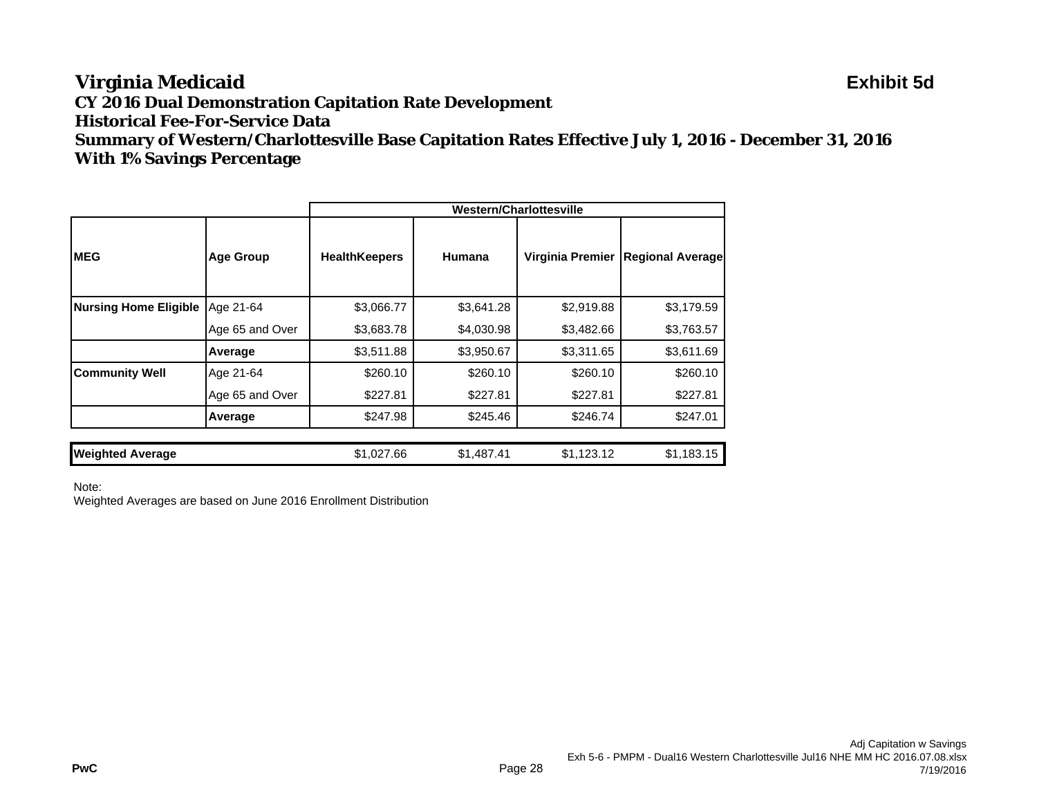# **Virginia Medicaid Exhibit 5d CY 2016 Dual Demonstration Capitation Rate Development Historical Fee-For-Service Data**

**Summary of Western/Charlottesville Base Capitation Rates Effective July 1, 2016 - December 31, 2016 With 1% Savings Percentage**

|                              |                  | Western/Charlottesville |            |                  |                         |
|------------------------------|------------------|-------------------------|------------|------------------|-------------------------|
| <b>IMEG</b>                  | <b>Age Group</b> | <b>HealthKeepers</b>    | Humana     | Virginia Premier | <b>Regional Average</b> |
| <b>Nursing Home Eligible</b> | Age 21-64        | \$3,066.77              | \$3,641.28 | \$2,919.88       | \$3,179.59              |
|                              | Age 65 and Over  | \$3,683.78              | \$4,030.98 | \$3,482.66       | \$3,763.57              |
|                              | Average          | \$3,511.88              | \$3,950.67 | \$3,311.65       | \$3,611.69              |
| <b>Community Well</b>        | Age 21-64        | \$260.10                | \$260.10   | \$260.10         | \$260.10                |
|                              | Age 65 and Over  | \$227.81                | \$227.81   | \$227.81         | \$227.81                |
|                              | Average          | \$247.98                | \$245.46   | \$246.74         | \$247.01                |
|                              |                  |                         |            |                  |                         |
| <b>Weighted Average</b>      |                  | \$1,027.66              | \$1,487.41 | \$1,123.12       | \$1,183.15              |

Note: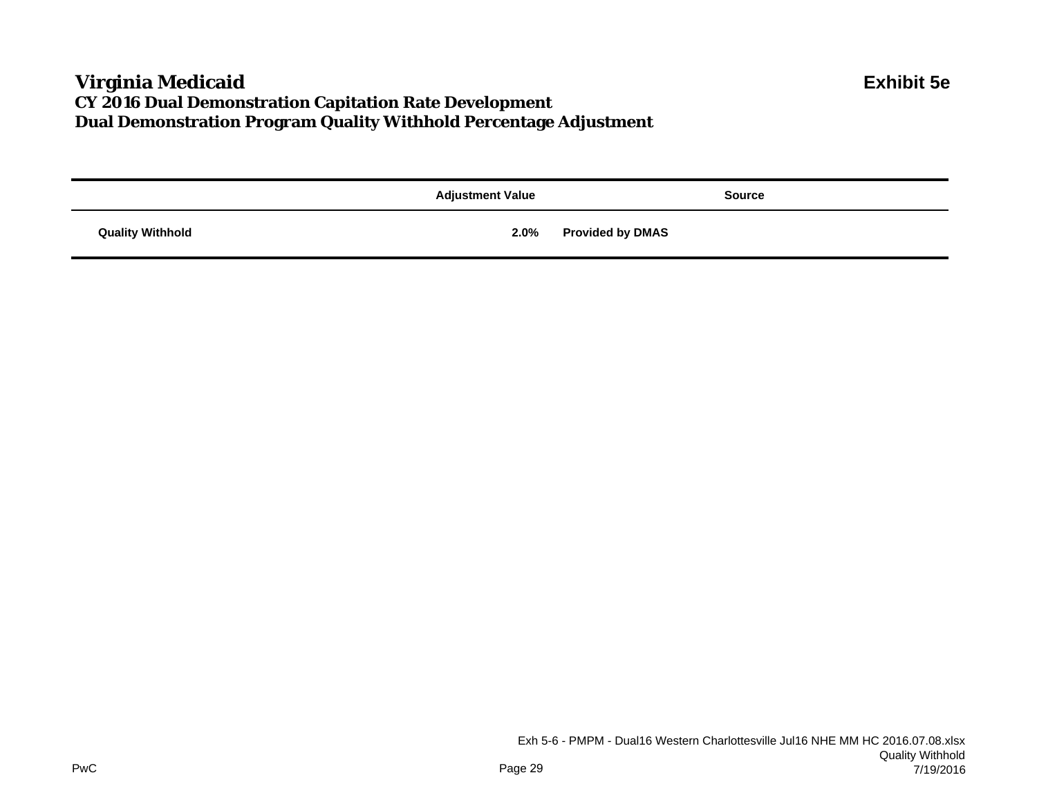### **Virginia Medicaid Exhibit 5e CY 2016 Dual Demonstration Capitation Rate Development Dual Demonstration Program Quality Withhold Percentage Adjustment**

|                         | <b>Adjustment Value</b> | <b>Source</b>           |
|-------------------------|-------------------------|-------------------------|
| <b>Quality Withhold</b> | 2.0%                    | <b>Provided by DMAS</b> |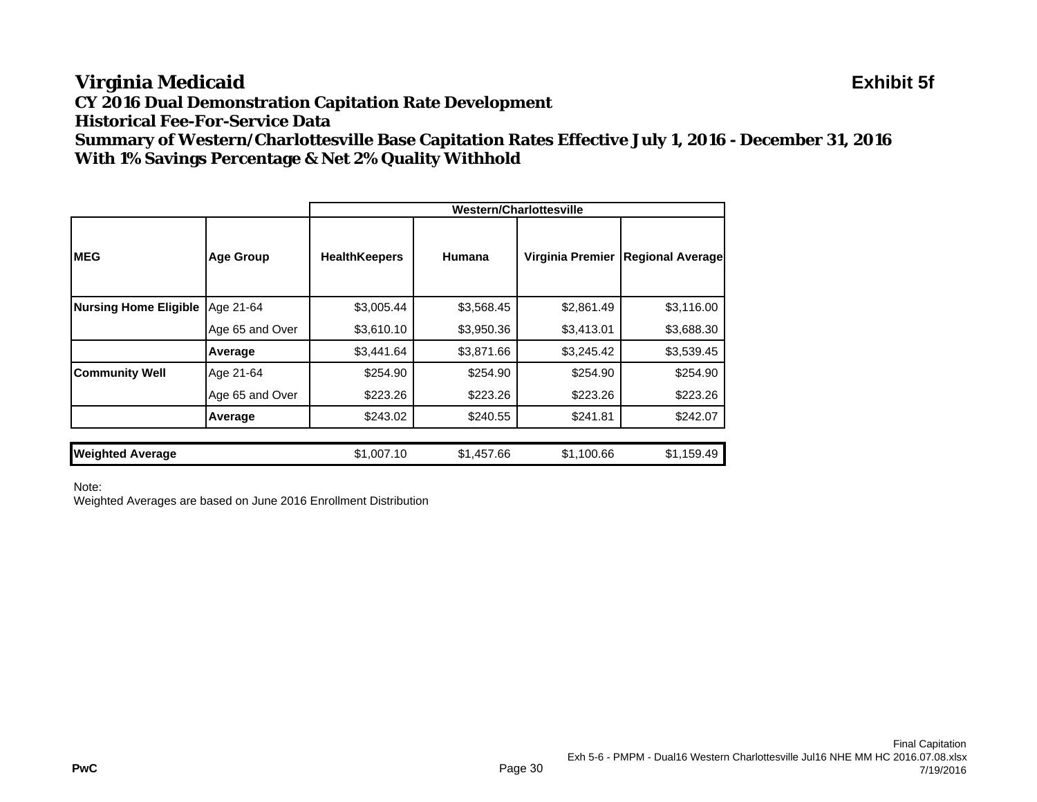## **Virginia Medicaid Exhibit 5f**

**CY 2016 Dual Demonstration Capitation Rate Development**

**Historical Fee-For-Service Data**

**Summary of Western/Charlottesville Base Capitation Rates Effective July 1, 2016 - December 31, 2016 With 1% Savings Percentage & Net 2% Quality Withhold**

|                              |                  | <b>Western/Charlottesville</b> |            |                  |                         |
|------------------------------|------------------|--------------------------------|------------|------------------|-------------------------|
| <b>IMEG</b>                  | <b>Age Group</b> | <b>HealthKeepers</b>           | Humana     | Virginia Premier | <b>Regional Average</b> |
| <b>Nursing Home Eligible</b> | Age 21-64        | \$3,005.44                     | \$3,568.45 | \$2,861.49       | \$3,116.00              |
|                              | Age 65 and Over  | \$3,610.10                     | \$3,950.36 | \$3,413.01       | \$3,688.30              |
|                              | Average          | \$3,441.64                     | \$3,871.66 | \$3,245.42       | \$3,539.45              |
| <b>Community Well</b>        | Age 21-64        | \$254.90                       | \$254.90   | \$254.90         | \$254.90                |
|                              | Age 65 and Over  | \$223.26                       | \$223.26   | \$223.26         | \$223.26                |
|                              | Average          | \$243.02                       | \$240.55   | \$241.81         | \$242.07                |
| <b>Weighted Average</b>      |                  | \$1,007.10                     | \$1,457.66 | \$1,100.66       | \$1,159.49              |

Note: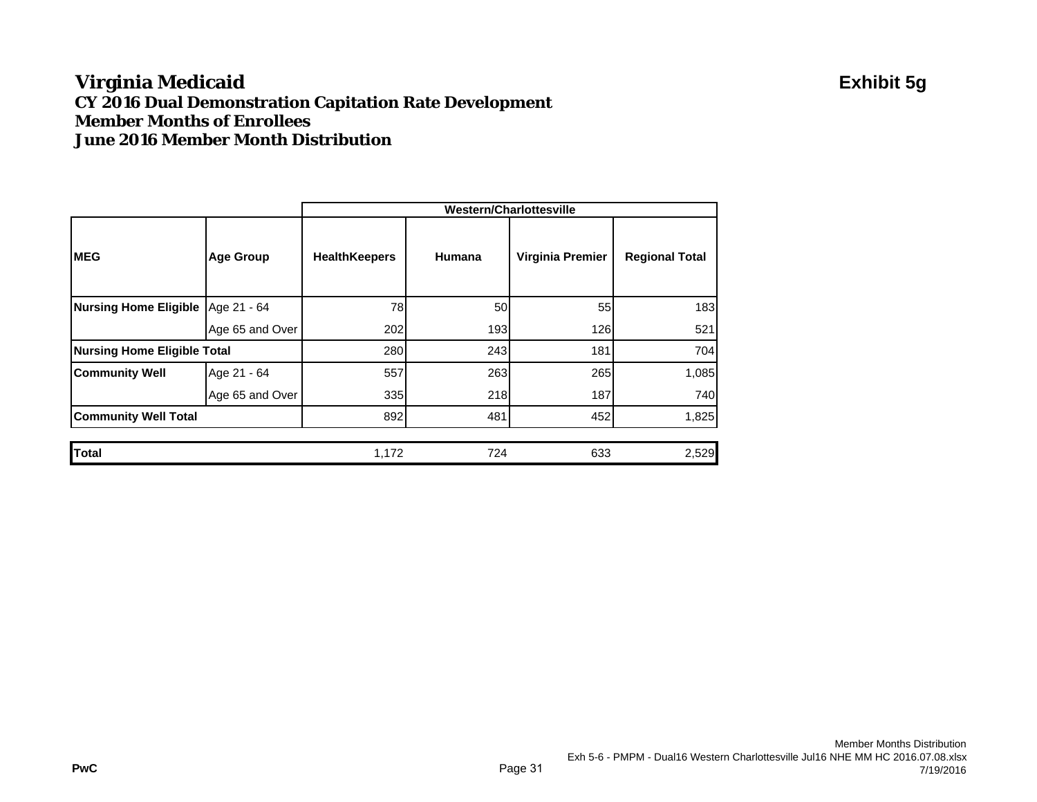### **Virginia Medicaid Exhibit 5g CY 2016 Dual Demonstration Capitation Rate Development Member Months of EnrolleesJune 2016 Member Month Distribution**

|                                     |                  | Western/Charlottesville |        |                  |                       |  |
|-------------------------------------|------------------|-------------------------|--------|------------------|-----------------------|--|
| <b>MEG</b>                          | <b>Age Group</b> | <b>HealthKeepers</b>    | Humana | Virginia Premier | <b>Regional Total</b> |  |
| Nursing Home Eligible   Age 21 - 64 |                  | 78                      | 50     | 55               | 183                   |  |
|                                     | Age 65 and Over  | 202                     | 193    | 126              | 521                   |  |
| <b>Nursing Home Eligible Total</b>  |                  | 280                     | 243    | 181              | 704                   |  |
| <b>Community Well</b>               | Age 21 - 64      | 557                     | 263    | 265              | 1,085                 |  |
|                                     | Age 65 and Over  | 335                     | 218    | 187              | 740                   |  |
| <b>Community Well Total</b>         |                  | 892                     | 481    | 452              | 1,825                 |  |
|                                     |                  |                         |        |                  |                       |  |
| <b>Total</b>                        |                  | 1,172                   | 724    | 633              | 2,529                 |  |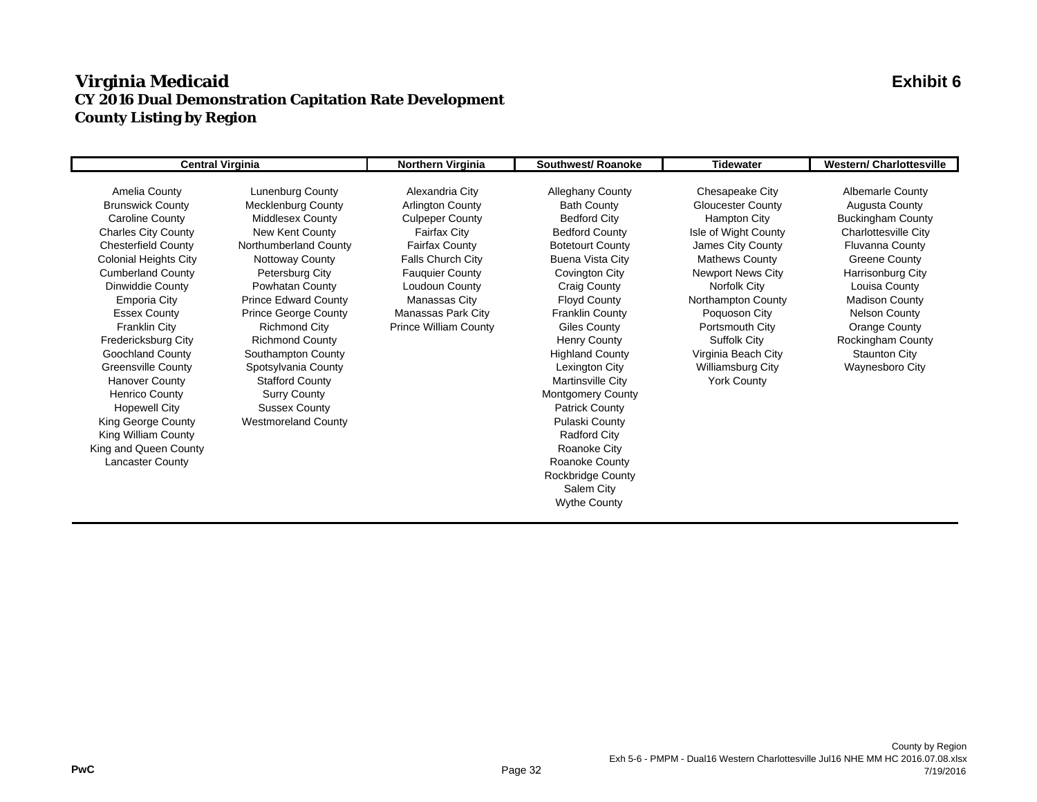#### **Virginia Medicaid Exhibit 6 CY 2016 Dual Demonstration Capitation Rate Development County Listing by Region**

| <b>Central Virginia</b>      |                             | Northern Virginia            | Southwest/Roanoke        | <b>Tidewater</b>         | <b>Western/ Charlottesville</b> |
|------------------------------|-----------------------------|------------------------------|--------------------------|--------------------------|---------------------------------|
|                              |                             |                              |                          |                          |                                 |
| Amelia County                | <b>Lunenburg County</b>     | Alexandria City              | <b>Alleghany County</b>  | Chesapeake City          | <b>Albemarle County</b>         |
| <b>Brunswick County</b>      | <b>Mecklenburg County</b>   | <b>Arlington County</b>      | <b>Bath County</b>       | <b>Gloucester County</b> | Augusta County                  |
| <b>Caroline County</b>       | <b>Middlesex County</b>     | <b>Culpeper County</b>       | <b>Bedford City</b>      | Hampton City             | <b>Buckingham County</b>        |
| <b>Charles City County</b>   | New Kent County             | <b>Fairfax City</b>          | <b>Bedford County</b>    | Isle of Wight County     | <b>Charlottesville City</b>     |
| <b>Chesterfield County</b>   | Northumberland County       | <b>Fairfax County</b>        | <b>Botetourt County</b>  | James City County        | <b>Fluvanna County</b>          |
| <b>Colonial Heights City</b> | Nottoway County             | Falls Church City            | Buena Vista City         | <b>Mathews County</b>    | Greene County                   |
| <b>Cumberland County</b>     | Petersburg City             | <b>Fauquier County</b>       | Covington City           | <b>Newport News City</b> | Harrisonburg City               |
| Dinwiddie County             | Powhatan County             | Loudoun County               | Craig County             | Norfolk City             | Louisa County                   |
| <b>Emporia City</b>          | <b>Prince Edward County</b> | Manassas City                | <b>Floyd County</b>      | Northampton County       | <b>Madison County</b>           |
| <b>Essex County</b>          | <b>Prince George County</b> | Manassas Park City           | <b>Franklin County</b>   | Poquoson City            | <b>Nelson County</b>            |
| <b>Franklin City</b>         | <b>Richmond City</b>        | <b>Prince William County</b> | Giles County             | Portsmouth City          | Orange County                   |
| Fredericksburg City          | <b>Richmond County</b>      |                              | <b>Henry County</b>      | Suffolk City             | Rockingham County               |
| <b>Goochland County</b>      | Southampton County          |                              | <b>Highland County</b>   | Virginia Beach City      | Staunton City                   |
| <b>Greensville County</b>    | Spotsylvania County         |                              | Lexington City           | Williamsburg City        | Waynesboro City                 |
| <b>Hanover County</b>        | <b>Stafford County</b>      |                              | Martinsville City        | <b>York County</b>       |                                 |
| <b>Henrico County</b>        | <b>Surry County</b>         |                              | <b>Montgomery County</b> |                          |                                 |
| <b>Hopewell City</b>         | <b>Sussex County</b>        |                              | <b>Patrick County</b>    |                          |                                 |
| King George County           | <b>Westmoreland County</b>  |                              | Pulaski County           |                          |                                 |
| <b>King William County</b>   |                             |                              | <b>Radford City</b>      |                          |                                 |
| King and Queen County        |                             |                              | Roanoke City             |                          |                                 |
| Lancaster County             |                             |                              | Roanoke County           |                          |                                 |
|                              |                             |                              | <b>Rockbridge County</b> |                          |                                 |
|                              |                             |                              | Salem City               |                          |                                 |
|                              |                             |                              | <b>Wythe County</b>      |                          |                                 |
|                              |                             |                              |                          |                          |                                 |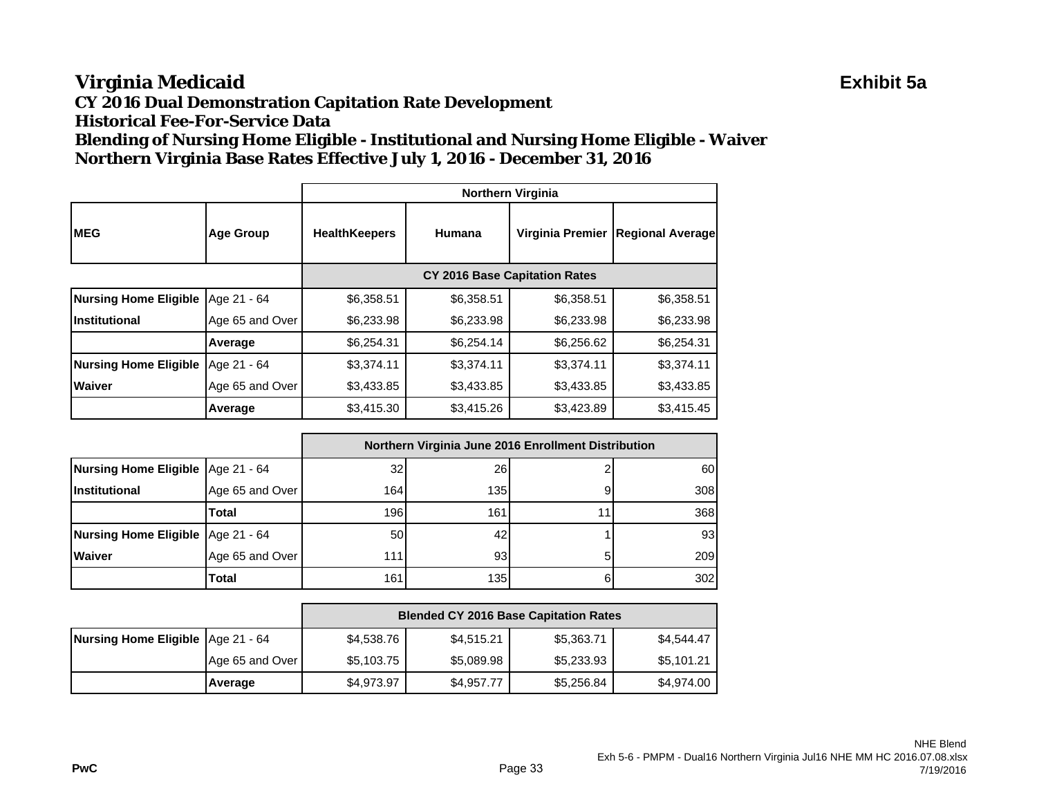#### **Virginia Medicaid Exhibit 5a CY 2016 Dual Demonstration Capitation Rate Development Historical Fee-For-Service DataBlending of Nursing Home Eligible - Institutional and Nursing Home Eligible - Waiver Northern Virginia Base Rates Effective July 1, 2016 - December 31, 2016**

|                              |                  | <b>Northern Virginia</b>             |            |                  |                         |
|------------------------------|------------------|--------------------------------------|------------|------------------|-------------------------|
| <b>MEG</b>                   | <b>Age Group</b> | <b>HealthKeepers</b>                 | Humana     | Virginia Premier | <b>Regional Average</b> |
|                              |                  | <b>CY 2016 Base Capitation Rates</b> |            |                  |                         |
| <b>Nursing Home Eligible</b> | Age 21 - 64      | \$6,358.51                           | \$6,358.51 | \$6,358.51       | \$6,358.51              |
| <b>Institutional</b>         | Age 65 and Over  | \$6,233.98                           | \$6,233.98 | \$6,233.98       | \$6,233.98              |
|                              | Average          | \$6,254.31                           | \$6,254.14 | \$6,256.62       | \$6,254.31              |
| <b>Nursing Home Eligible</b> | Age 21 - 64      | \$3,374.11                           | \$3,374.11 | \$3,374.11       | \$3,374.11              |
| <b>Waiver</b>                | Age 65 and Over  | \$3,433.85                           | \$3,433.85 | \$3,433.85       | \$3,433.85              |
|                              | Average          | \$3,415.30                           | \$3,415.26 | \$3,423.89       | \$3,415.45              |

|                                     |                 | Northern Virginia June 2016 Enrollment Distribution |     |   |     |
|-------------------------------------|-----------------|-----------------------------------------------------|-----|---|-----|
| Nursing Home Eligible   Age 21 - 64 |                 | 32 <sub>l</sub>                                     | 26  |   | 60  |
| <i><u><b>Institutional</b></u></i>  | Age 65 and Over | 164                                                 | 135 | 9 | 308 |
|                                     | <b>Total</b>    | 196                                                 | 161 |   | 368 |
| Nursing Home Eligible   Age 21 - 64 |                 | 50                                                  | 42  |   | 93  |
| <b>Waiver</b>                       | Age 65 and Over | 111 <sub>1</sub>                                    | 93  | 5 | 209 |
|                                     | Total           | 161                                                 | 135 |   | 302 |

|                                     |                 | <b>Blended CY 2016 Base Capitation Rates</b>         |            |            |            |  |
|-------------------------------------|-----------------|------------------------------------------------------|------------|------------|------------|--|
| Nursing Home Eligible   Age 21 - 64 |                 | \$4,538.76<br>\$4,515.21<br>\$5,363.71<br>\$4,544.47 |            |            |            |  |
|                                     | Age 65 and Over | \$5,103.75                                           | \$5,089.98 | \$5,233.93 | \$5,101.21 |  |
|                                     | Average         | \$4,973.97                                           | \$4,957.77 | \$5,256.84 | \$4,974.00 |  |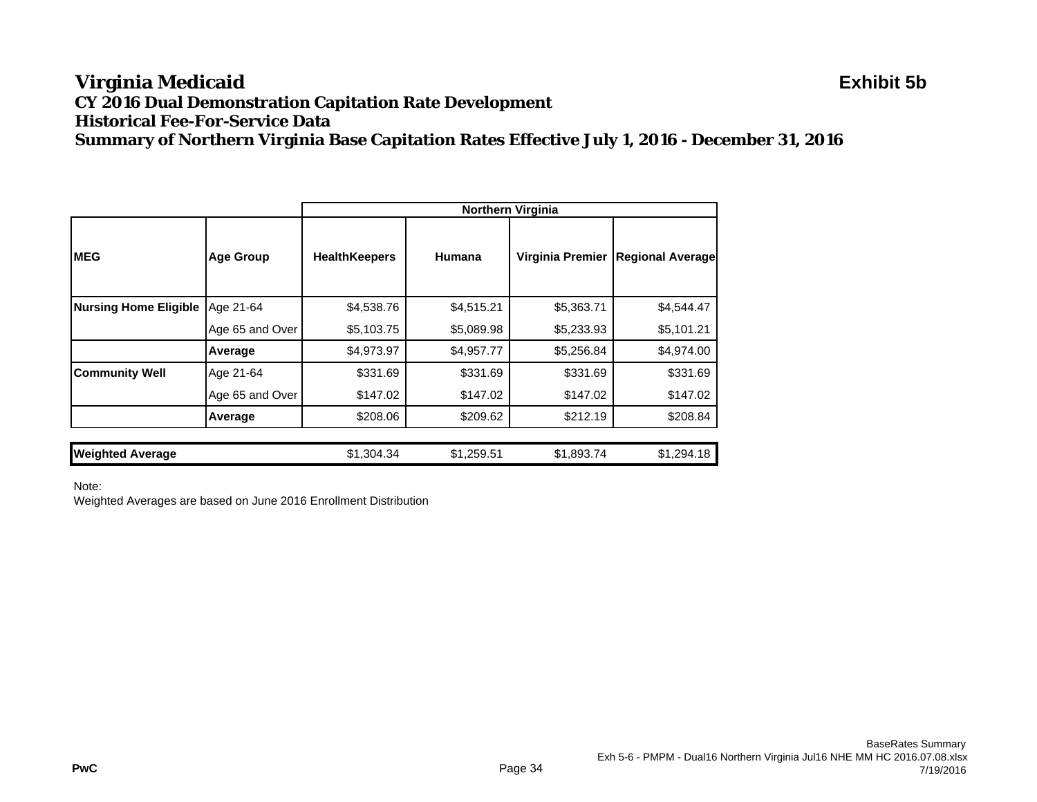#### **Virginia Medicaid Exhibit 5b CY 2016 Dual Demonstration Capitation Rate Development Historical Fee-For-Service DataSummary of Northern Virginia Base Capitation Rates Effective July 1, 2016 - December 31, 2016**

|                              |                  | <b>Northern Virginia</b> |            |                  |                         |  |
|------------------------------|------------------|--------------------------|------------|------------------|-------------------------|--|
| <b>MEG</b>                   | <b>Age Group</b> | <b>HealthKeepers</b>     | Humana     | Virginia Premier | <b>Regional Average</b> |  |
| <b>Nursing Home Eligible</b> | Age 21-64        | \$4,538.76               | \$4,515.21 | \$5,363.71       | \$4,544.47              |  |
|                              | Age 65 and Over  | \$5,103.75               | \$5,089.98 | \$5,233.93       | \$5,101.21              |  |
|                              | Average          | \$4,973.97               | \$4,957.77 | \$5,256.84       | \$4,974.00              |  |
| <b>Community Well</b>        | Age 21-64        | \$331.69                 | \$331.69   | \$331.69         | \$331.69                |  |
|                              | Age 65 and Over  | \$147.02                 | \$147.02   | \$147.02         | \$147.02                |  |
|                              | Average          | \$208.06                 | \$209.62   | \$212.19         | \$208.84                |  |
|                              |                  |                          |            |                  |                         |  |
| <b>Weighted Average</b>      |                  | \$1,304.34               | \$1,259.51 | \$1,893.74       | \$1,294.18              |  |

Note:

**PwC**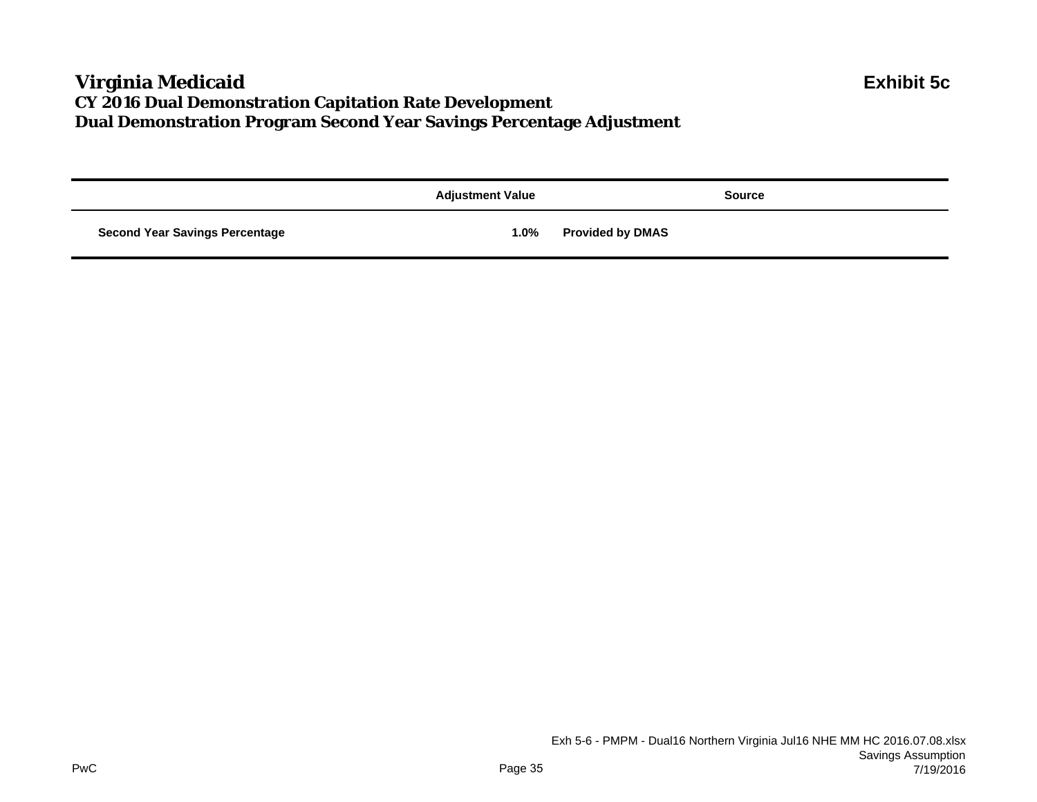### **Virginia Medicaid Exhibit 5c CY 2016 Dual Demonstration Capitation Rate Development Dual Demonstration Program Second Year Savings Percentage Adjustment**

|                                       | <b>Adjustment Value</b> | <b>Source</b>           |
|---------------------------------------|-------------------------|-------------------------|
| <b>Second Year Savings Percentage</b> | 1.0%                    | <b>Provided by DMAS</b> |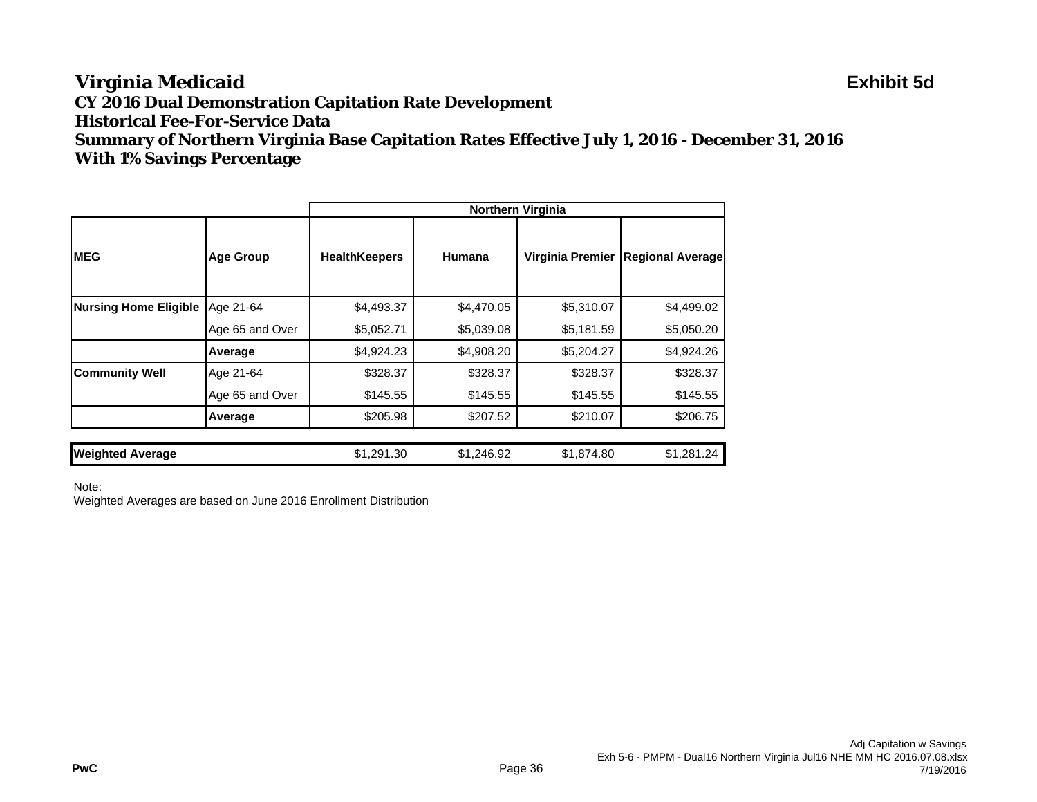#### **Virginia Medicaid Exhibit 5d CY 2016 Dual Demonstration Capitation Rate Development Historical Fee-For-Service DataSummary of Northern Virginia Base Capitation Rates Effective July 1, 2016 - December 31, 2016 With 1% Savings Percentage**

|                              |                  | <b>Northern Virginia</b> |            |                  |                         |  |
|------------------------------|------------------|--------------------------|------------|------------------|-------------------------|--|
| <b>IMEG</b>                  | <b>Age Group</b> | <b>HealthKeepers</b>     | Humana     | Virginia Premier | <b>Regional Average</b> |  |
| <b>Nursing Home Eligible</b> | Age 21-64        | \$4,493.37               | \$4,470.05 | \$5,310.07       | \$4,499.02              |  |
|                              | Age 65 and Over  | \$5,052.71               | \$5,039.08 | \$5,181.59       | \$5,050.20              |  |
|                              | Average          | \$4,924.23               | \$4,908.20 | \$5,204.27       | \$4,924.26              |  |
| <b>Community Well</b>        | Age 21-64        | \$328.37                 | \$328.37   | \$328.37         | \$328.37                |  |
|                              | Age 65 and Over  | \$145.55                 | \$145.55   | \$145.55         | \$145.55                |  |
|                              | Average          | \$205.98                 | \$207.52   | \$210.07         | \$206.75                |  |
|                              |                  |                          |            |                  |                         |  |
| <b>Weighted Average</b>      |                  | \$1,291.30               | \$1,246.92 | \$1,874.80       | \$1,281.24              |  |

Note: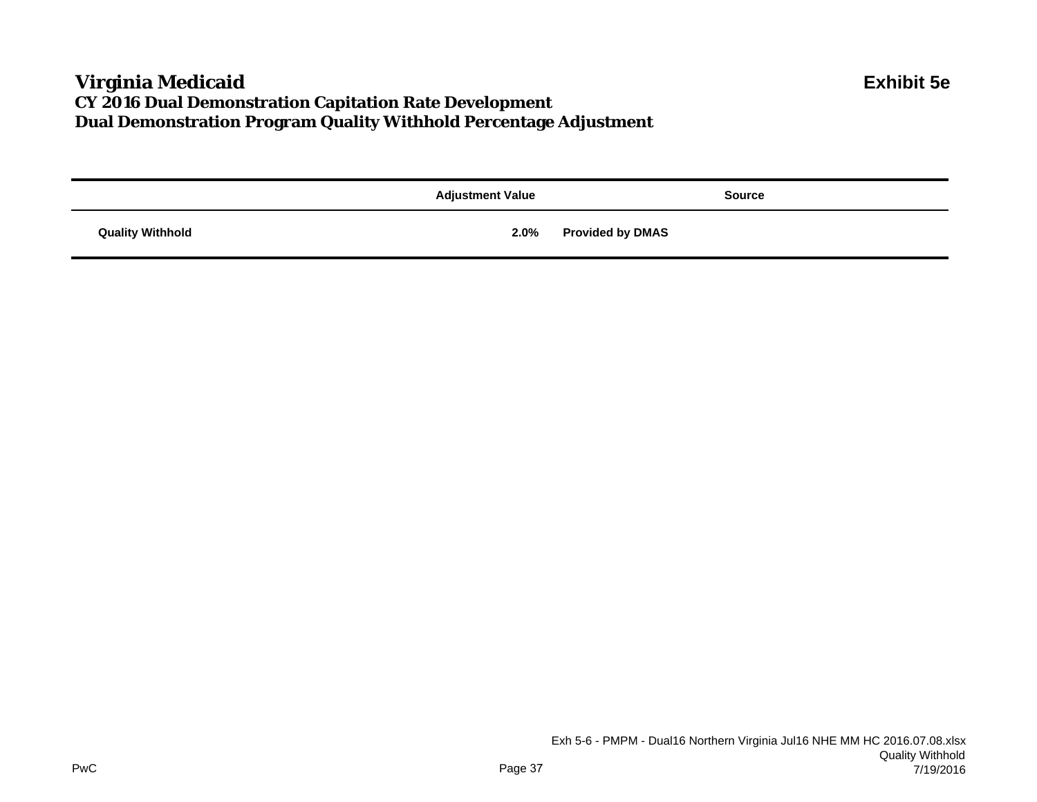### **Virginia Medicaid Exhibit 5e CY 2016 Dual Demonstration Capitation Rate Development Dual Demonstration Program Quality Withhold Percentage Adjustment**

|                         | <b>Adjustment Value</b> | Source                  |
|-------------------------|-------------------------|-------------------------|
| <b>Quality Withhold</b> | $2.0\%$                 | <b>Provided by DMAS</b> |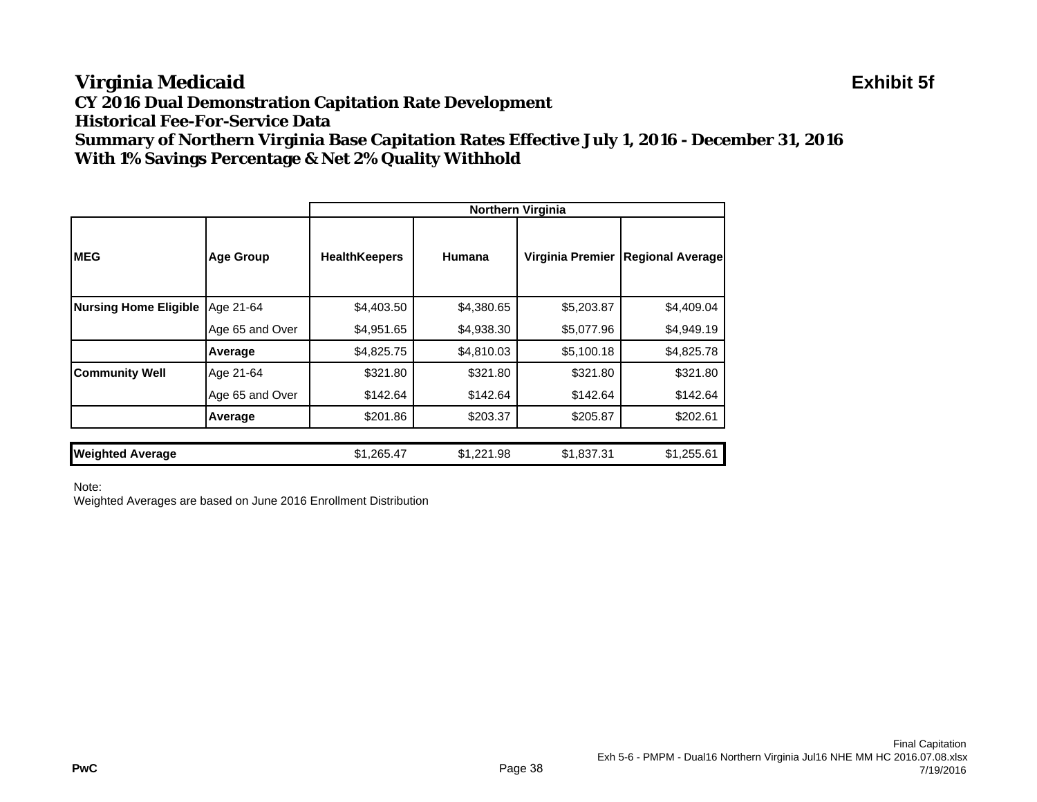## **Virginia Medicaid Exhibit 5f**

**CY 2016 Dual Demonstration Capitation Rate Development**

**Historical Fee-For-Service Data**

**Summary of Northern Virginia Base Capitation Rates Effective July 1, 2016 - December 31, 2016 With 1% Savings Percentage & Net 2% Quality Withhold**

|                              |                  | <b>Northern Virginia</b> |            |                  |                         |  |
|------------------------------|------------------|--------------------------|------------|------------------|-------------------------|--|
| <b>IMEG</b>                  | <b>Age Group</b> | <b>HealthKeepers</b>     | Humana     | Virginia Premier | <b>Regional Average</b> |  |
| <b>Nursing Home Eligible</b> | Age 21-64        | \$4,403.50               | \$4,380.65 | \$5,203.87       | \$4,409.04              |  |
|                              | Age 65 and Over  | \$4,951.65               | \$4,938.30 | \$5,077.96       | \$4,949.19              |  |
|                              | Average          | \$4,825.75               | \$4,810.03 | \$5,100.18       | \$4,825.78              |  |
| <b>Community Well</b>        | Age 21-64        | \$321.80                 | \$321.80   | \$321.80         | \$321.80                |  |
|                              | Age 65 and Over  | \$142.64                 | \$142.64   | \$142.64         | \$142.64                |  |
|                              | Average          | \$201.86                 | \$203.37   | \$205.87         | \$202.61                |  |
|                              |                  |                          |            |                  |                         |  |
| <b>Weighted Average</b>      |                  | \$1,265.47               | \$1,221.98 | \$1,837.31       | \$1,255.61              |  |

Note: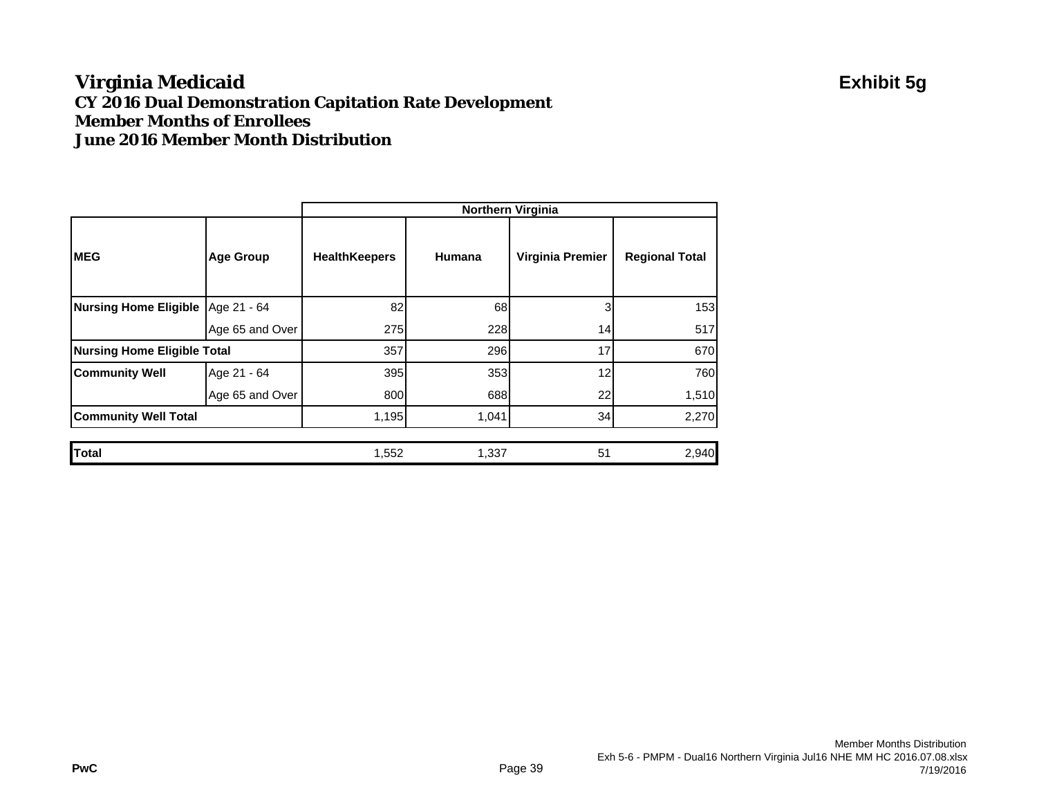### **Virginia Medicaid Exhibit 5g CY 2016 Dual Demonstration Capitation Rate Development Member Months of EnrolleesJune 2016 Member Month Distribution**

|                                     |                  | <b>Northern Virginia</b> |        |                  |                       |  |
|-------------------------------------|------------------|--------------------------|--------|------------------|-----------------------|--|
| <b>MEG</b>                          | <b>Age Group</b> | <b>HealthKeepers</b>     | Humana | Virginia Premier | <b>Regional Total</b> |  |
| Nursing Home Eligible   Age 21 - 64 |                  | 82                       | 68     | 3                | 153                   |  |
|                                     | Age 65 and Over  | 275                      | 228    | 14               | 517                   |  |
| <b>Nursing Home Eligible Total</b>  |                  | 357                      | 296    | 17               | 670                   |  |
| <b>Community Well</b>               | Age 21 - 64      | 395                      | 353    | 12               | 760                   |  |
|                                     | Age 65 and Over  | 800                      | 688    | 22               | 1,510                 |  |
| <b>Community Well Total</b>         |                  | 1,195                    | 1,041  | 34               | 2,270                 |  |
| <b>Total</b>                        |                  | 1,552                    | 1,337  | 51               | 2,940                 |  |